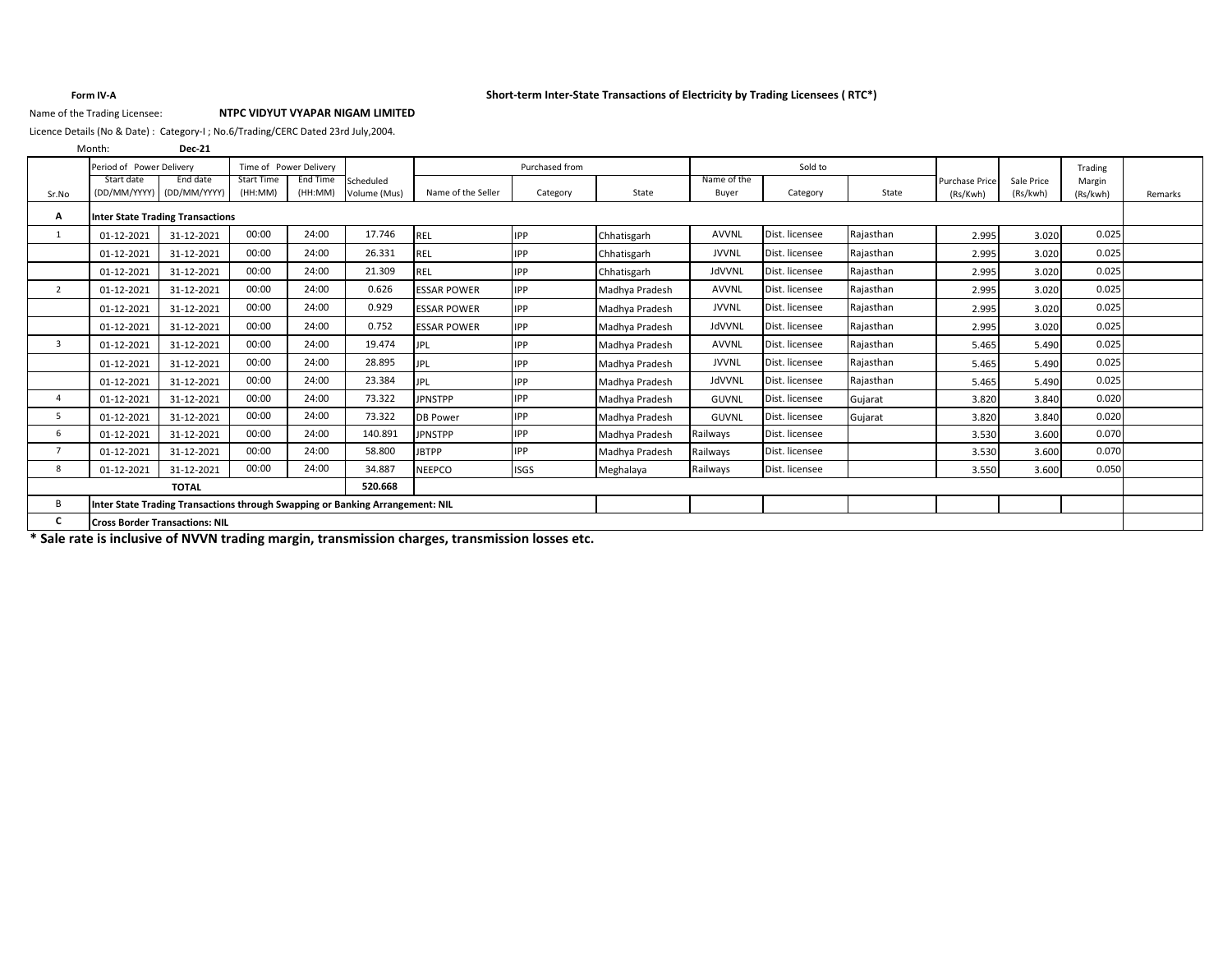### **Form IV-A Short-term Inter-State Transactions of Electricity by Trading Licensees ( RTC\*)**

## Name of the Trading Licensee: **NTPC VIDYUT VYAPAR NIGAM LIMITED**

Licence Details (No & Date) : Category-I ; No.6/Trading/CERC Dated 23rd July,2004.

**Dec-21** Start date (DD/MM/YYYY) End date (DD/MM/YYYY) Start Time (HH:MM) End Time (HH:MM) Volume (Mus) Name of the Seller Category State Name of the Buyer Category State **A** 1 01-12-2021 31-12-2021 00:00 24:00 17.746 REL IPP Chhatisgarh AVVNL Dist. licensee Rajasthan 2.995 3.020 0.025 01-12-2021 | 31-12-2021 | 00:00 | 24:00 | 26.331 |REL |IPP |Chhatisgarh | JVVNL |Dist. licensee |Rajasthan | 2.995| 3.020| 0.025 01-12-2021 | 31-12-2021 | 00:00 | 24:00 | 21.309 |REL |IPP |Chhatisgarh | JdVVNL |Dist. licensee |Rajasthan | 2.995| 3.020| 0.025 2 01-12-2021 31-12-2021 00:00 24:00 0.626 ESSAR POWER IPP Madhya Pradesh AVVNL Dist. licensee Rajasthan 2.995 3.020 0.025 01-12-2021 | 31-12-2021 | 00:00 | 24:00 | 0.929 |ESSAR POWER |IPP Madhya Pradesh | JVVNL |Dist. licensee |Rajasthan | 2.995| 3.020| 0.025 01-12-2021 | 31-12-2021 | 00:00 | 24:00 | 0.752 |ESSAR POWER |IPP Madhya Pradesh | JdVVNL |Dist. licensee |Rajasthan | 2.995| 3.020| 0.025 3 01-12-2021 31-12-2021 00:00 24:00 19.474 JPL IPP Madhya Pradesh AVVNL Dist. licensee Rajasthan 5.465 5.490 0.025 01-12-2021 | 31-12-2021 | 00:00 | 24:00 | 28.895 |JPL |IPP |Madhya Pradesh | JVVNL |Dist. licensee |Rajasthan | 5.465 | 5.490 0.025 01-12-2021 | 31-12-2021 | 00:00 | 24:00 | 23.384 |JPL |IPP |Madhya Pradesh | JdVVNL |Dist. licensee |Rajasthan | 5.465 | 5.490 0.025 4 01-12-2021 31-12-2021 00:00 24:00 73.322 JPNSTPP IPP Madhya Pradesh GUVNL Dist. licensee Gujarat 3.820 3.840 0.020 5 01-12-2021 31-12-2021 00:00 24:00 73.322 DB Power IPP Madhya Pradesh GUVNL Dist. licensee Gujarat 3.820 3.840 0.020 6 01-12-2021 31-12-2021 00:00 24:00 140.891 JPNSTPP IPP Madhya Pradesh Railways Dist. licensee 3.530 3.600 0.070 7 01-12-2021 31-12-2021 00:00 24:00 58.800 JBTPP IPP Madhya Pradesh Railways Dist. licensee 3.530 3.600 0.070 8 01-12-2021 31-12-2021 00:00 24:00 34.887 NEEPCO ISGS Meghalaya Railways Dist. licensee 3.550 3.600 0.050 **520.668** B **C** Month: Purchase Price (Rs/Kwh) Purchased from Sr.No Trading Margin (Rs/kwh) Time of Power Delivery Remarks **TOTAL Inter State Trading Transactions through Swapping or Banking Arrangement: NIL Cross Border Transactions: NIL** Period of Power Delivery Period of Power Delivery Period of Power Delivery Sold to Purchased from Number 2012 of Sold to **Inter State Trading Transactions** Sale Price (Rs/kwh) Scheduled Volume (Mus)

**\* Sale rate is inclusive of NVVN trading margin, transmission charges, transmission losses etc.**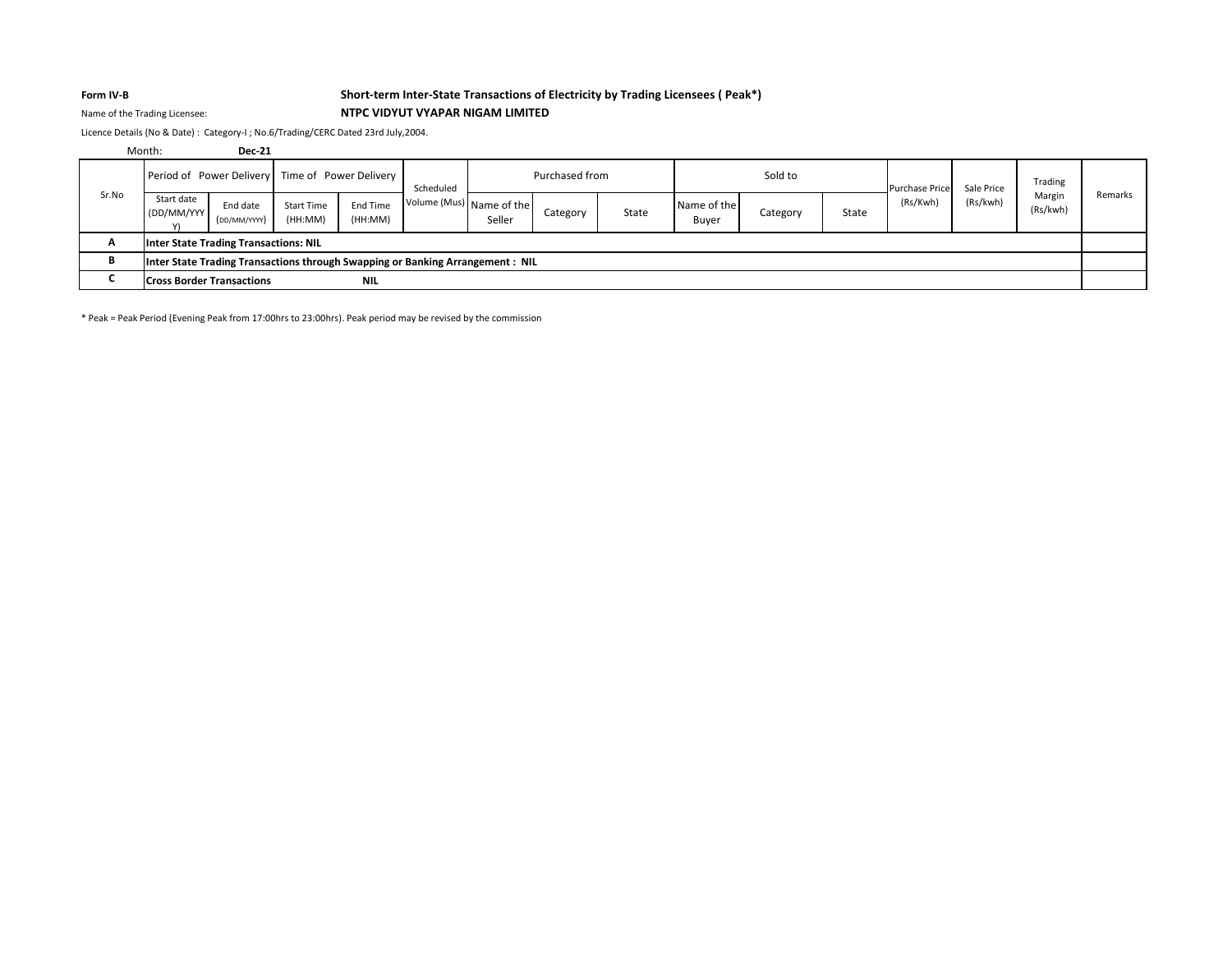## **Form IV-B Short-term Inter-State Transactions of Electricity by Trading Licensees ( Peak\*)** Name of the Trading Licensee: **NTPC VIDYUT VYAPAR NIGAM LIMITED**

Licence Details (No & Date) : Category-I ; No.6/Trading/CERC Dated 23rd July,2004.

|       | Month:                                                                         | <b>Dec-21</b>            |                       |                     |           |                                    |                |       |                      |          |       |                       |            |                    |         |
|-------|--------------------------------------------------------------------------------|--------------------------|-----------------------|---------------------|-----------|------------------------------------|----------------|-------|----------------------|----------|-------|-----------------------|------------|--------------------|---------|
| Sr.No | Period of Power Delivery Time of Power Delivery                                |                          |                       |                     | Scheduled |                                    | Purchased from |       |                      | Sold to  |       | <b>Purchase Price</b> | Sale Price | Trading            |         |
|       | Start date<br>(DD/MM/YYY)                                                      | End date<br>(DD/MM/YYYY) | Start Time<br>(HH:MM) | End Time<br>(HH:MM) |           | Volume (Mus) Name of the<br>Seller | Category       | State | Name of the<br>Buyer | Category | State | (Rs/Kwh)              | (Rs/kwh)   | Margin<br>(Rs/kwh) | Remarks |
| A     | <b>Inter State Trading Transactions: NIL</b>                                   |                          |                       |                     |           |                                    |                |       |                      |          |       |                       |            |                    |         |
| в     | Inter State Trading Transactions through Swapping or Banking Arrangement : NIL |                          |                       |                     |           |                                    |                |       |                      |          |       |                       |            |                    |         |
|       | <b>Cross Border Transactions</b>                                               |                          |                       | <b>NIL</b>          |           |                                    |                |       |                      |          |       |                       |            |                    |         |

\* Peak = Peak Period (Evening Peak from 17:00hrs to 23:00hrs). Peak period may be revised by the commission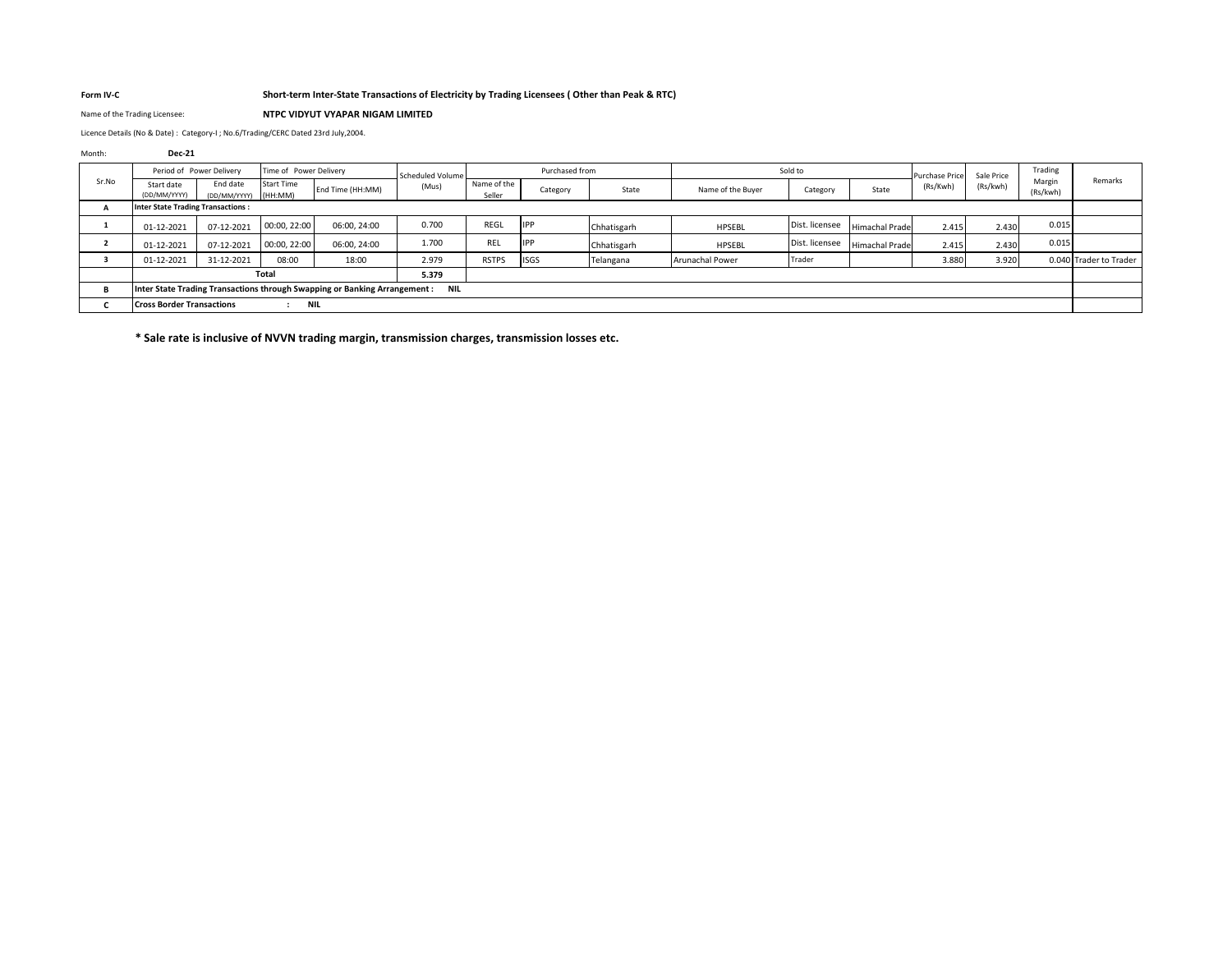## **Form IV-C Short-term Inter-State Transactions of Electricity by Trading Licensees ( Other than Peak & RTC)**

Name of the Trading Licensee: **NTPC VIDYUT VYAPAR NIGAM LIMITED**

Licence Details (No & Date) : Category-I ; No.6/Trading/CERC Dated 23rd July,2004.

## Month: **Dec-21**

| Period of Power Delivery<br>Time of Power Delivery<br>Sr.No | Scheduled Volume         |                              | Purchased from                                                                 |       | Sold to               |             |             | <b>Purchase Price</b> | Sale Price     | Trading               |          |          |                    |                        |
|-------------------------------------------------------------|--------------------------|------------------------------|--------------------------------------------------------------------------------|-------|-----------------------|-------------|-------------|-----------------------|----------------|-----------------------|----------|----------|--------------------|------------------------|
| Start date<br>(DD/MM/YYYY)                                  | End date<br>(DD/MM/YYYY) | <b>Start Time</b><br>(HH:MM) | End Time (HH:MM)                                                               | (Mus) | Name of the<br>Seller | Category    | State       | Name of the Buver     | Category       | State                 | (Rs/Kwh) | (Rs/kwh) | Margin<br>(Rs/kwh) | Remarks                |
| <b>Inter State Trading Transactions:</b>                    |                          |                              |                                                                                |       |                       |             |             |                       |                |                       |          |          |                    |                        |
| 01-12-2021                                                  | 07-12-2021               | 00:00, 22:00                 | 06:00, 24:00                                                                   | 0.700 | REGL                  | <b>IPP</b>  | Chhatisgarh | HPSEBL                | Dist. licensee | <b>Himachal Prade</b> | 2.415    | 2.430    | 0.015              |                        |
| 01-12-2021                                                  | 07-12-2021               | 00:00, 22:00                 | 06:00, 24:00                                                                   | 1.700 | REL                   | <b>IPP</b>  | Chhatisgarh | <b>HPSEBL</b>         | Dist. licensee | <b>Himachal Prade</b> | 2.415    | 2.430    | 0.015              |                        |
| 01-12-2021                                                  | 31-12-2021               | 08:00                        | 18:00                                                                          | 2.979 | <b>RSTPS</b>          | <b>ISGS</b> | Telangana   | Arunachal Power       | Trader         |                       | 3.880    | 3.920    |                    | 0.040 Trader to Trader |
|                                                             |                          | Total                        |                                                                                | 5.379 |                       |             |             |                       |                |                       |          |          |                    |                        |
|                                                             |                          |                              | Inter State Trading Transactions through Swapping or Banking Arrangement : NIL |       |                       |             |             |                       |                |                       |          |          |                    |                        |
| <b>Cross Border Transactions</b><br><b>NIL</b>              |                          |                              |                                                                                |       |                       |             |             |                       |                |                       |          |          |                    |                        |

**\* Sale rate is inclusive of NVVN trading margin, transmission charges, transmission losses etc.**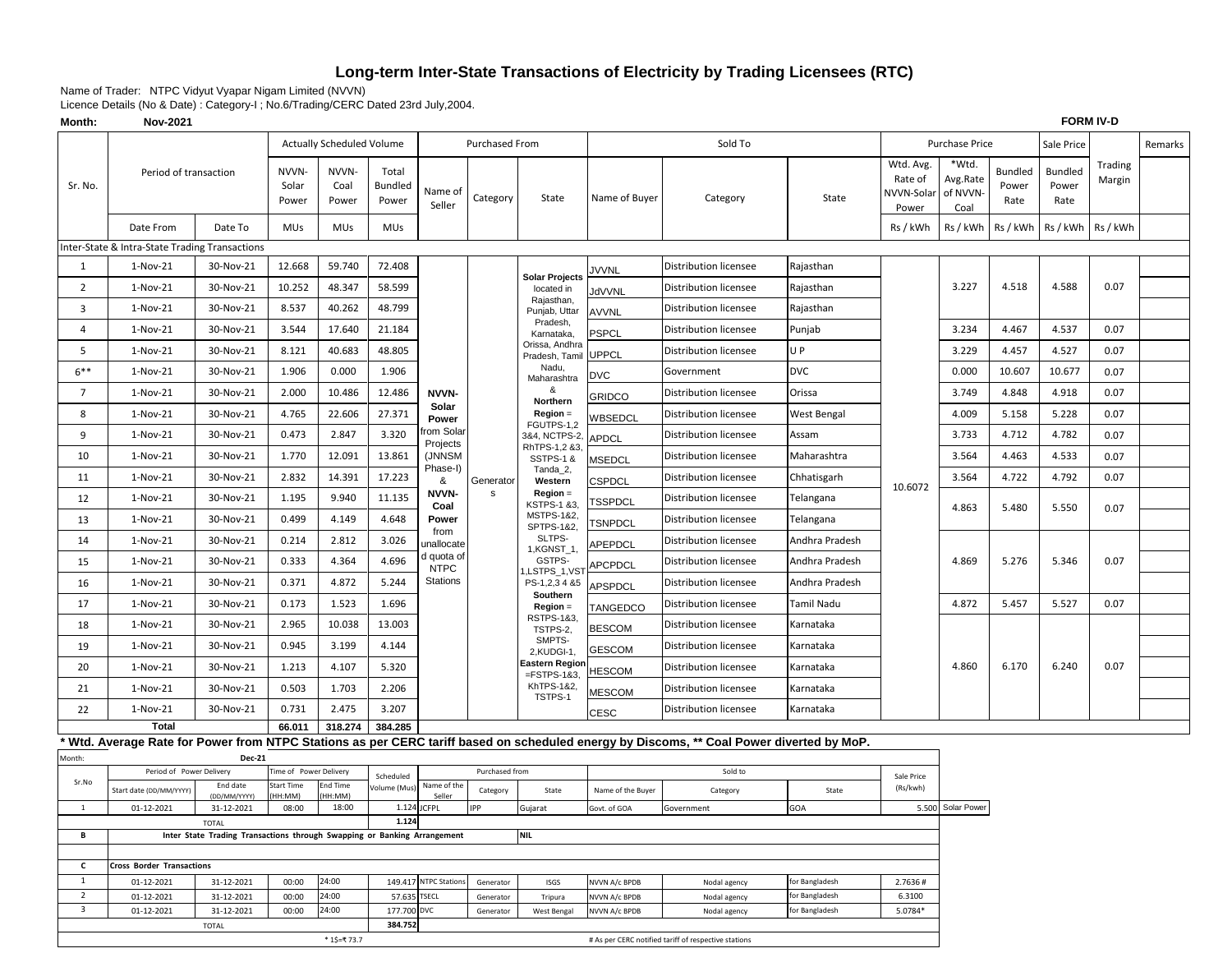# **Long-term Inter-State Transactions of Electricity by Trading Licensees (RTC)**

Name of Trader: NTPC Vidyut Vyapar Nigam Limited (NVVN)

Licence Details (No & Date) : Category-I ; No.6/Trading/CERC Dated 23rd July,2004.

| Month:         | Nov-2021                                                                       |               |                         |                                  |                                  |                           |                       |                                       |                   |                                                                                                                                          |                |                                             | <b>FORM IV-D</b>                      |                                 |                                 |                   |         |
|----------------|--------------------------------------------------------------------------------|---------------|-------------------------|----------------------------------|----------------------------------|---------------------------|-----------------------|---------------------------------------|-------------------|------------------------------------------------------------------------------------------------------------------------------------------|----------------|---------------------------------------------|---------------------------------------|---------------------------------|---------------------------------|-------------------|---------|
|                |                                                                                |               |                         | <b>Actually Scheduled Volume</b> |                                  |                           | <b>Purchased From</b> |                                       |                   | Sold To                                                                                                                                  |                |                                             | Purchase Price                        |                                 | Sale Price                      |                   | Remarks |
| Sr. No.        | Period of transaction                                                          |               | NVVN-<br>Solar<br>Power | NVVN-<br>Coal<br>Power           | Total<br><b>Bundled</b><br>Power | Name of<br>Seller         | Category              | State                                 | Name of Buyer     | Category                                                                                                                                 | State          | Wtd. Avg.<br>Rate of<br>NVVN-Solar<br>Power | *Wtd.<br>Avg.Rate<br>of NVVN-<br>Coal | <b>Bundled</b><br>Power<br>Rate | <b>Bundled</b><br>Power<br>Rate | Trading<br>Margin |         |
|                | Date From                                                                      | Date To       | <b>MUs</b>              | <b>MUs</b>                       | <b>MUs</b>                       |                           |                       |                                       |                   |                                                                                                                                          |                | Rs / kWh                                    | Rs / kWh                              | Rs / kWh                        | Rs / kWh                        | Rs / kWh          |         |
|                | Inter-State & Intra-State Trading Transactions                                 |               |                         |                                  |                                  |                           |                       |                                       |                   |                                                                                                                                          |                |                                             |                                       |                                 |                                 |                   |         |
| $\mathbf{1}$   | $1-Nov-21$                                                                     | 30-Nov-21     | 12.668                  | 59.740                           | 72.408                           |                           |                       | <b>Solar Projects</b>                 | JVVNL             | Distribution licensee                                                                                                                    | Rajasthan      |                                             |                                       |                                 |                                 |                   |         |
| $\overline{2}$ | 1-Nov-21                                                                       | 30-Nov-21     | 10.252                  | 48.347                           | 58.599                           |                           |                       | located in                            | <b>JdVVNL</b>     | <b>Distribution licensee</b>                                                                                                             | Rajasthan      |                                             | 3.227                                 | 4.518                           | 4.588                           | 0.07              |         |
| 3              | $1-Nov-21$                                                                     | 30-Nov-21     | 8.537                   | 40.262                           | 48.799                           |                           |                       | Rajasthan,<br>Punjab, Uttar           | <b>AVVNL</b>      | <b>Distribution licensee</b>                                                                                                             | Rajasthan      |                                             |                                       |                                 |                                 |                   |         |
| 4              | $1-Nov-21$                                                                     | 30-Nov-21     | 3.544                   | 17.640                           | 21.184                           |                           |                       | Pradesh,<br>Karnataka,                | <b>PSPCL</b>      | Distribution licensee                                                                                                                    | Punjab         |                                             | 3.234                                 | 4.467                           | 4.537                           | 0.07              |         |
| 5              | $1-Nov-21$                                                                     | 30-Nov-21     | 8.121                   | 40.683                           | 48.805                           |                           |                       | Orissa, Andhra<br>Pradesh, Tamil      | <b>UPPCL</b>      | Distribution licensee                                                                                                                    | UP             |                                             | 3.229                                 | 4.457                           | 4.527                           | 0.07              |         |
| $6***$         | $1-Nov-21$                                                                     | 30-Nov-21     | 1.906                   | 0.000                            | 1.906                            |                           |                       | Nadu,<br>Maharashtra                  | <b>DVC</b>        | Government                                                                                                                               | <b>DVC</b>     |                                             | 0.000                                 | 10.607                          | 10.677                          | 0.07              |         |
| $\overline{7}$ | 1-Nov-21                                                                       | 30-Nov-21     | 2.000                   | 10.486                           | 12.486                           | NVVN-                     |                       | &<br>Northern                         | <b>GRIDCO</b>     | <b>Distribution licensee</b>                                                                                                             | Orissa         |                                             | 3.749                                 | 4.848                           | 4.918                           | 0.07              |         |
| 8              | 1-Nov-21                                                                       | 30-Nov-21     | 4.765                   | 22.606                           | 27.371                           | Solar<br>Power            |                       | Region =<br>FGUTPS-1,2                | WBSEDCL           | Distribution licensee                                                                                                                    | West Bengal    |                                             | 4.009                                 | 5.158                           | 5.228                           | 0.07              |         |
| 9              | $1-Nov-21$                                                                     | 30-Nov-21     | 0.473                   | 2.847                            | 3.320                            | om Solar<br>Projects      |                       | 3&4, NCTPS-2,                         | <b>APDCL</b>      | <b>Distribution licensee</b>                                                                                                             | Assam          |                                             | 3.733                                 | 4.712                           | 4.782                           | 0.07              |         |
| 10             | 1-Nov-21                                                                       | 30-Nov-21     | 1.770                   | 12.091                           | 13.861                           | (JNNSM                    |                       | RhTPS-1,2 &3,<br><b>SSTPS-1 &amp;</b> | MSEDCL            | Distribution licensee                                                                                                                    | Maharashtra    |                                             | 3.564                                 | 4.463                           | 4.533                           | 0.07              |         |
| 11             | 1-Nov-21                                                                       | 30-Nov-21     | 2.832                   | 14.391                           | 17.223                           | Phase-I)<br>&             | Generator             | Tanda_2,<br>Western                   | CSPDCL            | Distribution licensee                                                                                                                    | Chhatisgarh    | 10.6072                                     | 3.564                                 | 4.722                           | 4.792                           | 0.07              |         |
| 12             | 1-Nov-21                                                                       | 30-Nov-21     | 1.195                   | 9.940                            | 11.135                           | NVVN-<br>Coal             | s                     | Region =<br>KSTPS-1 &3,               | TSSPDCL           | Distribution licensee                                                                                                                    | Telangana      |                                             | 4.863                                 | 5.480                           | 5.550                           | 0.07              |         |
| 13             | 1-Nov-21                                                                       | 30-Nov-21     | 0.499                   | 4.149                            | 4.648                            | Power                     |                       | MSTPS-1&2,<br>SPTPS-1&2,              | TSNPDCL           | Distribution licensee                                                                                                                    | Telangana      |                                             |                                       |                                 |                                 |                   |         |
| 14             | 1-Nov-21                                                                       | 30-Nov-21     | 0.214                   | 2.812                            | 3.026                            | from<br>inallocate        |                       | SLTPS-<br>1, KGNST_1,                 | APEPDCL           | Distribution licensee                                                                                                                    | Andhra Pradesh |                                             |                                       |                                 |                                 |                   |         |
| 15             | $1-Nov-21$                                                                     | 30-Nov-21     | 0.333                   | 4.364                            | 4.696                            | d quota of<br><b>NTPC</b> |                       | GSTPS-<br>,LSTPS_1,VST                | APCPDCL           | Distribution licensee                                                                                                                    | Andhra Pradesh |                                             | 4.869                                 | 5.276                           | 5.346                           | 0.07              |         |
| 16             | $1-Nov-21$                                                                     | 30-Nov-21     | 0.371                   | 4.872                            | 5.244                            | Stations                  |                       | PS-1,2,3 4 &5                         | <b>APSPDCL</b>    | Distribution licensee                                                                                                                    | Andhra Pradesh |                                             |                                       |                                 |                                 |                   |         |
| 17             | $1-Nov-21$                                                                     | 30-Nov-21     | 0.173                   | 1.523                            | 1.696                            |                           |                       | Southern<br>$Region =$                | TANGEDCO          | Distribution licensee                                                                                                                    | Tamil Nadu     |                                             | 4.872                                 | 5.457                           | 5.527                           | 0.07              |         |
| 18             | $1-Nov-21$                                                                     | 30-Nov-21     | 2.965                   | 10.038                           | 13.003                           |                           |                       | RSTPS-1&3,<br>TSTPS-2,                | <b>BESCOM</b>     | Distribution licensee                                                                                                                    | Karnataka      |                                             |                                       |                                 |                                 |                   |         |
| 19             | $1-Nov-21$                                                                     | 30-Nov-21     | 0.945                   | 3.199                            | 4.144                            |                           |                       | SMPTS-<br>2,KUDGI-1,                  | GESCOM            | Distribution licensee                                                                                                                    | Karnataka      |                                             |                                       |                                 |                                 |                   |         |
| 20             | $1-Nov-21$                                                                     | 30-Nov-21     | 1.213                   | 4.107                            | 5.320                            |                           |                       | Eastern Regior<br>$=$ FSTPS-1&3,      | <b>HESCOM</b>     | Distribution licensee                                                                                                                    | Karnataka      |                                             | 4.860                                 | 6.170                           | 6.240                           | 0.07              |         |
| 21             | $1-Nov-21$                                                                     | 30-Nov-21     | 0.503                   | 1.703                            | 2.206                            |                           |                       | KhTPS-1&2,<br>TSTPS-1                 | MESCOM            | Distribution licensee                                                                                                                    | Karnataka      |                                             |                                       |                                 |                                 |                   |         |
| 22             | $1-Nov-21$                                                                     | 30-Nov-21     | 0.731                   | 2.475                            | 3.207                            |                           |                       |                                       | <b>CESC</b>       | <b>Distribution licensee</b>                                                                                                             | Karnataka      |                                             |                                       |                                 |                                 |                   |         |
|                | <b>Total</b>                                                                   |               | 66.011                  | 318.274                          | 384.285                          |                           |                       |                                       |                   |                                                                                                                                          |                |                                             |                                       |                                 |                                 |                   |         |
|                |                                                                                |               |                         |                                  |                                  |                           |                       |                                       |                   | * Wtd. Average Rate for Power from NTPC Stations as per CERC tariff based on scheduled energy by Discoms, ** Coal Power diverted by MoP. |                |                                             |                                       |                                 |                                 |                   |         |
| Month:         | Period of Power Delivery                                                       | <b>Dec-21</b> | Time of Power Delivery  |                                  |                                  |                           | Purchased from        |                                       |                   | Sold to                                                                                                                                  |                |                                             |                                       |                                 |                                 |                   |         |
| Sr.No          | Start date (DD/MM/YYYY)                                                        | End date      | Start Time              | End Time                         | Scheduled<br>Volume (Mus)        | Name of the               | Category              | State                                 | Name of the Buyer | Category                                                                                                                                 | State          | Sale Price<br>(Rs/kwh)                      |                                       |                                 |                                 |                   |         |
| <sup>1</sup>   | (DD/MM/YYYY)<br>HH:MM)<br>HH:MM)<br>18:00<br>01-12-2021<br>31-12-2021<br>08:00 |               |                         |                                  |                                  | Seller<br>1.124 JCFPL     | <b>IPP</b>            | Gujarat                               | Govt. of GOA      | Government                                                                                                                               | GOA            |                                             | 5.500 Solar Power                     |                                 |                                 |                   |         |
|                | 1.124<br><b>TOTAL</b>                                                          |               |                         |                                  |                                  |                           |                       |                                       |                   |                                                                                                                                          |                |                                             |                                       |                                 |                                 |                   |         |
| В              | Inter State Trading Transactions through Swapping or Banking Arrangement       |               |                         |                                  |                                  |                           |                       | <b>NIL</b>                            |                   |                                                                                                                                          |                |                                             |                                       |                                 |                                 |                   |         |
|                | c<br><b>Cross Border Transactions</b>                                          |               |                         |                                  |                                  |                           |                       |                                       |                   |                                                                                                                                          |                |                                             |                                       |                                 |                                 |                   |         |
| $\mathbf{1}$   | 24:00<br>149.417 NTPC Station:<br>01-12-2021<br>31-12-2021<br>00:00            |               |                         |                                  |                                  | Generator                 | <b>ISGS</b>           | NVVN A/c BPDB                         | Nodal agency      | for Bangladesh                                                                                                                           | 2.7636#        |                                             |                                       |                                 |                                 |                   |         |
| $\overline{2}$ | 24:00<br>01-12-2021<br>00:00<br>31-12-2021                                     |               |                         |                                  | 57.635                           | <b>TSECL</b>              | Generator             | Tripura                               | NVVN A/c BPDB     | Nodal agency                                                                                                                             | for Bangladesh | 6.3100                                      |                                       |                                 |                                 |                   |         |
| 3              | 24:00<br>01-12-2021<br>31-12-2021<br>00:00                                     |               |                         |                                  | 177.700 DVC                      |                           | Generator             | <b>West Bengal</b>                    | NVVN A/c BPDB     | Nodal agency                                                                                                                             | for Bangladesh | 5.0784*                                     |                                       |                                 |                                 |                   |         |
|                | <b>TOTAL</b>                                                                   |               |                         |                                  | 384.752                          |                           |                       |                                       |                   |                                                                                                                                          |                |                                             |                                       |                                 |                                 |                   |         |
|                | * 1\$=₹ 73.7                                                                   |               |                         |                                  |                                  |                           |                       |                                       |                   | # As per CERC notified tariff of respective stations                                                                                     |                |                                             |                                       |                                 |                                 |                   |         |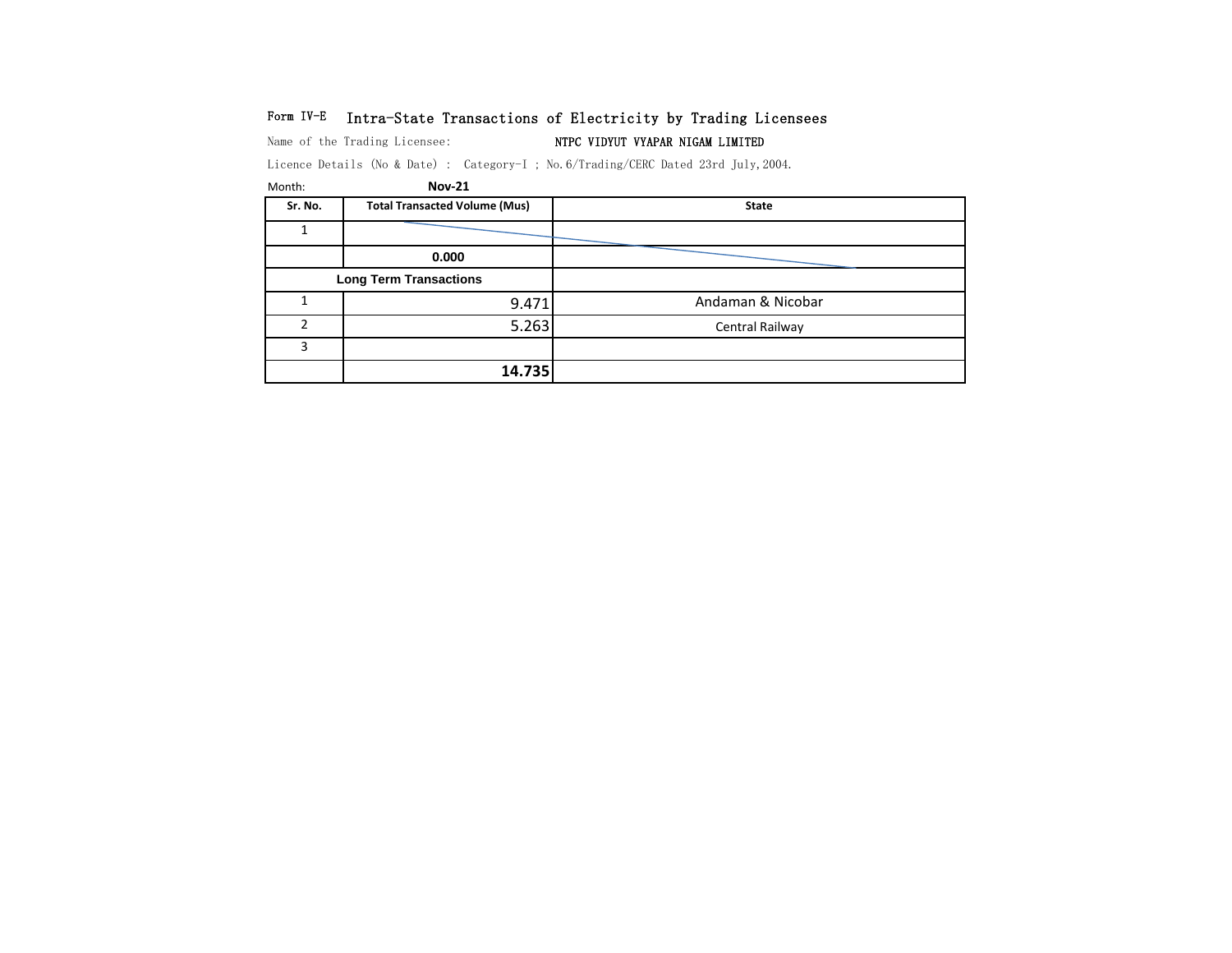# Form IV-E Intra-State Transactions of Electricity by Trading Licensees

Name of the Trading Licensee: NTPC VIDYUT VYAPAR NIGAM LIMITED

Licence Details (No & Date) : Category-I ; No.6/Trading/CERC Dated 23rd July,2004.

| Month:  | <b>Nov-21</b>                        |                   |
|---------|--------------------------------------|-------------------|
| Sr. No. | <b>Total Transacted Volume (Mus)</b> | <b>State</b>      |
|         |                                      |                   |
|         | 0.000                                |                   |
|         | <b>Long Term Transactions</b>        |                   |
|         | 9.471                                | Andaman & Nicobar |
| C.      | 5.263                                | Central Railway   |
| 3       |                                      |                   |
|         | 14.735                               |                   |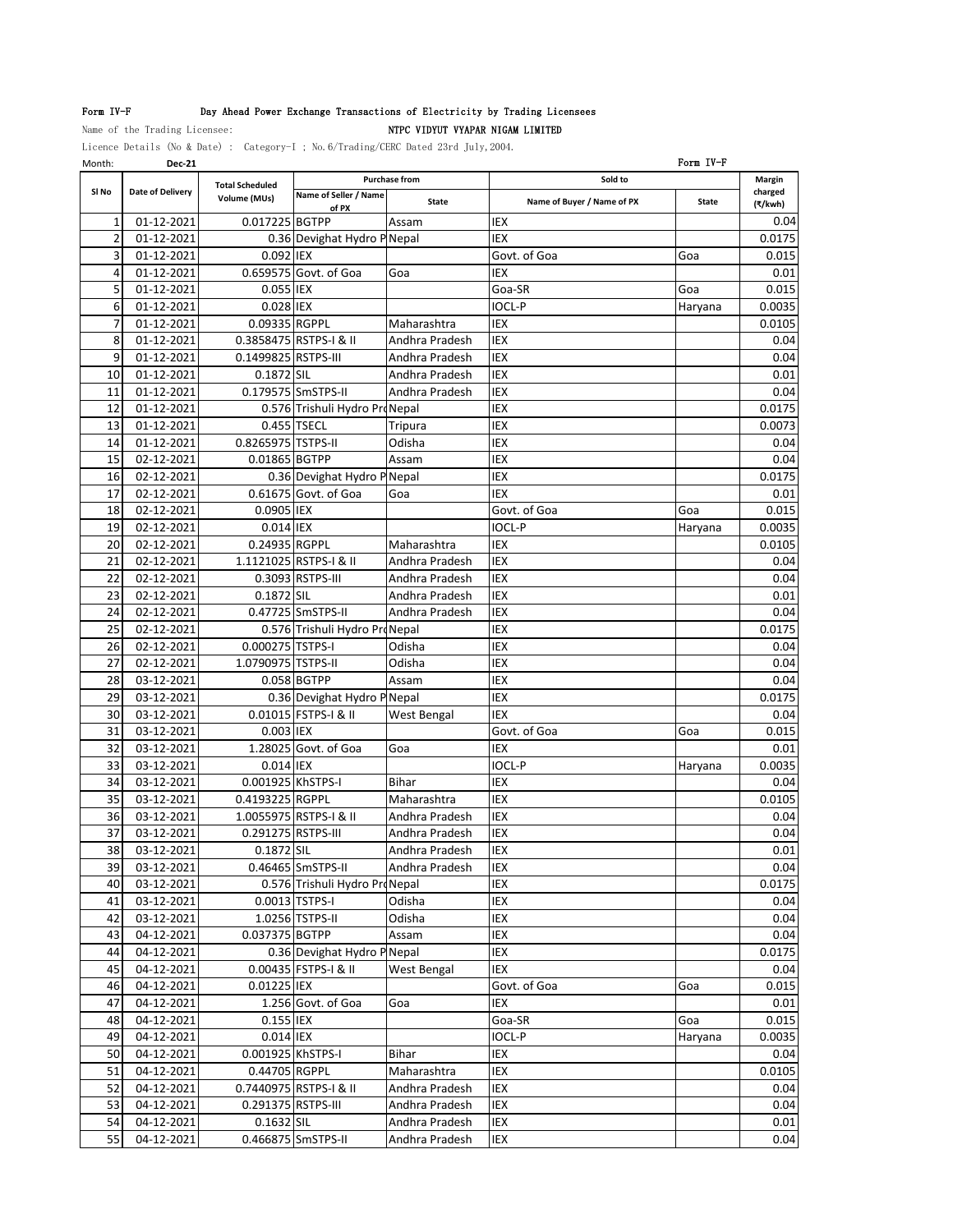# Form IV-F Day Ahead Power Exchange Transactions of Electricity by Trading Licensees

Name of the Trading Licensee: NTPC VIDYUT VYAPAR NIGAM LIMITED

Licence Details (No & Date) : Category-I ; No.6/Trading/CERC Dated 23rd July,2004.

| Month:         | <b>Dec-21</b>            |                        |                               |                      |                            | Form IV-F    |                 |
|----------------|--------------------------|------------------------|-------------------------------|----------------------|----------------------------|--------------|-----------------|
|                |                          | <b>Total Scheduled</b> |                               | <b>Purchase from</b> | Sold to                    |              | Margin          |
| SI No          | Date of Delivery         | Volume (MUs)           | Name of Seller / Name         | <b>State</b>         | Name of Buyer / Name of PX | <b>State</b> | charged         |
| 1              | 01-12-2021               | 0.017225 BGTPP         | of PX                         | Assam                | IEX                        |              | (₹/kwh)<br>0.04 |
| $\overline{2}$ |                          |                        |                               |                      | IEX                        |              | 0.0175          |
| 3              | 01-12-2021<br>01-12-2021 | 0.092 IEX              | 0.36 Devighat Hydro P Nepal   |                      |                            |              |                 |
|                |                          |                        | 0.659575 Govt. of Goa         |                      | Govt. of Goa               | Goa          | 0.015           |
| 4              | 01-12-2021               |                        |                               | Goa                  | IEX                        |              | 0.01            |
| 5              | 01-12-2021               | 0.055 IEX              |                               |                      | Goa-SR                     | Goa          | 0.015           |
| 6              | 01-12-2021               | 0.028 IEX              |                               |                      | IOCL-P                     | Haryana      | 0.0035          |
| 7              | 01-12-2021               | 0.09335 RGPPL          |                               | Maharashtra          | IEX                        |              | 0.0105          |
| 8              | 01-12-2021               |                        | 0.3858475 RSTPS-I & II        | Andhra Pradesh       | <b>IEX</b>                 |              | 0.04            |
| 9              | 01-12-2021               | 0.1499825 RSTPS-III    |                               | Andhra Pradesh       | IEX                        |              | 0.04            |
| 10             | 01-12-2021               | 0.1872 SIL             |                               | Andhra Pradesh       | IEX                        |              | 0.01            |
| 11             | 01-12-2021               |                        | 0.179575 SmSTPS-II            | Andhra Pradesh       | <b>IEX</b>                 |              | 0.04            |
| 12             | 01-12-2021               |                        | 0.576 Trishuli Hydro ProNepal |                      | IEX                        |              | 0.0175          |
| 13             | 01-12-2021               |                        | 0.455 TSECL                   | Tripura              | IEX                        |              | 0.0073          |
| 14             | 01-12-2021               | 0.8265975 TSTPS-II     |                               | Odisha               | IEX                        |              | 0.04            |
| 15             | 02-12-2021               | 0.01865 BGTPP          |                               | Assam                | IEX                        |              | 0.04            |
| 16             | 02-12-2021               |                        | 0.36 Devighat Hydro P Nepal   |                      | IEX                        |              | 0.0175          |
| 17             | 02-12-2021               |                        | 0.61675 Govt. of Goa          | Goa                  | IEX                        |              | 0.01            |
| 18             | 02-12-2021               | 0.0905 IEX             |                               |                      | Govt. of Goa               | Goa          | 0.015           |
| 19             | 02-12-2021               | 0.014 IEX              |                               |                      | <b>IOCL-P</b>              | Haryana      | 0.0035          |
| 20             | 02-12-2021               | 0.24935 RGPPL          |                               | Maharashtra          | IEX                        |              | 0.0105          |
| 21             | 02-12-2021               |                        | 1.1121025 RSTPS-I & II        | Andhra Pradesh       | IEX                        |              | 0.04            |
| 22             | 02-12-2021               |                        | 0.3093 RSTPS-III              | Andhra Pradesh       | <b>IEX</b>                 |              | 0.04            |
| 23             | 02-12-2021               | 0.1872 SIL             |                               | Andhra Pradesh       | <b>IEX</b>                 |              | 0.01            |
|                |                          |                        | 0.47725 SmSTPS-II             |                      |                            |              |                 |
| 24             | 02-12-2021               |                        |                               | Andhra Pradesh       | IEX                        |              | 0.04            |
| 25             | 02-12-2021               |                        | 0.576 Trishuli Hydro ProNepal |                      | <b>IEX</b>                 |              | 0.0175          |
| 26             | 02-12-2021               | 0.000275 TSTPS-I       |                               | Odisha               | IEX                        |              | 0.04            |
| 27             | 02-12-2021               | 1.0790975 TSTPS-II     |                               | Odisha               | IEX                        |              | 0.04            |
| 28             | 03-12-2021               |                        | 0.058 BGTPP                   | Assam                | IEX                        |              | 0.04            |
| 29             | 03-12-2021               |                        | 0.36 Devighat Hydro P Nepal   |                      | IEX                        |              | 0.0175          |
| 30             | 03-12-2021               |                        | 0.01015 FSTPS-I & II          | West Bengal          | IEX                        |              | 0.04            |
| 31             | 03-12-2021               | 0.003 IEX              |                               |                      | Govt. of Goa               | Goa          | 0.015           |
| 32             | 03-12-2021               |                        | 1.28025 Govt. of Goa          | Goa                  | IEX                        |              | 0.01            |
| 33             | 03-12-2021               | 0.014 IEX              |                               |                      | <b>IOCL-P</b>              | Haryana      | 0.0035          |
| 34             | 03-12-2021               | 0.001925 KhSTPS-I      |                               | <b>Bihar</b>         | IEX                        |              | 0.04            |
| 35             | 03-12-2021               | 0.4193225 RGPPL        |                               | Maharashtra          | <b>IEX</b>                 |              | 0.0105          |
| 36             | 03-12-2021               |                        | 1.0055975 RSTPS-I & II        | Andhra Pradesh       | <b>IEX</b>                 |              | 0.04            |
| 37             | 03-12-2021               | 0.291275 RSTPS-III     |                               | Andhra Pradesh       | IEX                        |              | 0.04            |
| 38             | 03-12-2021               | 0.1872 SIL             |                               | Andhra Pradesh       | IEX                        |              | 0.01            |
| 39             | 03-12-2021               |                        | 0.46465 SmSTPS-II             | Andhra Pradesh       | IEX                        |              | 0.04            |
| 40             | 03-12-2021               |                        | 0.576 Trishuli Hydro ProNepal |                      | IEX                        |              | 0.0175          |
| 41             | 03-12-2021               |                        | 0.0013 TSTPS-I                | Odisha               | IEX                        |              | 0.04            |
| 42             | 03-12-2021               |                        | 1.0256 TSTPS-II               | Odisha               | IEX                        |              | 0.04            |
| 43             | 04-12-2021               | 0.037375 BGTPP         |                               | Assam                | IEX                        |              | 0.04            |
| 44             | 04-12-2021               |                        | 0.36 Devighat Hydro P Nepal   |                      | IEX                        |              | 0.0175          |
| 45             | 04-12-2021               |                        | 0.00435 FSTPS-I & II          | West Bengal          | IEX                        |              | 0.04            |
| 46             | 04-12-2021               | 0.01225 IEX            |                               |                      | Govt. of Goa               |              |                 |
|                | 04-12-2021               |                        | 1.256 Govt. of Goa            |                      |                            | Goa          | 0.015           |
| 47             |                          |                        |                               | Goa                  | IEX                        |              | 0.01            |
| 48             | 04-12-2021               | 0.155 IEX              |                               |                      | Goa-SR                     | Goa          | 0.015           |
| 49             | 04-12-2021               | 0.014 IEX              |                               |                      | IOCL-P                     | Haryana      | 0.0035          |
| 50             | 04-12-2021               | 0.001925 KhSTPS-I      |                               | Bihar                | IEX                        |              | 0.04            |
| 51             | 04-12-2021               | 0.44705 RGPPL          |                               | Maharashtra          | IEX                        |              | 0.0105          |
| 52             | 04-12-2021               |                        | 0.7440975 RSTPS-I & II        | Andhra Pradesh       | IEX                        |              | 0.04            |
| 53             | 04-12-2021               | 0.291375 RSTPS-III     |                               | Andhra Pradesh       | IEX                        |              | 0.04            |
| 54             | 04-12-2021               | 0.1632 SIL             |                               | Andhra Pradesh       | IEX                        |              | 0.01            |
| 55             | 04-12-2021               |                        | 0.466875 SmSTPS-II            | Andhra Pradesh       | IEX                        |              | 0.04            |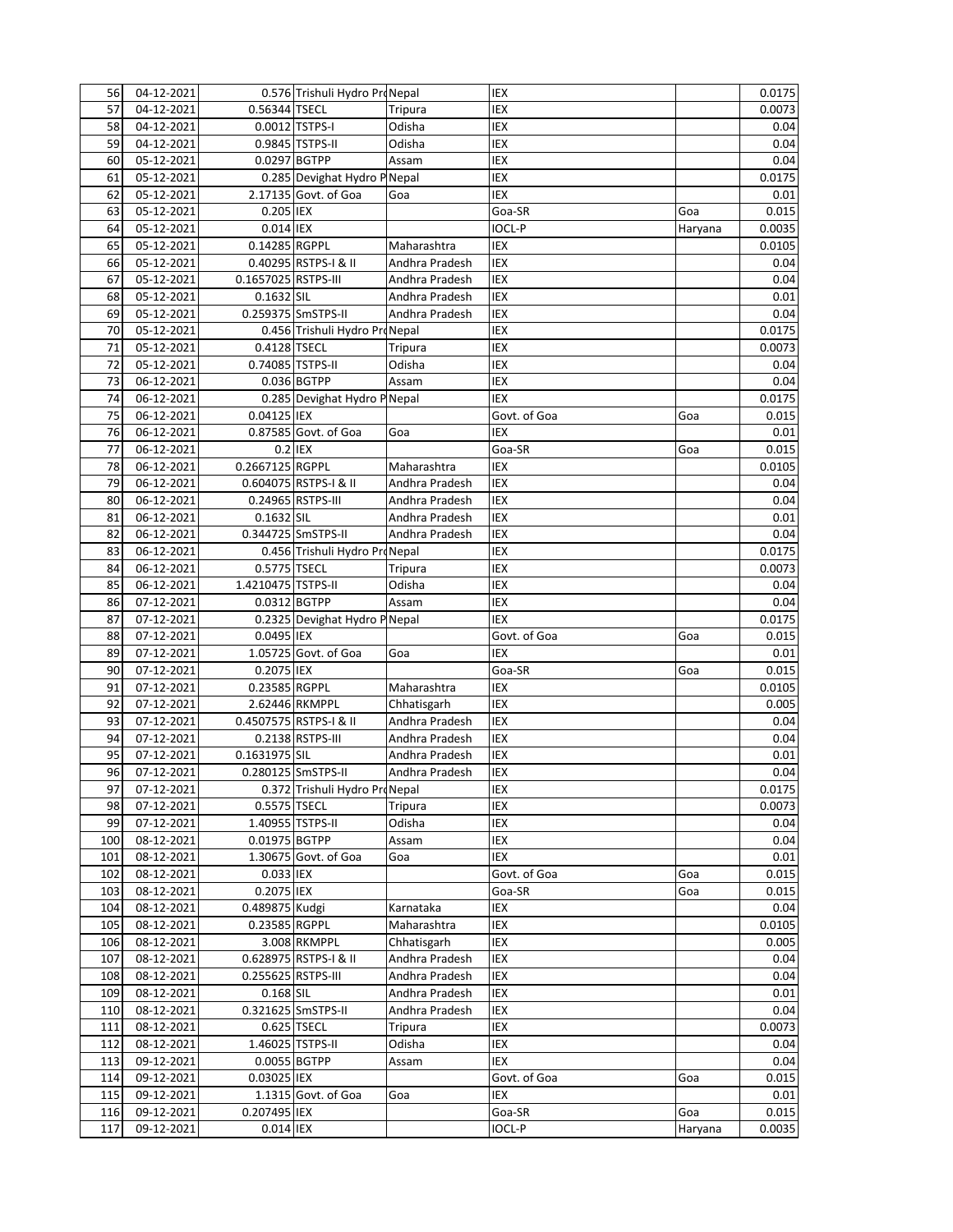| 56  | 04-12-2021               |                     | 0.576 Trishuli Hydro ProNepal              |                                  | IEX           |         | 0.0175 |
|-----|--------------------------|---------------------|--------------------------------------------|----------------------------------|---------------|---------|--------|
| 57  | 04-12-2021               | 0.56344 TSECL       |                                            | Tripura                          | IEX           |         | 0.0073 |
| 58  | 04-12-2021               |                     | 0.0012 TSTPS-I                             | Odisha                           | IEX           |         | 0.04   |
| 59  | $\overline{04}$ -12-2021 |                     | 0.9845 TSTPS-II                            | Odisha                           | IEX           |         | 0.04   |
| 60  | 05-12-2021               | 0.0297 BGTPP        |                                            | Assam                            | IEX           |         | 0.04   |
| 61  | 05-12-2021               |                     | 0.285 Devighat Hydro P Nepal               |                                  | IEX           |         | 0.0175 |
| 62  | 05-12-2021               |                     | 2.17135 Govt. of Goa                       | Goa                              | IEX           |         | 0.01   |
| 63  | 05-12-2021               | 0.205 IEX           |                                            |                                  | Goa-SR        | Goa     | 0.015  |
| 64  | $05 - 12 - 2021$         | 0.014 IEX           |                                            |                                  | <b>IOCL-P</b> | Haryana | 0.0035 |
| 65  | 05-12-2021               | 0.14285 RGPPL       |                                            | Maharashtra                      | IEX           |         | 0.0105 |
| 66  | 05-12-2021               |                     | 0.40295 RSTPS-I & II                       | Andhra Pradesh                   | IEX           |         | 0.04   |
| 67  | 05-12-2021               | 0.1657025 RSTPS-III |                                            | Andhra Pradesh                   | IEX           |         | 0.04   |
| 68  | 05-12-2021               | 0.1632 SIL          |                                            | Andhra Pradesh                   | IEX           |         | 0.01   |
| 69  | 05-12-2021               |                     | 0.259375 SmSTPS-II                         | Andhra Pradesh                   | IEX           |         | 0.04   |
| 70  | $05 - 12 - 2021$         |                     | 0.456 Trishuli Hydro ProNepal              |                                  | IEX           |         | 0.0175 |
| 71  | 05-12-2021               | 0.4128 TSECL        |                                            | Tripura                          | IEX           |         | 0.0073 |
| 72  | 05-12-2021               | 0.74085 TSTPS-II    |                                            | Odisha                           | IEX           |         | 0.04   |
| 73  | 06-12-2021               |                     | 0.036 BGTPP                                | Assam                            | IEX           |         | 0.04   |
| 74  | 06-12-2021               |                     | 0.285 Devighat Hydro P Nepal               |                                  | IEX           |         | 0.0175 |
| 75  | 06-12-2021               | 0.04125 IEX         |                                            |                                  | Govt. of Goa  | Goa     | 0.015  |
| 76  | 06-12-2021               |                     | 0.87585 Govt. of Goa                       | Goa                              | IEX           |         | 0.01   |
| 77  | 06-12-2021               | 0.2 IEX             |                                            |                                  | Goa-SR        | Goa     | 0.015  |
| 78  | 06-12-2021               | 0.2667125 RGPPL     |                                            | Maharashtra                      | IEX           |         | 0.0105 |
| 79  |                          |                     |                                            |                                  | IEX           |         |        |
|     | 06-12-2021               |                     | 0.604075 RSTPS-I & II<br>0.24965 RSTPS-III | Andhra Pradesh<br>Andhra Pradesh | IEX           |         | 0.04   |
| 80  | 06-12-2021               |                     |                                            |                                  |               |         | 0.04   |
| 81  | 06-12-2021               | 0.1632 SIL          |                                            | Andhra Pradesh                   | IEX           |         | 0.01   |
| 82  | 06-12-2021               |                     | 0.344725 SmSTPS-II                         | Andhra Pradesh                   | IEX           |         | 0.04   |
| 83  | 06-12-2021               |                     | 0.456 Trishuli Hydro ProNepal              |                                  | IEX           |         | 0.0175 |
| 84  | 06-12-2021               | 0.5775 TSECL        |                                            | Tripura                          | IEX           |         | 0.0073 |
| 85  | 06-12-2021               | 1.4210475 TSTPS-II  |                                            | Odisha                           | IEX           |         | 0.04   |
| 86  | $07 - 12 - 2021$         | 0.0312 BGTPP        |                                            | Assam                            | IEX           |         | 0.04   |
| 87  | 07-12-2021               |                     | 0.2325 Devighat Hydro P Nepal              |                                  | IEX           |         | 0.0175 |
| 88  | 07-12-2021               | 0.0495 IEX          |                                            |                                  | Govt. of Goa  | Goa     | 0.015  |
| 89  | 07-12-2021               |                     | 1.05725 Govt. of Goa                       | Goa                              | IEX           |         | 0.01   |
| 90  | 07-12-2021               | 0.2075 IEX          |                                            |                                  | Goa-SR        | Goa     | 0.015  |
| 91  | 07-12-2021               | 0.23585 RGPPL       |                                            | Maharashtra                      | IEX           |         | 0.0105 |
| 92  | 07-12-2021               |                     | 2.62446 RKMPPL                             | Chhatisgarh                      | <b>IEX</b>    |         | 0.005  |
| 93  | 07-12-2021               |                     | 0.4507575 RSTPS-I & II                     | Andhra Pradesh                   | IEX           |         | 0.04   |
| 94  | 07-12-2021               |                     | 0.2138 RSTPS-III                           | Andhra Pradesh                   | IEX           |         | 0.04   |
| 95  | 07-12-2021               | 0.1631975 SIL       |                                            | Andhra Pradesh                   | IEX           |         | 0.01   |
| 96  | 07-12-2021               |                     | 0.280125 SmSTPS-II                         | Andhra Pradesh                   | IEX           |         | 0.04   |
| 97  | 07-12-2021               |                     | 0.372 Trishuli Hydro ProNepal              |                                  | IEX           |         | 0.0175 |
| 98  | 07-12-2021               | 0.5575 TSECL        |                                            | Tripura                          | IEX           |         | 0.0073 |
| 99  | 07-12-2021               |                     | 1.40955 TSTPS-II                           | Odisha                           | IEX           |         | 0.04   |
| 100 | 08-12-2021               | 0.01975 BGTPP       |                                            | Assam                            | IEX           |         | 0.04   |
| 101 | 08-12-2021               |                     | 1.30675 Govt. of Goa                       | Goa                              | IEX           |         | 0.01   |
| 102 | 08-12-2021               | 0.033 IEX           |                                            |                                  | Govt. of Goa  | Goa     | 0.015  |
| 103 | 08-12-2021               | 0.2075 IEX          |                                            |                                  | Goa-SR        | Goa     | 0.015  |
| 104 | 08-12-2021               | 0.489875 Kudgi      |                                            | Karnataka                        | IEX           |         | 0.04   |
| 105 | 08-12-2021               | 0.23585 RGPPL       |                                            | Maharashtra                      | IEX           |         | 0.0105 |
| 106 | 08-12-2021               |                     | 3.008 RKMPPL                               | Chhatisgarh                      | IEX           |         | 0.005  |
| 107 | 08-12-2021               |                     | 0.628975 RSTPS-I & II                      | Andhra Pradesh                   | IEX           |         | 0.04   |
| 108 | 08-12-2021               | 0.255625 RSTPS-III  |                                            | Andhra Pradesh                   | IEX           |         | 0.04   |
| 109 | 08-12-2021               | 0.168 SIL           |                                            | Andhra Pradesh                   | IEX           |         | 0.01   |
| 110 | 08-12-2021               |                     | 0.321625 SmSTPS-II                         | Andhra Pradesh                   | IEX           |         | 0.04   |
| 111 | 08-12-2021               |                     | 0.625 TSECL                                | Tripura                          | IEX           |         | 0.0073 |
| 112 | 08-12-2021               |                     | 1.46025 TSTPS-II                           | Odisha                           | IEX           |         | 0.04   |
| 113 | 09-12-2021               | 0.0055 BGTPP        |                                            | Assam                            | IEX           |         | 0.04   |
| 114 | 09-12-2021               | 0.03025 IEX         |                                            |                                  | Govt. of Goa  | Goa     | 0.015  |
| 115 | $09-12-2021$             |                     | 1.1315 Govt. of Goa                        | Goa                              | IEX           |         | 0.01   |
| 116 | 09-12-2021               | 0.207495 IEX        |                                            |                                  | Goa-SR        | Goa     | 0.015  |
| 117 | 09-12-2021               | 0.014 IEX           |                                            |                                  | <b>IOCL-P</b> | Haryana | 0.0035 |
|     |                          |                     |                                            |                                  |               |         |        |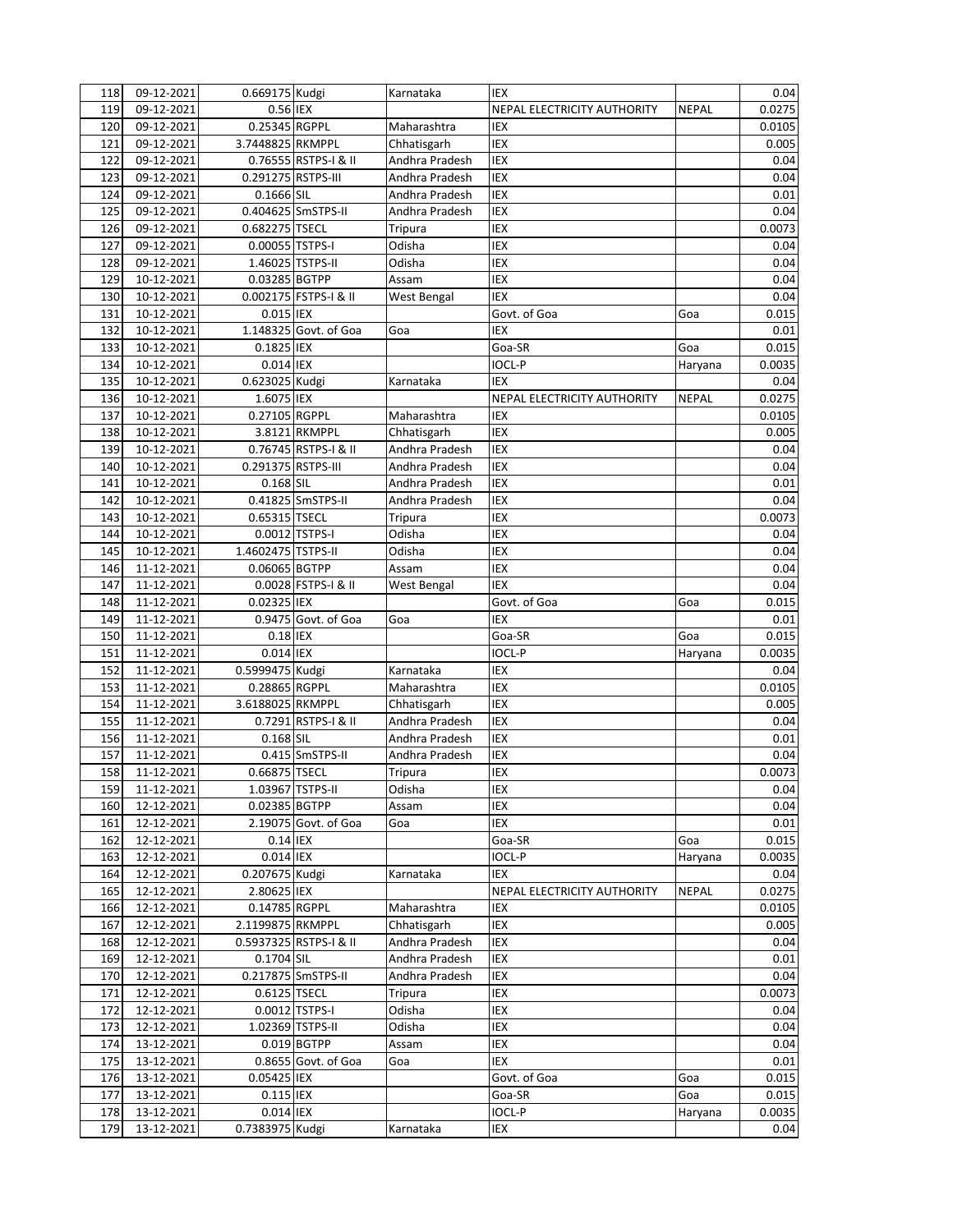| 118 | 09-12-2021       | 0.669175 Kudgi     |                        | Karnataka      | IEX                         |              | 0.04   |
|-----|------------------|--------------------|------------------------|----------------|-----------------------------|--------------|--------|
| 119 | 09-12-2021       | 0.56 IEX           |                        |                | NEPAL ELECTRICITY AUTHORITY | <b>NEPAL</b> | 0.0275 |
| 120 | 09-12-2021       | 0.25345 RGPPL      |                        | Maharashtra    | <b>IEX</b>                  |              | 0.0105 |
| 121 | 09-12-2021       | 3.7448825 RKMPPL   |                        | Chhatisgarh    | <b>IEX</b>                  |              | 0.005  |
| 122 | 09-12-2021       |                    | 0.76555 RSTPS-I & II   | Andhra Pradesh | IEX                         |              | 0.04   |
| 123 | 09-12-2021       | 0.291275 RSTPS-III |                        | Andhra Pradesh | IEX                         |              | 0.04   |
| 124 | 09-12-2021       | 0.1666 SIL         |                        | Andhra Pradesh | IEX                         |              | 0.01   |
| 125 | 09-12-2021       |                    | 0.404625 SmSTPS-II     | Andhra Pradesh | IEX                         |              | 0.04   |
| 126 | 09-12-2021       | 0.682275 TSECL     |                        | Tripura        | IEX                         |              | 0.0073 |
| 127 | 09-12-2021       | 0.00055 TSTPS-I    |                        | Odisha         | IEX                         |              | 0.04   |
| 128 | 09-12-2021       |                    | 1.46025 TSTPS-II       | Odisha         | IEX                         |              | 0.04   |
| 129 | 10-12-2021       | 0.03285 BGTPP      |                        | Assam          | IEX                         |              | 0.04   |
| 130 | 10-12-2021       |                    | 0.002175 FSTPS-I & II  | West Bengal    | <b>IEX</b>                  |              | 0.04   |
| 131 | 10-12-2021       | 0.015 IEX          |                        |                | Govt. of Goa                | Goa          | 0.015  |
| 132 | 10-12-2021       |                    | 1.148325 Govt. of Goa  | Goa            | <b>IEX</b>                  |              | 0.01   |
| 133 | 10-12-2021       | 0.1825 IEX         |                        |                | Goa-SR                      | Goa          | 0.015  |
| 134 | 10-12-2021       | 0.014 IEX          |                        |                | <b>IOCL-P</b>               | Haryana      | 0.0035 |
| 135 | 10-12-2021       | 0.623025 Kudgi     |                        | Karnataka      | <b>IEX</b>                  |              | 0.04   |
|     |                  | 1.6075 IEX         |                        |                |                             | <b>NEPAL</b> | 0.0275 |
| 136 | 10-12-2021       |                    |                        |                | NEPAL ELECTRICITY AUTHORITY |              |        |
| 137 | 10-12-2021       | 0.27105 RGPPL      | 3.8121 RKMPPL          | Maharashtra    | <b>IEX</b>                  |              | 0.0105 |
| 138 | 10-12-2021       |                    |                        | Chhatisgarh    | IEX                         |              | 0.005  |
| 139 | 10-12-2021       |                    | 0.76745 RSTPS-I & II   | Andhra Pradesh | IEX                         |              | 0.04   |
| 140 | 10-12-2021       | 0.291375 RSTPS-III |                        | Andhra Pradesh | <b>IEX</b>                  |              | 0.04   |
| 141 | 10-12-2021       | 0.168 SIL          |                        | Andhra Pradesh | <b>IEX</b>                  |              | 0.01   |
| 142 | 10-12-2021       |                    | 0.41825 SmSTPS-II      | Andhra Pradesh | <b>IEX</b>                  |              | 0.04   |
| 143 | 10-12-2021       | 0.65315 TSECL      |                        | Tripura        | IEX                         |              | 0.0073 |
| 144 | 10-12-2021       |                    | 0.0012 TSTPS-I         | Odisha         | IEX                         |              | 0.04   |
| 145 | 10-12-2021       | 1.4602475 TSTPS-II |                        | Odisha         | IEX                         |              | 0.04   |
| 146 | 11-12-2021       | 0.06065 BGTPP      |                        | Assam          | IEX                         |              | 0.04   |
| 147 | 11-12-2021       |                    | 0.0028 FSTPS-I & II    | West Bengal    | <b>IEX</b>                  |              | 0.04   |
| 148 | 11-12-2021       | 0.02325 IEX        |                        |                | Govt. of Goa                | Goa          | 0.015  |
| 149 | 11-12-2021       |                    | 0.9475 Govt. of Goa    | Goa            | <b>IEX</b>                  |              | 0.01   |
| 150 | 11-12-2021       | $0.18$ IEX         |                        |                | Goa-SR                      | Goa          | 0.015  |
| 151 | 11-12-2021       | 0.014 IEX          |                        |                | <b>IOCL-P</b>               | Haryana      | 0.0035 |
| 152 | 11-12-2021       | 0.5999475 Kudgi    |                        | Karnataka      | IEX                         |              | 0.04   |
| 153 | 11-12-2021       | 0.28865 RGPPL      |                        | Maharashtra    | IEX                         |              | 0.0105 |
| 154 | 11-12-2021       | 3.6188025 RKMPPL   |                        | Chhatisgarh    | <b>IEX</b>                  |              | 0.005  |
| 155 | 11-12-2021       |                    | 0.7291 RSTPS-I & II    | Andhra Pradesh | IEX                         |              | 0.04   |
| 156 | 11-12-2021       | 0.168 SIL          |                        | Andhra Pradesh | IEX                         |              | 0.01   |
| 157 | 11-12-2021       |                    | 0.415 SmSTPS-II        | Andhra Pradesh | IEX                         |              | 0.04   |
| 158 | 11-12-2021       | 0.66875 TSECL      |                        | Tripura        | IEX                         |              | 0.0073 |
| 159 | 11-12-2021       |                    | 1.03967 TSTPS-II       | Odisha         | IEX                         |              | 0.04   |
| 160 | 12-12-2021       | 0.02385 BGTPP      |                        | Assam          | IEX                         |              | 0.04   |
| 161 | 12-12-2021       |                    | 2.19075 Govt. of Goa   | Goa            | IEX                         |              | 0.01   |
| 162 | 12-12-2021       | $0.14$ IEX         |                        |                | Goa-SR                      | Goa          | 0.015  |
| 163 | 12-12-2021       | 0.014 IEX          |                        |                | <b>IOCL-P</b>               | Haryana      | 0.0035 |
| 164 | 12-12-2021       | 0.207675 Kudgi     |                        | Karnataka      | IEX                         |              | 0.04   |
| 165 | 12-12-2021       | 2.80625 IEX        |                        |                | NEPAL ELECTRICITY AUTHORITY | <b>NEPAL</b> | 0.0275 |
| 166 | 12-12-2021       | 0.14785 RGPPL      |                        | Maharashtra    | IEX                         |              | 0.0105 |
| 167 | 12-12-2021       | 2.1199875 RKMPPL   |                        | Chhatisgarh    | IEX                         |              | 0.005  |
| 168 | $12 - 12 - 2021$ |                    | 0.5937325 RSTPS-I & II | Andhra Pradesh | IEX                         |              | 0.04   |
| 169 | 12-12-2021       | 0.1704 SIL         |                        | Andhra Pradesh | IEX                         |              | 0.01   |
| 170 | 12-12-2021       |                    | 0.217875 SmSTPS-II     | Andhra Pradesh | IEX                         |              | 0.04   |
| 171 | 12-12-2021       | 0.6125 TSECL       |                        | Tripura        | IEX                         |              | 0.0073 |
| 172 | 12-12-2021       |                    | 0.0012 TSTPS-I         | Odisha         | IEX                         |              | 0.04   |
| 173 | 12-12-2021       |                    | 1.02369 TSTPS-II       | Odisha         | IEX                         |              | 0.04   |
| 174 | 13-12-2021       |                    | $0.019$ BGTPP          | Assam          | IEX                         |              | 0.04   |
| 175 | 13-12-2021       |                    | 0.8655 Govt. of Goa    | Goa            | IEX                         |              | 0.01   |
| 176 | 13-12-2021       | 0.05425 IEX        |                        |                | Govt. of Goa                | Goa          | 0.015  |
| 177 | 13-12-2021       | 0.115 IEX          |                        |                | Goa-SR                      | Goa          | 0.015  |
| 178 | 13-12-2021       | 0.014 IEX          |                        |                | IOCL-P                      | Haryana      | 0.0035 |
| 179 | 13-12-2021       | 0.7383975 Kudgi    |                        | Karnataka      | IEX                         |              | 0.04   |
|     |                  |                    |                        |                |                             |              |        |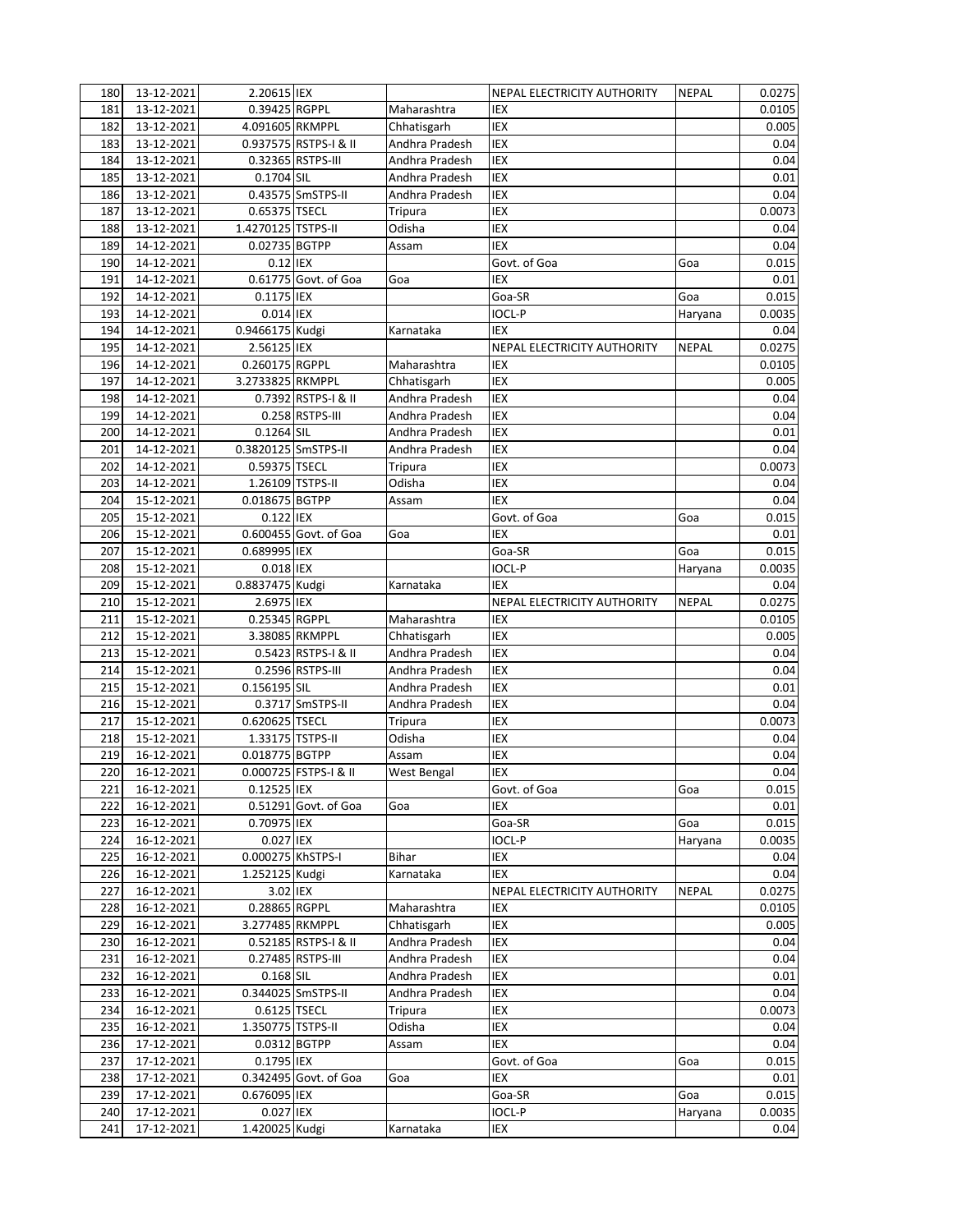| 180 | 13-12-2021 | 2.20615 IEX         |                         |                | NEPAL ELECTRICITY AUTHORITY | <b>NEPAL</b> | 0.0275 |
|-----|------------|---------------------|-------------------------|----------------|-----------------------------|--------------|--------|
| 181 | 13-12-2021 | 0.39425 RGPPL       |                         | Maharashtra    | IEX                         |              | 0.0105 |
| 182 | 13-12-2021 | 4.091605 RKMPPL     |                         | Chhatisgarh    | IEX                         |              | 0.005  |
| 183 | 13-12-2021 |                     | 0.937575 RSTPS-I & II   | Andhra Pradesh | IEX                         |              | 0.04   |
| 184 | 13-12-2021 |                     | 0.32365 RSTPS-III       | Andhra Pradesh | IEX                         |              | 0.04   |
| 185 | 13-12-2021 | 0.1704 SIL          |                         | Andhra Pradesh | IEX                         |              | 0.01   |
| 186 | 13-12-2021 |                     | 0.43575 SmSTPS-II       | Andhra Pradesh | IEX                         |              | 0.04   |
| 187 | 13-12-2021 | 0.65375 TSECL       |                         | Tripura        | IEX                         |              | 0.0073 |
| 188 | 13-12-2021 | 1.4270125 TSTPS-II  |                         | Odisha         | IEX                         |              | 0.04   |
| 189 | 14-12-2021 | 0.02735 BGTPP       |                         | Assam          | IEX                         |              | 0.04   |
| 190 | 14-12-2021 | $0.12$ IEX          |                         |                | Govt. of Goa                | Goa          | 0.015  |
| 191 | 14-12-2021 |                     | 0.61775 Govt. of Goa    | Goa            | IEX                         |              | 0.01   |
| 192 | 14-12-2021 | 0.1175 IEX          |                         |                | Goa-SR                      | Goa          | 0.015  |
| 193 | 14-12-2021 | 0.014 IEX           |                         |                | <b>IOCL-P</b>               | Haryana      | 0.0035 |
| 194 | 14-12-2021 | 0.9466175 Kudgi     |                         | Karnataka      | IEX                         |              | 0.04   |
| 195 | 14-12-2021 | 2.56125 IEX         |                         |                | NEPAL ELECTRICITY AUTHORITY | <b>NEPAL</b> | 0.0275 |
| 196 | 14-12-2021 | 0.260175 RGPPL      |                         | Maharashtra    | IEX                         |              |        |
|     |            |                     |                         |                | IEX                         |              | 0.0105 |
| 197 | 14-12-2021 | 3.2733825 RKMPPL    |                         | Chhatisgarh    |                             |              | 0.005  |
| 198 | 14-12-2021 |                     | 0.7392 RSTPS-I & II     | Andhra Pradesh | IEX                         |              | 0.04   |
| 199 | 14-12-2021 |                     | 0.258 RSTPS-III         | Andhra Pradesh | IEX                         |              | 0.04   |
| 200 | 14-12-2021 | 0.1264 SIL          |                         | Andhra Pradesh | IEX                         |              | 0.01   |
| 201 | 14-12-2021 | 0.3820125 SmSTPS-II |                         | Andhra Pradesh | IEX                         |              | 0.04   |
| 202 | 14-12-2021 | 0.59375 TSECL       |                         | Tripura        | IEX                         |              | 0.0073 |
| 203 | 14-12-2021 |                     | 1.26109 TSTPS-II        | Odisha         | IEX                         |              | 0.04   |
| 204 | 15-12-2021 | 0.018675 BGTPP      |                         | Assam          | IEX                         |              | 0.04   |
| 205 | 15-12-2021 | 0.122 IEX           |                         |                | Govt. of Goa                | Goa          | 0.015  |
| 206 | 15-12-2021 |                     | $0.600455$ Govt. of Goa | Goa            | IEX                         |              | 0.01   |
| 207 | 15-12-2021 | 0.689995 IEX        |                         |                | Goa-SR                      | Goa          | 0.015  |
| 208 | 15-12-2021 | 0.018 IEX           |                         |                | <b>IOCL-P</b>               | Haryana      | 0.0035 |
| 209 | 15-12-2021 | 0.8837475 Kudgi     |                         | Karnataka      | IEX                         |              | 0.04   |
| 210 | 15-12-2021 | 2.6975 IEX          |                         |                | NEPAL ELECTRICITY AUTHORITY | <b>NEPAL</b> | 0.0275 |
| 211 | 15-12-2021 | 0.25345 RGPPL       |                         | Maharashtra    | <b>IEX</b>                  |              | 0.0105 |
| 212 | 15-12-2021 |                     | 3.38085 RKMPPL          | Chhatisgarh    | IEX                         |              | 0.005  |
| 213 | 15-12-2021 |                     | 0.5423 RSTPS-I & II     | Andhra Pradesh | IEX                         |              | 0.04   |
| 214 | 15-12-2021 |                     | 0.2596 RSTPS-III        | Andhra Pradesh | IEX                         |              | 0.04   |
| 215 | 15-12-2021 | 0.156195 SIL        |                         | Andhra Pradesh | IEX                         |              | 0.01   |
| 216 | 15-12-2021 |                     | 0.3717 SmSTPS-II        | Andhra Pradesh | IEX                         |              | 0.04   |
| 217 | 15-12-2021 | 0.620625 TSECL      |                         | Tripura        | IEX                         |              | 0.0073 |
| 218 | 15-12-2021 |                     | 1.33175 TSTPS-II        | Odisha         | IEX                         |              | 0.04   |
| 219 | 16-12-2021 | 0.018775 BGTPP      |                         | Assam          | IEX                         |              | 0.04   |
| 220 | 16-12-2021 |                     | 0.000725 FSTPS-I & II   | West Bengal    | IEX                         |              | 0.04   |
| 221 | 16-12-2021 | 0.12525 IEX         |                         |                | Govt. of Goa                | Goa          | 0.015  |
| 222 | 16-12-2021 |                     | 0.51291 Govt. of Goa    | Goa            | IEX                         |              | 0.01   |
| 223 | 16-12-2021 | 0.70975 IEX         |                         |                | Goa-SR                      | Goa          | 0.015  |
| 224 | 16-12-2021 | 0.027 IEX           |                         |                | <b>IOCL-P</b>               | Haryana      | 0.0035 |
| 225 | 16-12-2021 | 0.000275 KhSTPS-I   |                         | Bihar          | IEX                         |              | 0.04   |
| 226 | 16-12-2021 | 1.252125 Kudgi      |                         | Karnataka      | IEX                         |              | 0.04   |
| 227 | 16-12-2021 | 3.02 IEX            |                         |                | NEPAL ELECTRICITY AUTHORITY | <b>NEPAL</b> | 0.0275 |
| 228 | 16-12-2021 | 0.28865 RGPPL       |                         | Maharashtra    | IEX                         |              | 0.0105 |
| 229 | 16-12-2021 | 3.277485 RKMPPL     |                         | Chhatisgarh    | IEX                         |              | 0.005  |
| 230 | 16-12-2021 |                     | 0.52185 RSTPS-I & II    | Andhra Pradesh | IEX                         |              | 0.04   |
| 231 | 16-12-2021 |                     | 0.27485 RSTPS-III       | Andhra Pradesh | IEX                         |              | 0.04   |
| 232 | 16-12-2021 | 0.168 SIL           |                         | Andhra Pradesh | IEX                         |              | 0.01   |
| 233 | 16-12-2021 |                     | 0.344025 SmSTPS-II      | Andhra Pradesh | IEX                         |              | 0.04   |
| 234 | 16-12-2021 | 0.6125 TSECL        |                         | Tripura        | IEX                         |              | 0.0073 |
| 235 | 16-12-2021 | 1.350775 TSTPS-II   |                         | Odisha         | IEX                         |              | 0.04   |
| 236 | 17-12-2021 |                     | 0.0312 BGTPP            | Assam          | IEX                         |              | 0.04   |
| 237 | 17-12-2021 | 0.1795 IEX          |                         |                | Govt. of Goa                | Goa          | 0.015  |
| 238 | 17-12-2021 |                     | 0.342495 Govt. of Goa   | Goa            | IEX                         |              | 0.01   |
| 239 | 17-12-2021 | 0.676095 IEX        |                         |                | Goa-SR                      | Goa          | 0.015  |
| 240 | 17-12-2021 | 0.027 IEX           |                         |                | IOCL-P                      | Haryana      | 0.0035 |
| 241 | 17-12-2021 | 1.420025 Kudgi      |                         | Karnataka      | IEX                         |              | 0.04   |
|     |            |                     |                         |                |                             |              |        |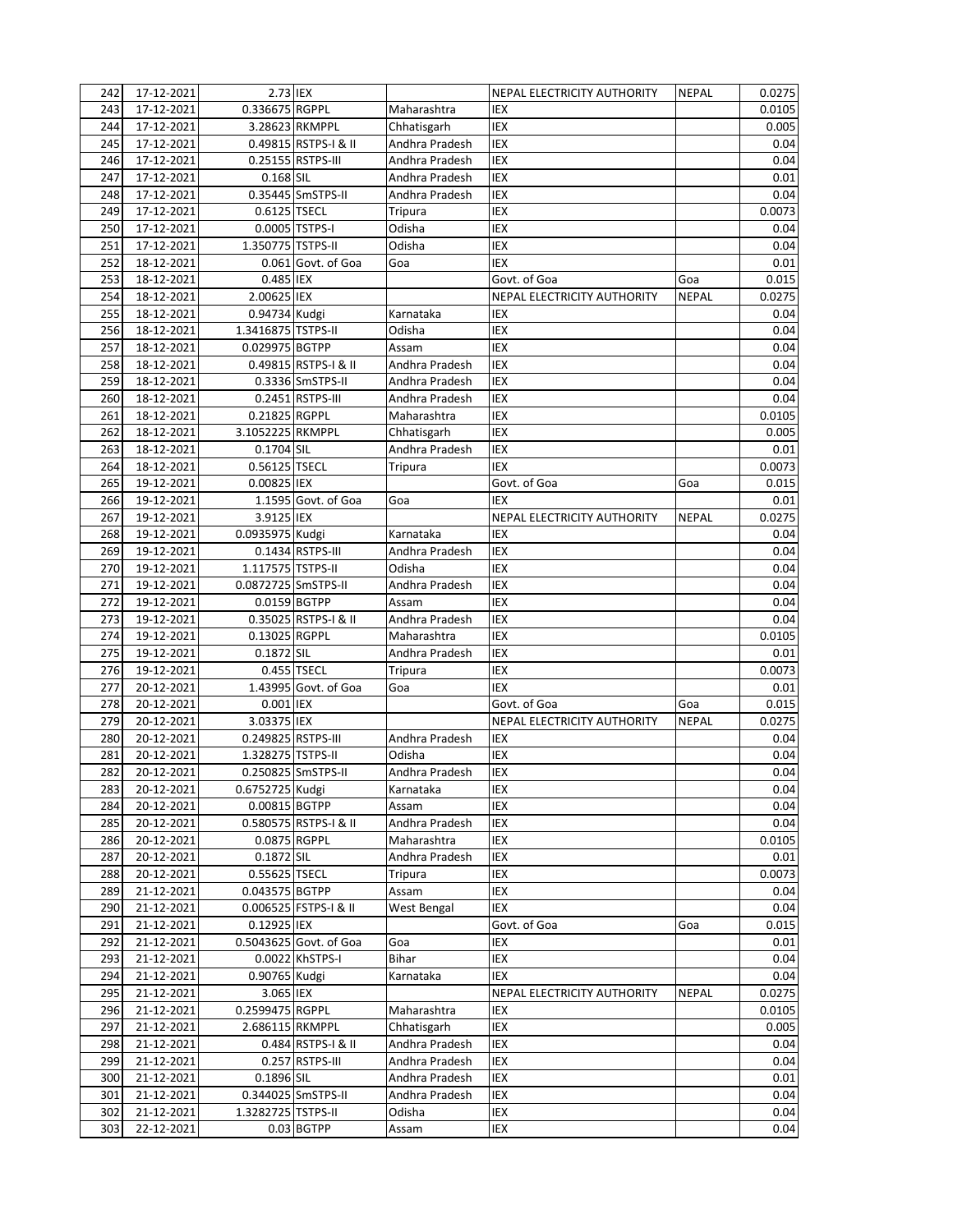| 242 | 17-12-2021 | 2.73 IEX            |                        |                | NEPAL ELECTRICITY AUTHORITY | <b>NEPAL</b> | 0.0275 |
|-----|------------|---------------------|------------------------|----------------|-----------------------------|--------------|--------|
| 243 | 17-12-2021 | 0.336675 RGPPL      |                        | Maharashtra    | IEX                         |              | 0.0105 |
| 244 | 17-12-2021 |                     | 3.28623 RKMPPL         | Chhatisgarh    | IEX                         |              | 0.005  |
| 245 | 17-12-2021 |                     | 0.49815 RSTPS-I & II   | Andhra Pradesh | IEX                         |              | 0.04   |
| 246 | 17-12-2021 |                     | 0.25155 RSTPS-III      | Andhra Pradesh | IEX                         |              | 0.04   |
| 247 | 17-12-2021 | 0.168 SIL           |                        | Andhra Pradesh | IEX                         |              | 0.01   |
| 248 | 17-12-2021 |                     | 0.35445 SmSTPS-II      | Andhra Pradesh | IEX                         |              | 0.04   |
| 249 | 17-12-2021 | 0.6125 TSECL        |                        | Tripura        | IEX                         |              | 0.0073 |
| 250 | 17-12-2021 |                     | 0.0005 TSTPS-I         | Odisha         | IEX                         |              | 0.04   |
| 251 | 17-12-2021 | 1.350775 TSTPS-II   |                        | Odisha         | IEX                         |              | 0.04   |
| 252 | 18-12-2021 |                     | 0.061 Govt. of Goa     | Goa            | IEX                         |              | 0.01   |
| 253 | 18-12-2021 | 0.485 IEX           |                        |                | Govt. of Goa                | Goa          | 0.015  |
| 254 | 18-12-2021 | 2.00625 IEX         |                        |                | NEPAL ELECTRICITY AUTHORITY | <b>NEPAL</b> | 0.0275 |
| 255 | 18-12-2021 | 0.94734 Kudgi       |                        | Karnataka      | IEX                         |              | 0.04   |
| 256 | 18-12-2021 | 1.3416875 TSTPS-II  |                        | Odisha         | IEX                         |              | 0.04   |
| 257 | 18-12-2021 | 0.029975 BGTPP      |                        | Assam          | IEX                         |              | 0.04   |
| 258 | 18-12-2021 |                     | 0.49815 RSTPS-I & II   | Andhra Pradesh | IEX                         |              | 0.04   |
| 259 | 18-12-2021 |                     | 0.3336 SmSTPS-II       | Andhra Pradesh | IEX                         |              | 0.04   |
| 260 | 18-12-2021 |                     | 0.2451 RSTPS-III       | Andhra Pradesh | IEX                         |              | 0.04   |
| 261 | 18-12-2021 | 0.21825 RGPPL       |                        | Maharashtra    | IEX                         |              | 0.0105 |
| 262 | 18-12-2021 | 3.1052225 RKMPPL    |                        | Chhatisgarh    | IEX                         |              | 0.005  |
| 263 | 18-12-2021 | 0.1704 SIL          |                        | Andhra Pradesh | IEX                         |              | 0.01   |
| 264 | 18-12-2021 | 0.56125 TSECL       |                        | Tripura        | IEX                         |              | 0.0073 |
| 265 | 19-12-2021 | 0.00825 IEX         |                        |                | Govt. of Goa                | Goa          | 0.015  |
| 266 | 19-12-2021 |                     | 1.1595 Govt. of Goa    | Goa            | IEX                         |              | 0.01   |
| 267 | 19-12-2021 | 3.9125 IEX          |                        |                | NEPAL ELECTRICITY AUTHORITY | <b>NEPAL</b> | 0.0275 |
| 268 | 19-12-2021 | 0.0935975 Kudgi     |                        | Karnataka      | IEX                         |              | 0.04   |
|     |            |                     |                        |                |                             |              |        |
| 269 | 19-12-2021 | 1.117575 TSTPS-II   | 0.1434 RSTPS-III       | Andhra Pradesh | IEX<br>IEX                  |              | 0.04   |
| 270 | 19-12-2021 |                     |                        | Odisha         |                             |              | 0.04   |
| 271 | 19-12-2021 | 0.0872725 SmSTPS-II |                        | Andhra Pradesh | IEX                         |              | 0.04   |
| 272 | 19-12-2021 |                     | 0.0159 BGTPP           | Assam          | <b>IEX</b>                  |              | 0.04   |
| 273 | 19-12-2021 |                     | 0.35025 RSTPS-I & II   | Andhra Pradesh | IEX                         |              | 0.04   |
| 274 | 19-12-2021 | 0.13025 RGPPL       |                        | Maharashtra    | IEX                         |              | 0.0105 |
| 275 | 19-12-2021 | $0.1872$ SIL        |                        | Andhra Pradesh | IEX                         |              | 0.01   |
| 276 | 19-12-2021 |                     | 0.455 TSECL            | Tripura        | IEX                         |              | 0.0073 |
| 277 | 20-12-2021 |                     | 1.43995 Govt. of Goa   | Goa            | IEX                         |              | 0.01   |
| 278 | 20-12-2021 | 0.001 IEX           |                        |                | Govt. of Goa                | Goa          | 0.015  |
| 279 | 20-12-2021 | 3.03375 IEX         |                        |                | NEPAL ELECTRICITY AUTHORITY | <b>NEPAL</b> | 0.0275 |
| 280 | 20-12-2021 | 0.249825 RSTPS-III  |                        | Andhra Pradesh | IEX                         |              | 0.04   |
| 281 | 20-12-2021 | 1.328275 TSTPS-II   |                        | Odisha         | IEX                         |              | 0.04   |
| 282 | 20-12-2021 |                     | 0.250825 SmSTPS-II     | Andhra Pradesh | IEX                         |              | 0.04   |
| 283 | 20-12-2021 | 0.6752725 Kudgi     |                        | Karnataka      | IEX                         |              | 0.04   |
| 284 | 20-12-2021 | 0.00815 BGTPP       |                        | Assam          | IEX                         |              | 0.04   |
| 285 | 20-12-2021 |                     | 0.580575 RSTPS-I & II  | Andhra Pradesh | IEX                         |              | 0.04   |
| 286 | 20-12-2021 | 0.0875 RGPPL        |                        | Maharashtra    | IEX                         |              | 0.0105 |
| 287 | 20-12-2021 | 0.1872 SIL          |                        | Andhra Pradesh | IEX                         |              | 0.01   |
| 288 | 20-12-2021 | 0.55625 TSECL       |                        | Tripura        | IEX                         |              | 0.0073 |
| 289 | 21-12-2021 | 0.043575 BGTPP      |                        | Assam          | IEX                         |              | 0.04   |
| 290 | 21-12-2021 |                     | 0.006525 FSTPS-I & II  | West Bengal    | IEX                         |              | 0.04   |
| 291 | 21-12-2021 | 0.12925 IEX         |                        |                | Govt. of Goa                | Goa          | 0.015  |
| 292 | 21-12-2021 |                     | 0.5043625 Govt. of Goa | Goa            | IEX                         |              | 0.01   |
| 293 | 21-12-2021 |                     | 0.0022 KhSTPS-I        | Bihar          | IEX                         |              | 0.04   |
| 294 | 21-12-2021 | 0.90765 Kudgi       |                        | Karnataka      | IEX                         |              | 0.04   |
| 295 | 21-12-2021 | 3.065 IEX           |                        |                | NEPAL ELECTRICITY AUTHORITY | <b>NEPAL</b> | 0.0275 |
| 296 | 21-12-2021 | 0.2599475 RGPPL     |                        | Maharashtra    | IEX                         |              | 0.0105 |
| 297 | 21-12-2021 | 2.686115 RKMPPL     |                        | Chhatisgarh    | IEX                         |              | 0.005  |
| 298 | 21-12-2021 |                     | 0.484 RSTPS-I & II     | Andhra Pradesh | IEX                         |              | 0.04   |
| 299 | 21-12-2021 |                     | 0.257 RSTPS-III        | Andhra Pradesh | IEX                         |              | 0.04   |
| 300 | 21-12-2021 | 0.1896 SIL          |                        | Andhra Pradesh | IEX                         |              | 0.01   |
| 301 | 21-12-2021 |                     | 0.344025 SmSTPS-II     | Andhra Pradesh | IEX                         |              | 0.04   |
| 302 | 21-12-2021 | 1.3282725 TSTPS-II  |                        | Odisha         | IEX                         |              | 0.04   |
| 303 | 22-12-2021 |                     | $0.03$ BGTPP           | Assam          | IEX                         |              | 0.04   |
|     |            |                     |                        |                |                             |              |        |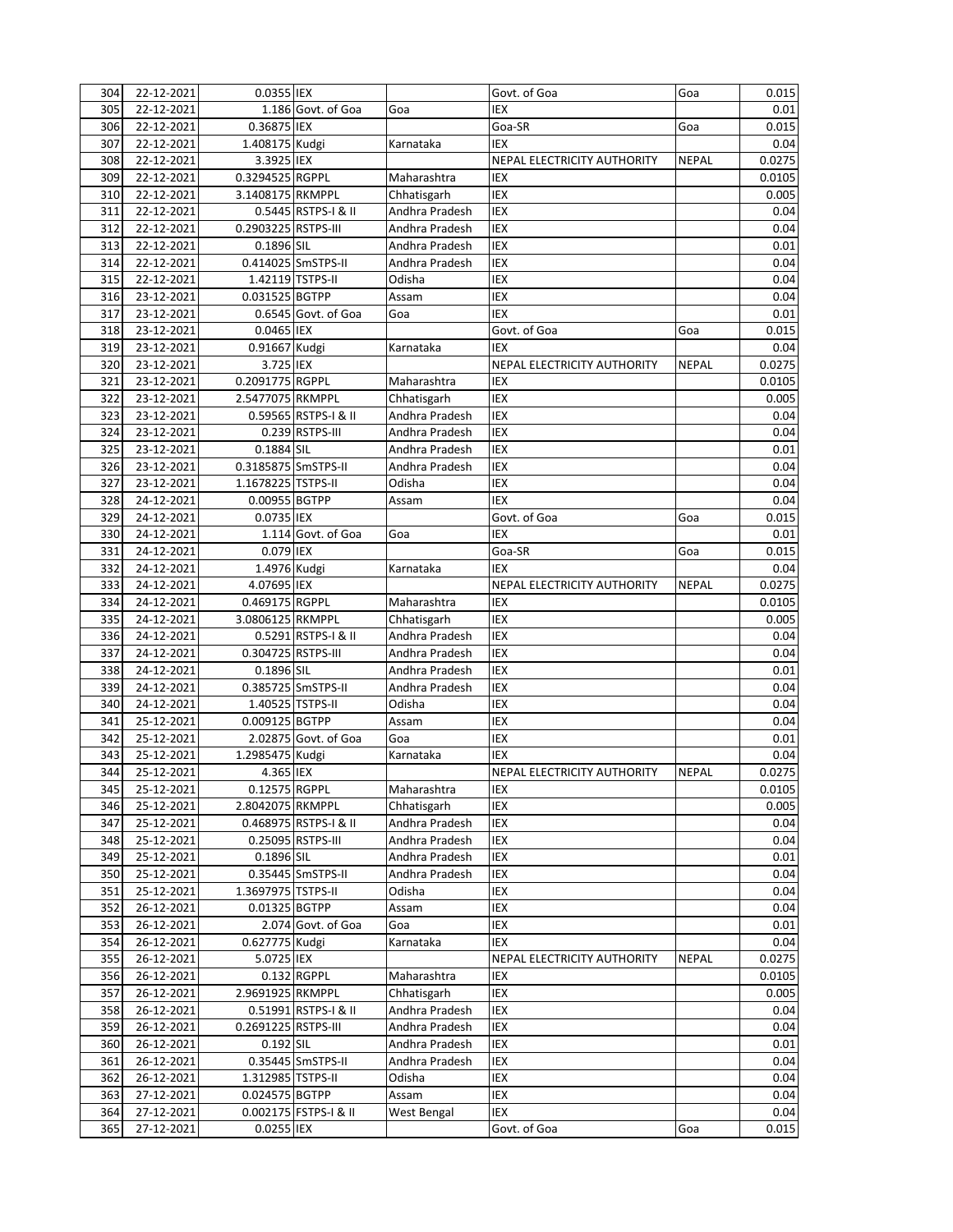| 304 | 22-12-2021                  | 0.0355 IEX          |                       |                | Govt. of Goa                | Goa          | 0.015  |
|-----|-----------------------------|---------------------|-----------------------|----------------|-----------------------------|--------------|--------|
| 305 | 22-12-2021                  |                     | 1.186 Govt. of Goa    | Goa            | IEX                         |              | 0.01   |
| 306 | 22-12-2021                  | 0.36875 IEX         |                       |                | Goa-SR                      | Goa          | 0.015  |
| 307 | 22-12-2021                  | 1.408175 Kudgi      |                       | Karnataka      | <b>IEX</b>                  |              | 0.04   |
| 308 | 22-12-2021                  | 3.3925 IEX          |                       |                | NEPAL ELECTRICITY AUTHORITY | <b>NEPAL</b> | 0.0275 |
| 309 | 22-12-2021                  | 0.3294525 RGPPL     |                       | Maharashtra    | IEX                         |              | 0.0105 |
| 310 | 22-12-2021                  | 3.1408175 RKMPPL    |                       | Chhatisgarh    | IEX                         |              | 0.005  |
| 311 | 22-12-2021                  |                     | 0.5445 RSTPS-I & II   | Andhra Pradesh | IEX                         |              | 0.04   |
| 312 | 22-12-2021                  | 0.2903225 RSTPS-III |                       | Andhra Pradesh | <b>IEX</b>                  |              | 0.04   |
| 313 | $\overline{22} - 12 - 2021$ | 0.1896 SIL          |                       | Andhra Pradesh | <b>IEX</b>                  |              | 0.01   |
| 314 | 22-12-2021                  |                     | 0.414025 SmSTPS-II    | Andhra Pradesh | IEX                         |              | 0.04   |
| 315 | 22-12-2021                  |                     | 1.42119 TSTPS-II      | Odisha         | IEX                         |              | 0.04   |
| 316 | 23-12-2021                  | 0.031525 BGTPP      |                       | Assam          | IEX                         |              | 0.04   |
| 317 | 23-12-2021                  |                     | 0.6545 Govt. of Goa   | Goa            | <b>IEX</b>                  |              | 0.01   |
| 318 | 23-12-2021                  | 0.0465 IEX          |                       |                | Govt. of Goa                | Goa          | 0.015  |
| 319 | 23-12-2021                  | 0.91667 Kudgi       |                       | Karnataka      | <b>IEX</b>                  |              | 0.04   |
| 320 | 23-12-2021                  | 3.725 IEX           |                       |                | NEPAL ELECTRICITY AUTHORITY | <b>NEPAL</b> | 0.0275 |
| 321 | 23-12-2021                  | 0.2091775 RGPPL     |                       | Maharashtra    | IEX                         |              | 0.0105 |
| 322 | 23-12-2021                  | 2.5477075 RKMPPL    |                       | Chhatisgarh    | <b>IEX</b>                  |              | 0.005  |
| 323 | 23-12-2021                  |                     | 0.59565 RSTPS-I & II  | Andhra Pradesh | IEX                         |              | 0.04   |
| 324 | 23-12-2021                  |                     | 0.239 RSTPS-III       | Andhra Pradesh | <b>IEX</b>                  |              | 0.04   |
| 325 | 23-12-2021                  | 0.1884 SIL          |                       | Andhra Pradesh | IEX                         |              | 0.01   |
| 326 | 23-12-2021                  | 0.3185875 SmSTPS-II |                       | Andhra Pradesh | IEX                         |              | 0.04   |
| 327 | 23-12-2021                  | 1.1678225 TSTPS-II  |                       | Odisha         | IEX                         |              | 0.04   |
| 328 | 24-12-2021                  | 0.00955 BGTPP       |                       | Assam          | <b>IEX</b>                  |              | 0.04   |
| 329 | 24-12-2021                  | 0.0735 IEX          |                       |                | Govt. of Goa                | Goa          | 0.015  |
| 330 | 24-12-2021                  |                     | 1.114 Govt. of Goa    | Goa            | <b>IEX</b>                  |              | 0.01   |
| 331 | 24-12-2021                  | 0.079 IEX           |                       |                | Goa-SR                      | Goa          | 0.015  |
| 332 | 24-12-2021                  | 1.4976 Kudgi        |                       | Karnataka      | <b>IEX</b>                  |              | 0.04   |
| 333 | 24-12-2021                  | 4.07695 IEX         |                       |                | NEPAL ELECTRICITY AUTHORITY | <b>NEPAL</b> | 0.0275 |
| 334 | 24-12-2021                  | 0.469175 RGPPL      |                       | Maharashtra    | <b>IEX</b>                  |              | 0.0105 |
| 335 | 24-12-2021                  | 3.0806125 RKMPPL    |                       | Chhatisgarh    | IEX                         |              | 0.005  |
| 336 | 24-12-2021                  |                     | 0.5291 RSTPS-I & II   | Andhra Pradesh | IEX                         |              | 0.04   |
| 337 | 24-12-2021                  | 0.304725 RSTPS-III  |                       | Andhra Pradesh | <b>IEX</b>                  |              | 0.04   |
| 338 | $24 - 12 - 2021$            | 0.1896 SIL          |                       | Andhra Pradesh | <b>IEX</b>                  |              | 0.01   |
|     |                             |                     |                       |                | <b>IEX</b>                  |              |        |
| 339 | 24-12-2021<br>24-12-2021    |                     | 0.385725 SmSTPS-II    | Andhra Pradesh | <b>IEX</b>                  |              | 0.04   |
| 340 |                             | 0.009125 BGTPP      | 1.40525 TSTPS-II      | Odisha         |                             |              | 0.04   |
| 341 | 25-12-2021                  |                     | 2.02875 Govt. of Goa  | Assam          | IEX                         |              | 0.04   |
| 342 | 25-12-2021                  |                     |                       | Goa            | IEX                         |              | 0.01   |
| 343 | 25-12-2021                  | 1.2985475 Kudgi     |                       | Karnataka      | <b>IEX</b>                  |              | 0.04   |
| 344 | 25-12-2021                  | 4.365 IEX           |                       |                | NEPAL ELECTRICITY AUTHORITY | <b>NEPAL</b> | 0.0275 |
| 345 | 25-12-2021                  | 0.12575 RGPPL       |                       | Maharashtra    | IEX                         |              | 0.0105 |
| 346 | 25-12-2021                  | 2.8042075 RKMPPL    |                       | Chhatisgarh    | IEX                         |              | 0.005  |
| 347 | 25-12-2021                  |                     | 0.468975 RSTPS-I & II | Andhra Pradesh | IEX                         |              | 0.04   |
| 348 | 25-12-2021                  |                     | 0.25095 RSTPS-III     | Andhra Pradesh | IEX                         |              | 0.04   |
| 349 | 25-12-2021                  | 0.1896 SIL          |                       | Andhra Pradesh | IEX                         |              | 0.01   |
| 350 | 25-12-2021                  |                     | 0.35445 SmSTPS-II     | Andhra Pradesh | IEX                         |              | 0.04   |
| 351 | 25-12-2021                  | 1.3697975 TSTPS-II  |                       | Odisha         | IEX                         |              | 0.04   |
| 352 | 26-12-2021                  | 0.01325 BGTPP       |                       | Assam          | IEX                         |              | 0.04   |
| 353 | 26-12-2021                  |                     | 2.074 Govt. of Goa    | Goa            | IEX                         |              | 0.01   |
| 354 | 26-12-2021                  | 0.627775 Kudgi      |                       | Karnataka      | IEX                         |              | 0.04   |
| 355 | 26-12-2021                  | 5.0725 IEX          |                       |                | NEPAL ELECTRICITY AUTHORITY | <b>NEPAL</b> | 0.0275 |
| 356 | 26-12-2021                  |                     | 0.132 RGPPL           | Maharashtra    | IEX                         |              | 0.0105 |
| 357 | 26-12-2021                  | 2.9691925 RKMPPL    |                       | Chhatisgarh    | IEX                         |              | 0.005  |
| 358 | 26-12-2021                  |                     | 0.51991 RSTPS-I & II  | Andhra Pradesh | IEX                         |              | 0.04   |
| 359 | 26-12-2021                  | 0.2691225 RSTPS-III |                       | Andhra Pradesh | IEX                         |              | 0.04   |
| 360 | 26-12-2021                  | 0.192 SIL           |                       | Andhra Pradesh | IEX                         |              | 0.01   |
| 361 | 26-12-2021                  |                     | 0.35445 SmSTPS-II     | Andhra Pradesh | IEX                         |              | 0.04   |
| 362 | 26-12-2021                  | 1.312985 TSTPS-II   |                       | Odisha         | IEX                         |              | 0.04   |
| 363 | 27-12-2021                  | 0.024575 BGTPP      |                       | Assam          | IEX                         |              | 0.04   |
| 364 | 27-12-2021                  |                     | 0.002175 FSTPS-I & II | West Bengal    | IEX                         |              | 0.04   |
| 365 | 27-12-2021                  | 0.0255 IEX          |                       |                | Govt. of Goa                | Goa          | 0.015  |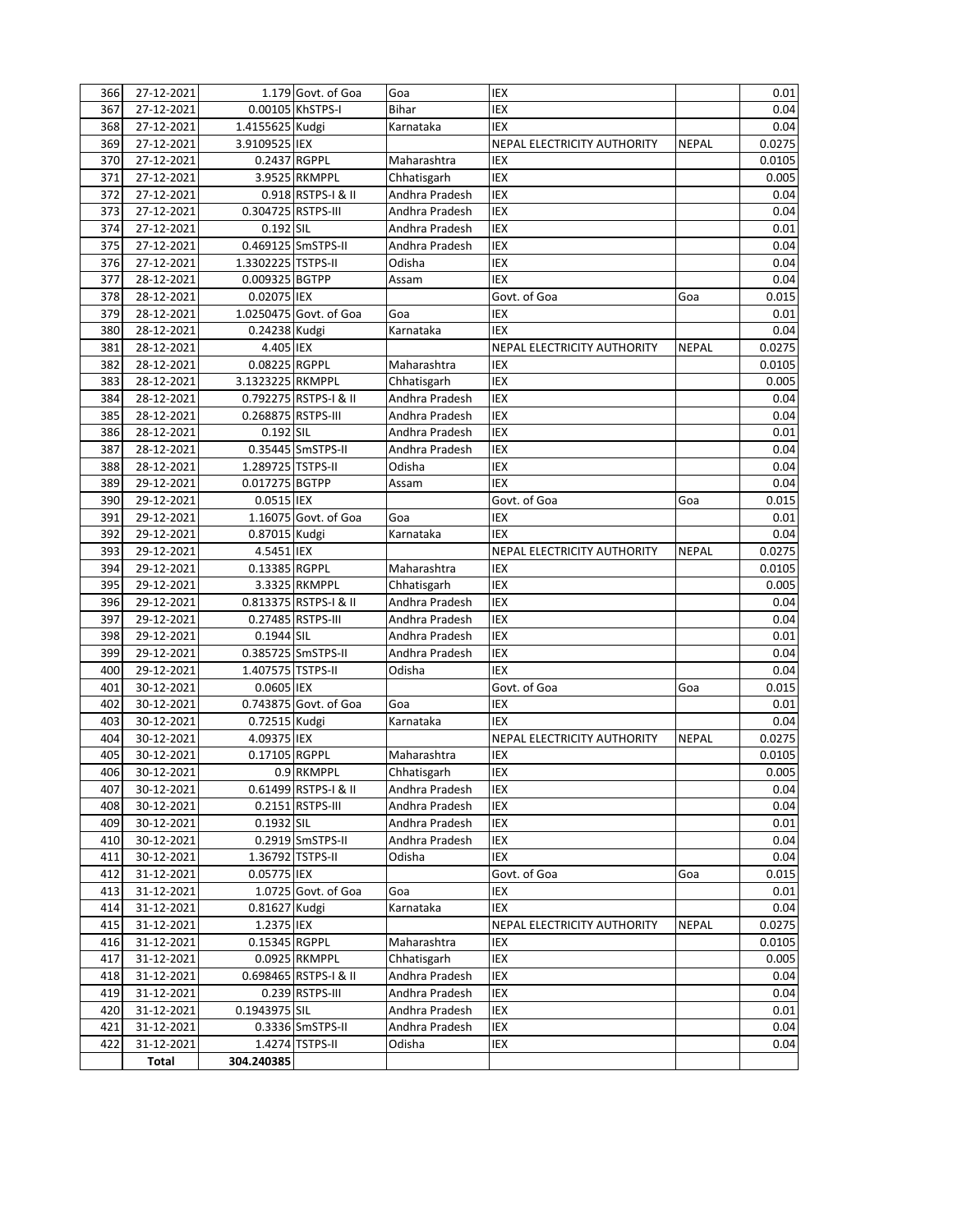| 366 | 27-12-2021 |                    | 1.179 Govt. of Goa     | Goa            | IEX                         |              | 0.01   |
|-----|------------|--------------------|------------------------|----------------|-----------------------------|--------------|--------|
| 367 | 27-12-2021 |                    | 0.00105 KhSTPS-I       | <b>Bihar</b>   | IEX                         |              | 0.04   |
| 368 | 27-12-2021 | 1.4155625 Kudgi    |                        |                | <b>IEX</b>                  |              | 0.04   |
|     |            |                    |                        | Karnataka      |                             |              |        |
| 369 | 27-12-2021 | 3.9109525 IEX      |                        |                | NEPAL ELECTRICITY AUTHORITY | <b>NEPAL</b> | 0.0275 |
| 370 | 27-12-2021 | 0.2437 RGPPL       |                        | Maharashtra    | IEX                         |              | 0.0105 |
| 371 | 27-12-2021 |                    | 3.9525 RKMPPL          | Chhatisgarh    | IEX                         |              | 0.005  |
| 372 | 27-12-2021 |                    | 0.918 RSTPS-I & II     | Andhra Pradesh | IEX                         |              | 0.04   |
| 373 | 27-12-2021 | 0.304725 RSTPS-III |                        | Andhra Pradesh | IEX                         |              | 0.04   |
| 374 | 27-12-2021 | 0.192 SIL          |                        | Andhra Pradesh | IEX                         |              | 0.01   |
| 375 | 27-12-2021 |                    | 0.469125 SmSTPS-II     | Andhra Pradesh | <b>IEX</b>                  |              | 0.04   |
| 376 | 27-12-2021 | 1.3302225 TSTPS-II |                        | Odisha         | IEX                         |              | 0.04   |
| 377 | 28-12-2021 | 0.009325 BGTPP     |                        | Assam          | IEX                         |              | 0.04   |
| 378 | 28-12-2021 | 0.02075 IEX        |                        |                | Govt. of Goa                | Goa          | 0.015  |
| 379 | 28-12-2021 |                    | 1.0250475 Govt. of Goa | Goa            | IEX                         |              | 0.01   |
| 380 | 28-12-2021 | 0.24238 Kudgi      |                        | Karnataka      | <b>IEX</b>                  |              | 0.04   |
| 381 | 28-12-2021 | 4.405 IEX          |                        |                | NEPAL ELECTRICITY AUTHORITY | <b>NEPAL</b> | 0.0275 |
| 382 | 28-12-2021 | 0.08225 RGPPL      |                        | Maharashtra    | IEX                         |              | 0.0105 |
| 383 | 28-12-2021 | 3.1323225 RKMPPL   |                        | Chhatisgarh    | <b>IEX</b>                  |              | 0.005  |
|     |            |                    |                        |                | IEX                         |              |        |
| 384 | 28-12-2021 |                    | 0.792275 RSTPS-I & II  | Andhra Pradesh |                             |              | 0.04   |
| 385 | 28-12-2021 | 0.268875 RSTPS-III |                        | Andhra Pradesh | <b>IEX</b>                  |              | 0.04   |
| 386 | 28-12-2021 | 0.192 SIL          |                        | Andhra Pradesh | <b>IEX</b>                  |              | 0.01   |
| 387 | 28-12-2021 |                    | 0.35445 SmSTPS-II      | Andhra Pradesh | IEX                         |              | 0.04   |
| 388 | 28-12-2021 | 1.289725 TSTPS-II  |                        | Odisha         | IEX                         |              | 0.04   |
| 389 | 29-12-2021 | 0.017275 BGTPP     |                        | Assam          | <b>IEX</b>                  |              | 0.04   |
| 390 | 29-12-2021 | 0.0515 IEX         |                        |                | Govt. of Goa                | Goa          | 0.015  |
| 391 | 29-12-2021 |                    | 1.16075 Govt. of Goa   | Goa            | IEX                         |              | 0.01   |
| 392 | 29-12-2021 | 0.87015 Kudgi      |                        | Karnataka      | <b>IEX</b>                  |              | 0.04   |
| 393 | 29-12-2021 | 4.5451 IEX         |                        |                | NEPAL ELECTRICITY AUTHORITY | <b>NEPAL</b> | 0.0275 |
| 394 | 29-12-2021 | 0.13385 RGPPL      |                        | Maharashtra    | IEX                         |              | 0.0105 |
| 395 | 29-12-2021 |                    | 3.3325 RKMPPL          | Chhatisgarh    | IEX                         |              | 0.005  |
| 396 | 29-12-2021 |                    | 0.813375 RSTPS-I & II  | Andhra Pradesh | IEX                         |              | 0.04   |
| 397 | 29-12-2021 |                    | 0.27485 RSTPS-III      | Andhra Pradesh | <b>IEX</b>                  |              | 0.04   |
| 398 | 29-12-2021 | 0.1944 SIL         |                        | Andhra Pradesh | <b>IEX</b>                  |              | 0.01   |
| 399 | 29-12-2021 |                    | 0.385725 SmSTPS-II     | Andhra Pradesh | IEX                         |              | 0.04   |
|     |            |                    |                        |                | <b>IEX</b>                  |              |        |
| 400 | 29-12-2021 | 1.407575 TSTPS-II  |                        | Odisha         |                             |              | 0.04   |
| 401 | 30-12-2021 | 0.0605 IEX         |                        |                | Govt. of Goa                | Goa          | 0.015  |
| 402 | 30-12-2021 |                    | 0.743875 Govt. of Goa  | Goa            | IEX                         |              | 0.01   |
| 403 | 30-12-2021 | 0.72515 Kudgi      |                        | Karnataka      | <b>IEX</b>                  |              | 0.04   |
| 404 | 30-12-2021 | 4.09375 IEX        |                        |                | NEPAL ELECTRICITY AUTHORITY | <b>NEPAL</b> | 0.0275 |
| 405 | 30-12-2021 | 0.17105 RGPPL      |                        | Maharashtra    | IEX                         |              | 0.0105 |
| 406 | 30-12-2021 |                    | 0.9 RKMPPL             | Chhatisgarh    | IEX                         |              | 0.005  |
| 407 | 30-12-2021 |                    | 0.61499 RSTPS-I & II   | Andhra Pradesh | IEX                         |              | 0.04   |
| 408 | 30-12-2021 |                    | 0.2151 RSTPS-III       | Andhra Pradesh | IEX                         |              | 0.04   |
| 409 | 30-12-2021 | 0.1932 SIL         |                        | Andhra Pradesh | IEX                         |              | 0.01   |
| 410 | 30-12-2021 |                    | 0.2919 SmSTPS-II       | Andhra Pradesh | IEX                         |              | 0.04   |
| 411 | 30-12-2021 |                    | 1.36792 TSTPS-II       | Odisha         | IEX                         |              | 0.04   |
| 412 | 31-12-2021 | 0.05775 IEX        |                        |                | Govt. of Goa                | Goa          | 0.015  |
| 413 | 31-12-2021 |                    | 1.0725 Govt. of Goa    | Goa            | IEX                         |              | 0.01   |
| 414 | 31-12-2021 | 0.81627 Kudgi      |                        | Karnataka      | IEX                         |              | 0.04   |
| 415 | 31-12-2021 | 1.2375 IEX         |                        |                | NEPAL ELECTRICITY AUTHORITY | <b>NEPAL</b> | 0.0275 |
|     |            |                    |                        | Maharashtra    | IEX                         |              |        |
| 416 | 31-12-2021 | 0.15345 RGPPL      |                        |                |                             |              | 0.0105 |
| 417 | 31-12-2021 |                    | 0.0925 RKMPPL          | Chhatisgarh    | IEX                         |              | 0.005  |
| 418 | 31-12-2021 |                    | 0.698465 RSTPS-I & II  | Andhra Pradesh | IEX                         |              | 0.04   |
| 419 | 31-12-2021 |                    | 0.239 RSTPS-III        | Andhra Pradesh | IEX                         |              | 0.04   |
| 420 | 31-12-2021 | 0.1943975 SIL      |                        | Andhra Pradesh | IEX                         |              | 0.01   |
| 421 | 31-12-2021 |                    | 0.3336 SmSTPS-II       | Andhra Pradesh | IEX                         |              | 0.04   |
| 422 | 31-12-2021 |                    | 1.4274 TSTPS-II        | Odisha         | $\ensuremath{\mathsf{IEX}}$ |              | 0.04   |
|     | Total      | 304.240385         |                        |                |                             |              |        |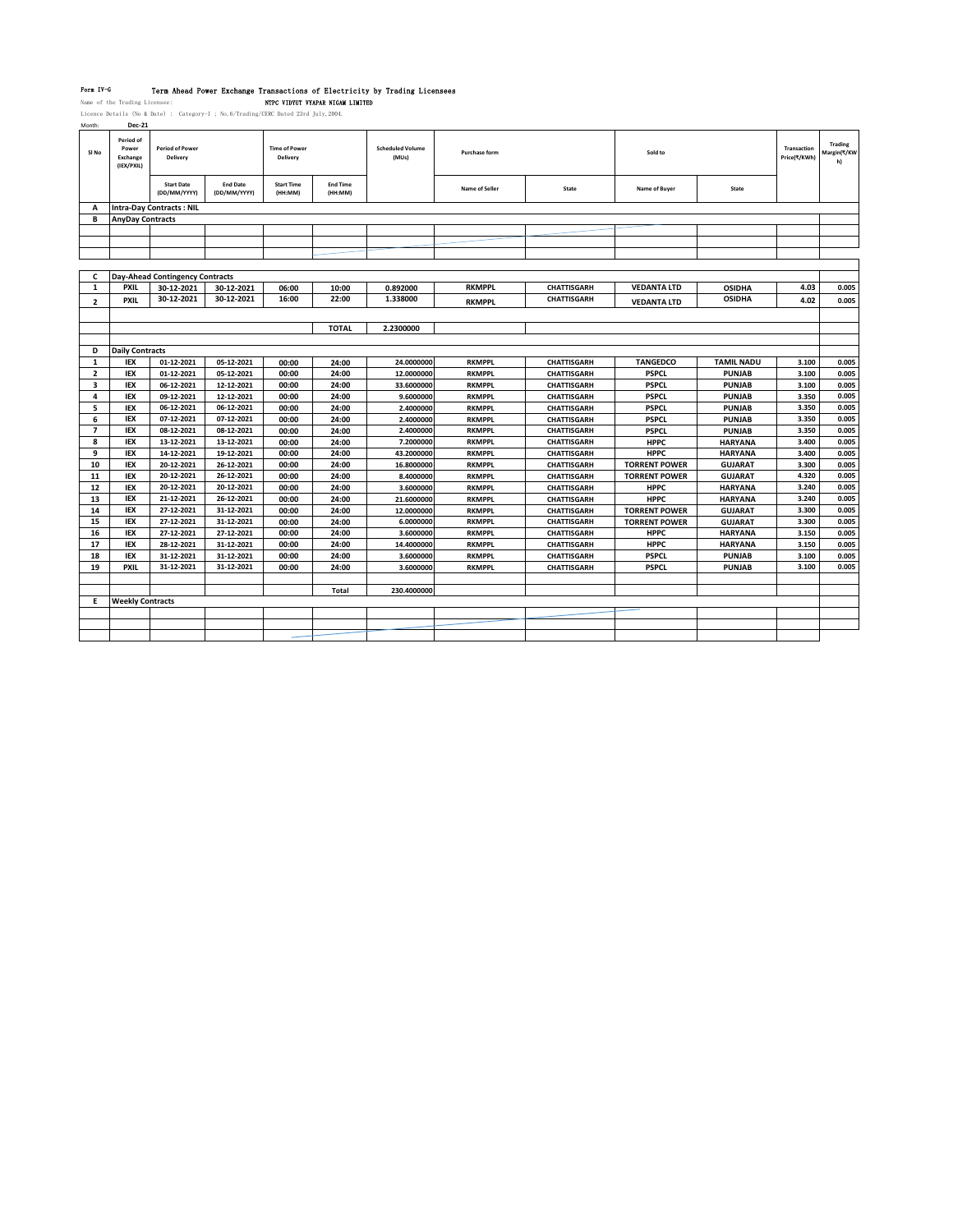Form TV-G Term Ahead Power Exchange Transactions of Electricity by Trading Licensees<br>Name of the Trading Licensee: NTPC VIDYUV VYAPAR NIGAM LIMITED<br>Licence Details (No & Date) : Category-I ; No.6/Trading/CERC Dated 23rd Ju

| montn:                   | vec-21                                              |                                    |                                 |                                  |                            |                                  |                      |                    |                      |                   |                             |                              |
|--------------------------|-----------------------------------------------------|------------------------------------|---------------------------------|----------------------------------|----------------------------|----------------------------------|----------------------|--------------------|----------------------|-------------------|-----------------------------|------------------------------|
| SI No                    | Period of<br>Power<br><b>Exchange</b><br>(IEX/PXIL) | <b>Period of Power</b><br>Delivery |                                 | <b>Time of Power</b><br>Delivery |                            | <b>Scheduled Volume</b><br>(MUs) | <b>Purchase form</b> |                    | Sold to              |                   | Transaction<br>Price(₹/KWh) | Trading<br>Margin(₹/KW<br>h) |
|                          |                                                     | <b>Start Date</b><br>(DD/MM/YYYY)  | <b>End Date</b><br>(DD/MM/YYYY) | <b>Start Time</b><br>(HH:MM)     | <b>End Time</b><br>(HH:MM) |                                  | Name of Seller       | State              | Name of Buyer        | State             |                             |                              |
| A                        |                                                     | <b>Intra-Day Contracts: NIL</b>    |                                 |                                  |                            |                                  |                      |                    |                      |                   |                             |                              |
| В                        | <b>AnyDay Contracts</b>                             |                                    |                                 |                                  |                            |                                  |                      |                    |                      |                   |                             |                              |
|                          |                                                     |                                    |                                 |                                  |                            |                                  |                      |                    |                      |                   |                             |                              |
|                          |                                                     |                                    |                                 |                                  |                            |                                  |                      |                    |                      |                   |                             |                              |
|                          |                                                     |                                    |                                 |                                  |                            |                                  |                      |                    |                      |                   |                             |                              |
|                          |                                                     |                                    |                                 |                                  |                            |                                  |                      |                    |                      |                   |                             |                              |
| c                        |                                                     | Day-Ahead Contingency Contracts    |                                 |                                  |                            |                                  |                      |                    |                      |                   |                             |                              |
| 1                        | <b>PXIL</b>                                         | 30-12-2021                         | 30-12-2021                      | 06:00                            | 10:00                      | 0.892000                         | <b>RKMPPL</b>        | <b>CHATTISGARH</b> | <b>VEDANTA LTD</b>   | <b>OSIDHA</b>     | 4.03                        | 0.005                        |
| $\overline{\mathbf{2}}$  | <b>PXIL</b>                                         | 30-12-2021                         | 30-12-2021                      | 16:00                            | 22:00                      | 1.338000                         | <b>RKMPPL</b>        | <b>CHATTISGARH</b> | <b>VEDANTA LTD</b>   | <b>OSIDHA</b>     | 4.02                        | 0.005                        |
|                          |                                                     |                                    |                                 |                                  |                            |                                  |                      |                    |                      |                   |                             |                              |
|                          |                                                     |                                    |                                 |                                  | <b>TOTAL</b>               | 2.2300000                        |                      |                    |                      |                   |                             |                              |
|                          |                                                     |                                    |                                 |                                  |                            |                                  |                      |                    |                      |                   |                             |                              |
| D                        | <b>Daily Contracts</b>                              |                                    |                                 |                                  |                            |                                  |                      |                    |                      |                   |                             |                              |
| 1                        | IEX                                                 | 01-12-2021                         | 05-12-2021                      | 00:00                            | 24:00                      | 24.0000000                       | <b>RKMPPL</b>        | <b>CHATTISGARH</b> | <b>TANGEDCO</b>      | <b>TAMIL NADU</b> | 3.100                       | 0.005                        |
| $\overline{\mathbf{2}}$  | IEX                                                 | 01-12-2021                         | 05-12-2021                      | 00:00                            | 24:00                      | 12.0000000                       | <b>RKMPPL</b>        | <b>CHATTISGARH</b> | <b>PSPCL</b>         | <b>PUNJAB</b>     | 3.100                       | 0.005                        |
| 3                        | <b>IEX</b>                                          | 06-12-2021                         | 12-12-2021                      | 00:00                            | 24:00                      | 33.6000000                       | <b>RKMPPL</b>        | <b>CHATTISGARH</b> | <b>PSPCL</b>         | <b>PUNJAB</b>     | 3.100                       | 0.005                        |
| 4                        | IEX                                                 | 09-12-2021                         | 12-12-2021                      | 00:00                            | 24:00                      | 9.6000000                        | <b>RKMPPL</b>        | <b>CHATTISGARH</b> | <b>PSPCL</b>         | <b>PUNJAB</b>     | 3.350                       | 0.005                        |
| 5                        | IEX                                                 | 06-12-2021                         | 06-12-2021                      | 00:00                            | 24:00                      | 2.4000000                        | <b>RKMPPL</b>        | <b>CHATTISGARH</b> | <b>PSPCL</b>         | <b>PUNJAB</b>     | 3.350                       | 0.005                        |
| 6                        | <b>IEX</b>                                          | 07-12-2021                         | 07-12-2021                      | 00:00                            | 24:00                      | 2.4000000                        | <b>RKMPPL</b>        | <b>CHATTISGARH</b> | <b>PSPCL</b>         | <b>PUNJAB</b>     | 3.350                       | 0.005                        |
| $\overline{\phantom{a}}$ | IEX                                                 | 08-12-2021                         | 08-12-2021                      | 00:00                            | 24:00                      | 2.4000000                        | <b>RKMPPL</b>        | <b>CHATTISGARH</b> | <b>PSPCL</b>         | <b>PUNJAB</b>     | 3.350                       | 0.005                        |
| 8                        | <b>IEX</b>                                          | 13-12-2021                         | 13-12-2021                      | 00:00                            | 24:00                      | 7.2000000                        | <b>RKMPPL</b>        | <b>CHATTISGARH</b> | <b>HPPC</b>          | <b>HARYANA</b>    | 3.400                       | 0.005                        |
| 9                        | <b>IEX</b>                                          | 14-12-2021                         | 19-12-2021                      | 00:00                            | 24:00                      | 43.2000000                       | <b>RKMPPL</b>        | <b>CHATTISGARH</b> | <b>HPPC</b>          | <b>HARYANA</b>    | 3.400                       | 0.005                        |
| 10                       | IEX                                                 | 20-12-2021                         | 26-12-2021                      | 00:00                            | 24:00                      | 16.8000000                       | <b>RKMPPL</b>        | <b>CHATTISGARH</b> | <b>TORRENT POWER</b> | <b>GUJARAT</b>    | 3.300                       | 0.005                        |
| 11                       | IEX                                                 | 20-12-2021                         | 26-12-2021                      | 00:00                            | 24:00                      | 8.4000000                        | <b>RKMPPL</b>        | <b>CHATTISGARH</b> | <b>TORRENT POWER</b> | <b>GUJARAT</b>    | 4.320                       | 0.005                        |
| 12                       | <b>IEX</b>                                          | 20-12-2021                         | 20-12-2021                      | 00:00                            | 24:00                      | 3.6000000                        | <b>RKMPPL</b>        | <b>CHATTISGARH</b> | <b>HPPC</b>          | <b>HARYANA</b>    | 3.240                       | 0.005                        |
| 13                       | IEX                                                 | 21-12-2021                         | 26-12-2021                      | 00:00                            | 24:00                      | 21.6000000                       | <b>RKMPPL</b>        | <b>CHATTISGARH</b> | <b>HPPC</b>          | <b>HARYANA</b>    | 3.240                       | 0.005                        |
| 14                       | IEX                                                 | 27-12-2021                         | 31-12-2021                      | 00:00                            | 24:00                      | 12.0000000                       | <b>RKMPPL</b>        | <b>CHATTISGARH</b> | <b>TORRENT POWER</b> | <b>GUJARAT</b>    | 3.300                       | 0.005                        |
| 15                       | IEX                                                 | 27-12-2021                         | 31-12-2021                      | 00:00                            | 24:00                      | 6.0000000                        | <b>RKMPPL</b>        | <b>CHATTISGARH</b> | <b>TORRENT POWER</b> | <b>GUJARAT</b>    | 3.300                       | 0.005                        |
| 16                       | IEX                                                 | 27-12-2021                         | 27-12-2021                      | 00:00                            | 24:00                      | 3.6000000                        | <b>RKMPPL</b>        | <b>CHATTISGARH</b> | <b>HPPC</b>          | <b>HARYANA</b>    | 3.150                       | 0.005                        |
| 17                       | IEX                                                 | 28-12-2021                         | 31-12-2021                      | 00:00                            | 24:00                      | 14.4000000                       | <b>RKMPPL</b>        | <b>CHATTISGARH</b> | <b>HPPC</b>          | <b>HARYANA</b>    | 3.150                       | 0.005                        |
| 18                       | <b>IEX</b>                                          | 31-12-2021                         | 31-12-2021                      | 00:00                            | 24:00                      | 3.6000000                        | <b>RKMPPL</b>        | <b>CHATTISGARH</b> | <b>PSPCL</b>         | <b>PUNJAB</b>     | 3.100                       | 0.005                        |
| 19                       | <b>PXIL</b>                                         | 31-12-2021                         | 31-12-2021                      | 00:00                            | 24:00                      | 3.6000000                        | <b>RKMPPL</b>        | <b>CHATTISGARH</b> | <b>PSPCL</b>         | <b>PUNJAB</b>     | 3.100                       | 0.005                        |
|                          |                                                     |                                    |                                 |                                  |                            |                                  |                      |                    |                      |                   |                             |                              |
|                          |                                                     |                                    |                                 |                                  | Total                      | 230.4000000                      |                      |                    |                      |                   |                             |                              |
| Е                        | <b>Weekly Contracts</b>                             |                                    |                                 |                                  |                            |                                  |                      |                    |                      |                   |                             |                              |
|                          |                                                     |                                    |                                 |                                  |                            |                                  |                      |                    |                      |                   |                             |                              |
|                          |                                                     |                                    |                                 |                                  |                            |                                  |                      |                    |                      |                   |                             |                              |
|                          |                                                     |                                    |                                 |                                  |                            |                                  |                      |                    |                      |                   |                             |                              |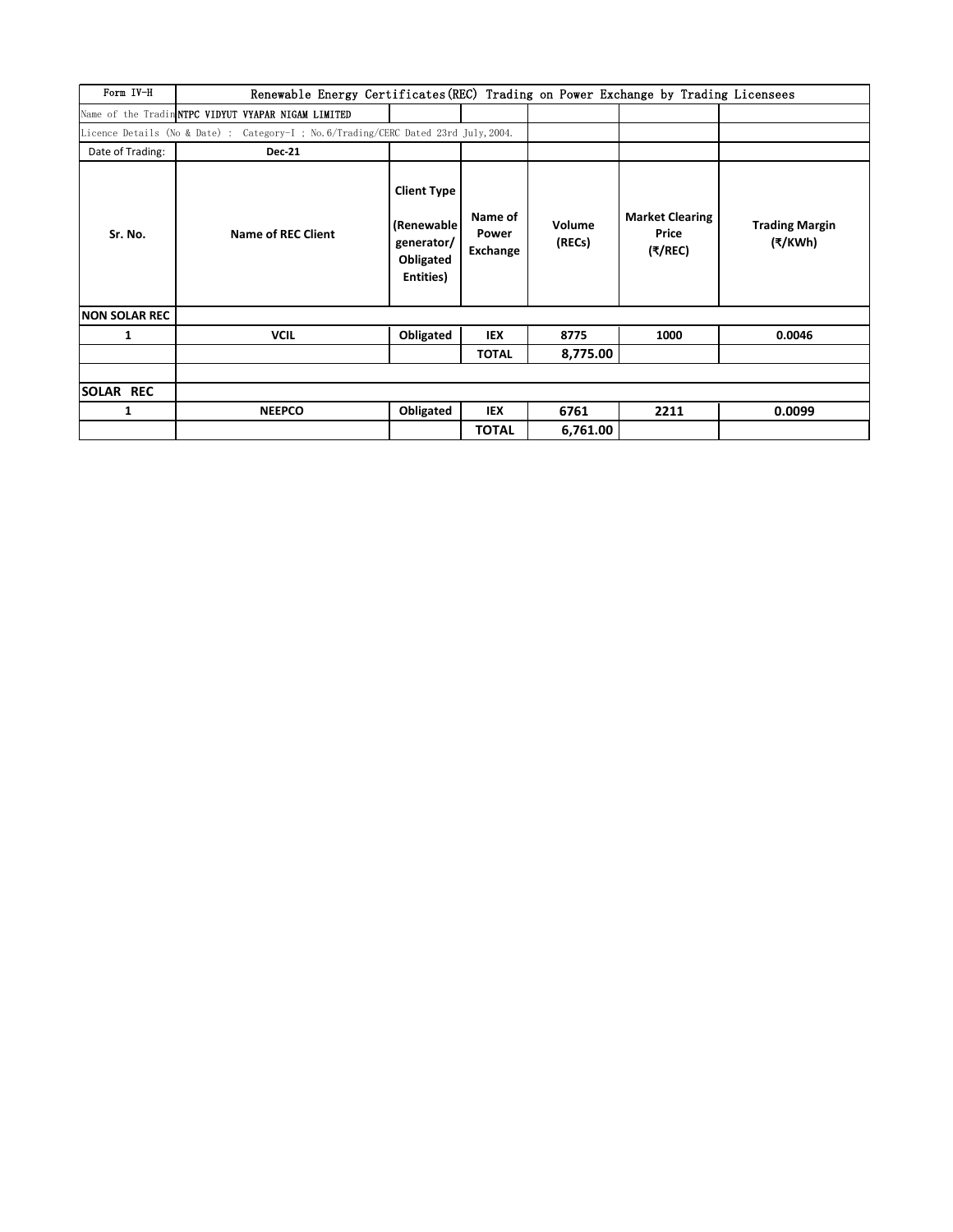| Form IV-H            | Renewable Energy Certificates (REC) Trading on Power Exchange by Trading Licensees   |                                                                           |                              |                  |                                            |                                  |  |  |  |  |  |  |
|----------------------|--------------------------------------------------------------------------------------|---------------------------------------------------------------------------|------------------------------|------------------|--------------------------------------------|----------------------------------|--|--|--|--|--|--|
|                      | Name of the Tradin NTPC VIDYUT VYAPAR NIGAM LIMITED                                  |                                                                           |                              |                  |                                            |                                  |  |  |  |  |  |  |
|                      | Licence Details (No & Date) : Category-I ; No. 6/Trading/CERC Dated 23rd July, 2004. |                                                                           |                              |                  |                                            |                                  |  |  |  |  |  |  |
| Date of Trading:     | <b>Dec-21</b>                                                                        |                                                                           |                              |                  |                                            |                                  |  |  |  |  |  |  |
| Sr. No.              | Name of REC Client                                                                   | <b>Client Type</b><br>(Renewable)<br>generator/<br>Obligated<br>Entities) | Name of<br>Power<br>Exchange | Volume<br>(RECs) | <b>Market Clearing</b><br>Price<br>(₹/REC) | <b>Trading Margin</b><br>(₹/KWh) |  |  |  |  |  |  |
| <b>NON SOLAR REC</b> |                                                                                      |                                                                           |                              |                  |                                            |                                  |  |  |  |  |  |  |
| 1                    | <b>VCIL</b>                                                                          | Obligated                                                                 | IEX                          | 8775             | 1000                                       | 0.0046                           |  |  |  |  |  |  |
|                      |                                                                                      |                                                                           | <b>TOTAL</b>                 | 8,775.00         |                                            |                                  |  |  |  |  |  |  |
|                      |                                                                                      |                                                                           |                              |                  |                                            |                                  |  |  |  |  |  |  |
| <b>SOLAR REC</b>     |                                                                                      |                                                                           |                              |                  |                                            |                                  |  |  |  |  |  |  |
| 1                    | <b>NEEPCO</b>                                                                        | Obligated                                                                 | IEX                          | 6761             | 2211                                       | 0.0099                           |  |  |  |  |  |  |
|                      |                                                                                      |                                                                           | <b>TOTAL</b>                 | 6,761.00         |                                            |                                  |  |  |  |  |  |  |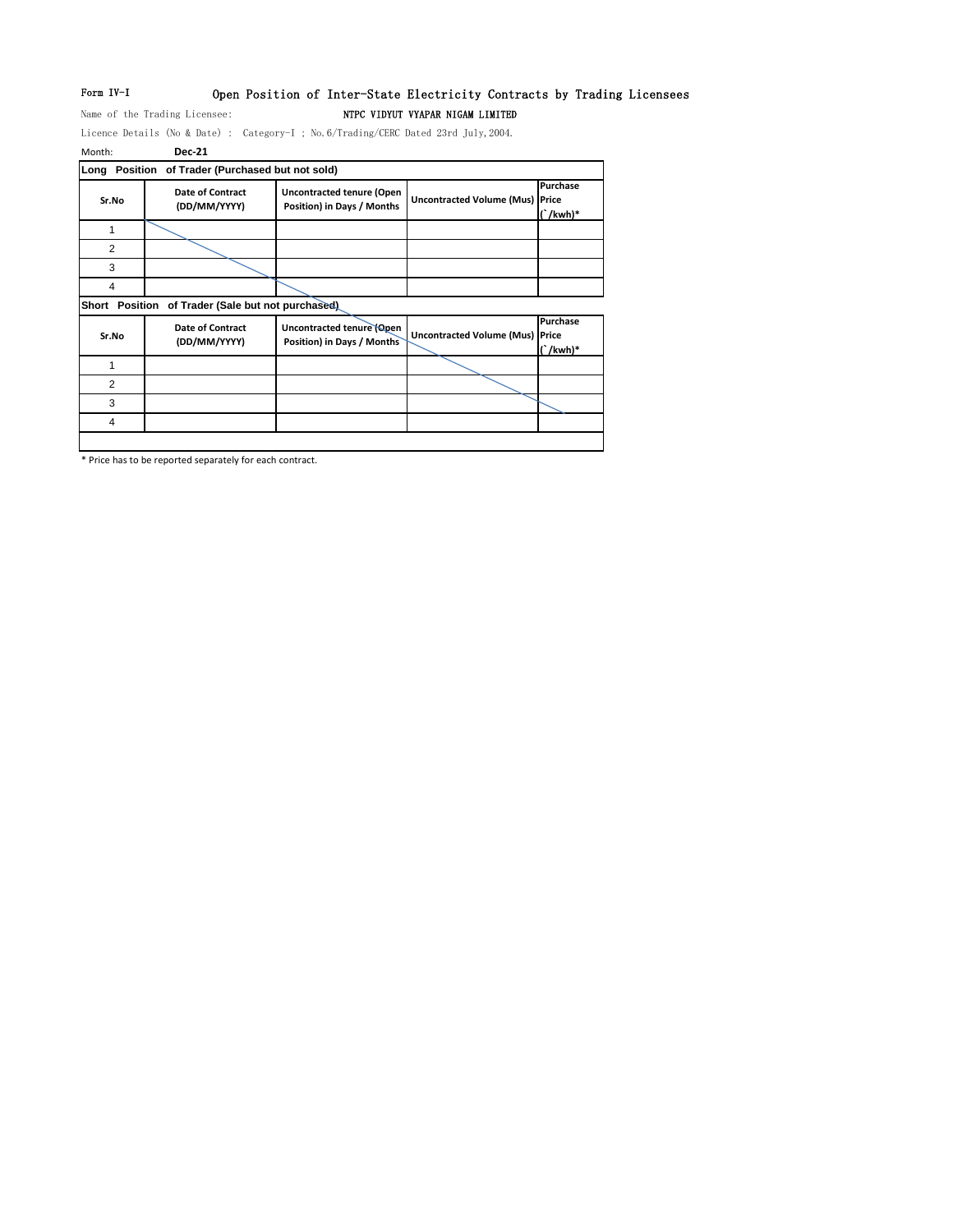# Form IV-I Open Position of Inter-State Electricity Contracts by Trading Licensees Name of the Trading Licensee: NTPC VIDYUT VYAPAR NIGAM LIMITED

Licence Details (No & Date) : Category-I ; No.6/Trading/CERC Dated 23rd July,2004.

| Month:                | <b>Dec-21</b>                               |                                                                |                                        |                           |
|-----------------------|---------------------------------------------|----------------------------------------------------------------|----------------------------------------|---------------------------|
| Long                  | Position of Trader (Purchased but not sold) |                                                                |                                        |                           |
| Sr.No                 | Date of Contract<br>(DD/MM/YYYY)            | <b>Uncontracted tenure (Open</b><br>Position) in Days / Months | <b>Uncontracted Volume (Mus) Price</b> | Purchase<br>$($ /kwh)*    |
| 1                     |                                             |                                                                |                                        |                           |
| $\overline{2}$        |                                             |                                                                |                                        |                           |
| 3                     |                                             |                                                                |                                        |                           |
| 4                     |                                             |                                                                |                                        |                           |
| <b>Short Position</b> | of Trader (Sale but not purchased)          |                                                                |                                        |                           |
| Sr.No                 | <b>Date of Contract</b><br>(DD/MM/YYYY)     | Uncontracted tenure (Open<br>Position) in Days / Months        | <b>Uncontracted Volume (Mus) Price</b> | Purchase<br>$\int$ /kwh)* |
| 1                     |                                             |                                                                |                                        |                           |
| 2                     |                                             |                                                                |                                        |                           |
| 3                     |                                             |                                                                |                                        |                           |
| 4                     |                                             |                                                                |                                        |                           |

\* Price has to be reported separately for each contract.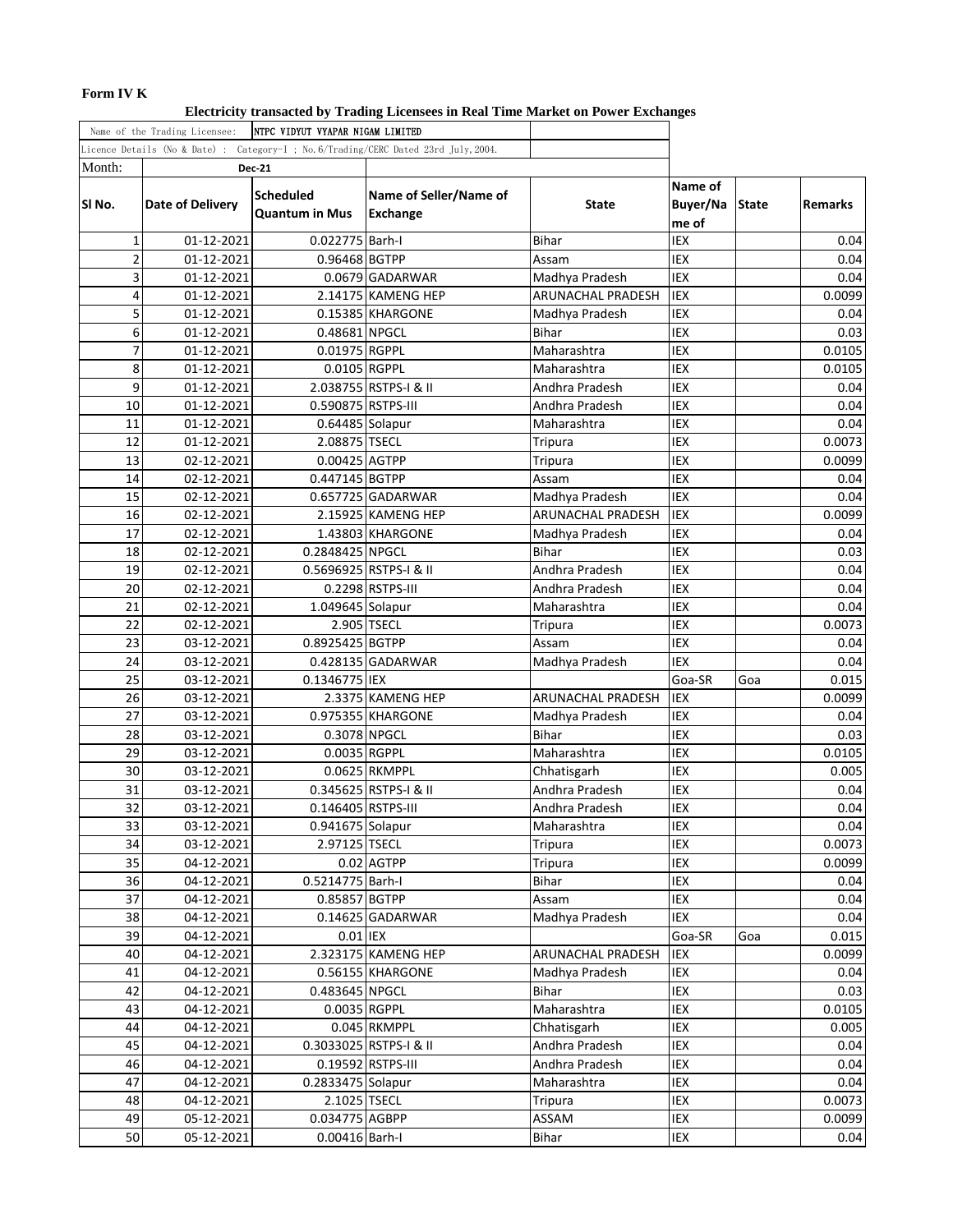# **Form IV K**

**Electricity transacted by Trading Licensees in Real Time Market on Power Exchanges**

|                | Name of the Trading Licensee: | NTPC VIDYUT VYAPAR NIGAM LIMITED          |                                                                                      |                               |                              |              |                |
|----------------|-------------------------------|-------------------------------------------|--------------------------------------------------------------------------------------|-------------------------------|------------------------------|--------------|----------------|
|                |                               |                                           | Licence Details (No & Date) : Category-I ; No. 6/Trading/CERC Dated 23rd July, 2004. |                               |                              |              |                |
| Month:         |                               | <b>Dec-21</b>                             |                                                                                      |                               |                              |              |                |
| SI No.         | Date of Delivery              | <b>Scheduled</b><br><b>Quantum in Mus</b> | Name of Seller/Name of<br><b>Exchange</b>                                            | State                         | Name of<br>Buyer/Na<br>me of | <b>State</b> | <b>Remarks</b> |
| $\mathbf{1}$   | 01-12-2021                    | 0.022775 Barh-I                           |                                                                                      | <b>Bihar</b>                  | <b>IEX</b>                   |              | 0.04           |
| $\overline{2}$ | 01-12-2021                    | 0.96468 BGTPP                             |                                                                                      | Assam                         | IEX                          |              | 0.04           |
| 3              | 01-12-2021                    |                                           | 0.0679 GADARWAR                                                                      | Madhya Pradesh                | IEX                          |              | 0.04           |
| 4              | 01-12-2021                    |                                           | 2.14175 KAMENG HEP                                                                   | ARUNACHAL PRADESH             | IEX                          |              | 0.0099         |
| 5              | 01-12-2021                    |                                           | 0.15385 KHARGONE                                                                     | Madhya Pradesh                | <b>IEX</b>                   |              | 0.04           |
| 6              | 01-12-2021                    | 0.48681 NPGCL                             |                                                                                      | <b>Bihar</b>                  | IEX                          |              | 0.03           |
| 7              | 01-12-2021                    | 0.01975 RGPPL                             |                                                                                      | Maharashtra                   | IEX                          |              | 0.0105         |
| 8              | 01-12-2021                    | 0.0105 RGPPL                              |                                                                                      | Maharashtra                   | IEX                          |              | 0.0105         |
| 9              | 01-12-2021                    |                                           | 2.038755 RSTPS-I & II                                                                | Andhra Pradesh                | IEX                          |              | 0.04           |
| 10             | 01-12-2021                    | 0.590875 RSTPS-III                        |                                                                                      | Andhra Pradesh                | IEX                          |              | 0.04           |
| 11             | 01-12-2021                    | 0.64485 Solapur                           |                                                                                      | Maharashtra                   | <b>IEX</b>                   |              | 0.04           |
| 12             | 01-12-2021                    | 2.08875 TSECL                             |                                                                                      | Tripura                       | <b>IEX</b>                   |              | 0.0073         |
| 13             | 02-12-2021                    | 0.00425 AGTPP                             |                                                                                      | Tripura                       | IEX                          |              | 0.0099         |
| 14             | 02-12-2021                    | 0.447145 BGTPP                            |                                                                                      | Assam                         | IEX                          |              | 0.04           |
| 15             | 02-12-2021                    |                                           | $0.657725$ GADARWAR                                                                  | Madhya Pradesh                | IEX                          |              | 0.04           |
| 16             | 02-12-2021                    |                                           | 2.15925 KAMENG HEP                                                                   | ARUNACHAL PRADESH             | IEX                          |              | 0.0099         |
| 17             | 02-12-2021                    |                                           | 1.43803 KHARGONE                                                                     | Madhya Pradesh                | IEX                          |              | 0.04           |
| 18             | 02-12-2021                    | 0.2848425 NPGCL                           |                                                                                      | <b>Bihar</b>                  | <b>IEX</b>                   |              | 0.03           |
| 19             | 02-12-2021                    |                                           | 0.5696925 RSTPS-I & II                                                               | Andhra Pradesh                | IEX                          |              | 0.04           |
| 20             | 02-12-2021                    |                                           | 0.2298 RSTPS-III                                                                     | Andhra Pradesh                | IEX                          |              | 0.04           |
| 21             | 02-12-2021                    | 1.049645 Solapur                          |                                                                                      | Maharashtra                   | IEX                          |              | 0.04           |
| 22             | 02-12-2021                    |                                           | 2.905 TSECL                                                                          | Tripura                       | IEX                          |              | 0.0073         |
| 23             | 03-12-2021                    | 0.8925425 BGTPP                           |                                                                                      | Assam                         | IEX                          |              | 0.04           |
| 24             | 03-12-2021                    |                                           | $0.428135$ GADARWAR                                                                  | Madhya Pradesh                | <b>IEX</b>                   |              | 0.04           |
| 25             | 03-12-2021                    | 0.1346775 IEX                             |                                                                                      |                               | Goa-SR                       | Goa          | 0.015          |
| 26             | 03-12-2021                    |                                           | 2.3375 KAMENG HEP                                                                    | ARUNACHAL PRADESH             | IEX                          |              | 0.0099         |
| 27             | 03-12-2021                    |                                           | 0.975355 KHARGONE                                                                    | Madhya Pradesh                | IEX                          |              | 0.04           |
| 28             | 03-12-2021                    |                                           | 0.3078 NPGCL                                                                         | <b>Bihar</b>                  | IEX                          |              | 0.03           |
| 29             | 03-12-2021                    |                                           | 0.0035 RGPPL                                                                         | Maharashtra                   | IEX                          |              | 0.0105         |
| 30             | 03-12-2021                    |                                           | 0.0625 RKMPPL                                                                        | Chhatisgarh                   | IEX                          |              | 0.005          |
| 31<br>32       | 03-12-2021                    |                                           | 0.345625 RSTPS-I & II                                                                | Andhra Pradesh                | IEX<br>IEX                   |              | 0.04           |
| 33             | 03-12-2021                    | 0.146405 RSTPS-III<br>0.941675 Solapur    |                                                                                      | Andhra Pradesh<br>Maharashtra | IEX                          |              | 0.04<br>0.04   |
| 34             | 03-12-2021<br>03-12-2021      | 2.97125 TSECL                             |                                                                                      | Tripura                       | IEX                          |              | 0.0073         |
| 35             | 04-12-2021                    |                                           | 0.02 AGTPP                                                                           | Tripura                       | IEX                          |              | 0.0099         |
| 36             | 04-12-2021                    | 0.5214775 Barh-I                          |                                                                                      | <b>Bihar</b>                  | IEX                          |              | 0.04           |
| 37             | 04-12-2021                    | 0.85857 BGTPP                             |                                                                                      | Assam                         | IEX                          |              | 0.04           |
| 38             | 04-12-2021                    |                                           | 0.14625 GADARWAR                                                                     | Madhya Pradesh                | IEX                          |              | 0.04           |
| 39             | 04-12-2021                    | 0.01 IEX                                  |                                                                                      |                               | Goa-SR                       | Goa          | 0.015          |
| 40             | 04-12-2021                    |                                           | 2.323175 KAMENG HEP                                                                  | ARUNACHAL PRADESH             | IEX                          |              | 0.0099         |
| 41             | 04-12-2021                    |                                           | 0.56155 KHARGONE                                                                     | Madhya Pradesh                | IEX                          |              | 0.04           |
| 42             | 04-12-2021                    | 0.483645 NPGCL                            |                                                                                      | Bihar                         | IEX                          |              | 0.03           |
| 43             | 04-12-2021                    |                                           | 0.0035 RGPPL                                                                         | Maharashtra                   | IEX                          |              | 0.0105         |
| 44             | 04-12-2021                    |                                           | 0.045 RKMPPL                                                                         | Chhatisgarh                   | IEX                          |              | 0.005          |
| 45             | 04-12-2021                    |                                           | 0.3033025 RSTPS-I & II                                                               | Andhra Pradesh                | IEX                          |              | 0.04           |
| 46             | 04-12-2021                    |                                           | 0.19592 RSTPS-III                                                                    | Andhra Pradesh                | IEX                          |              | 0.04           |
| 47             | 04-12-2021                    | 0.2833475 Solapur                         |                                                                                      | Maharashtra                   | IEX                          |              | 0.04           |
| 48             | 04-12-2021                    | 2.1025 TSECL                              |                                                                                      | Tripura                       | IEX                          |              | 0.0073         |
| 49             | 05-12-2021                    | 0.034775 AGBPP                            |                                                                                      | ASSAM                         | IEX                          |              | 0.0099         |
| 50             | 05-12-2021                    | 0.00416 Barh-I                            |                                                                                      | Bihar                         | IEX                          |              | 0.04           |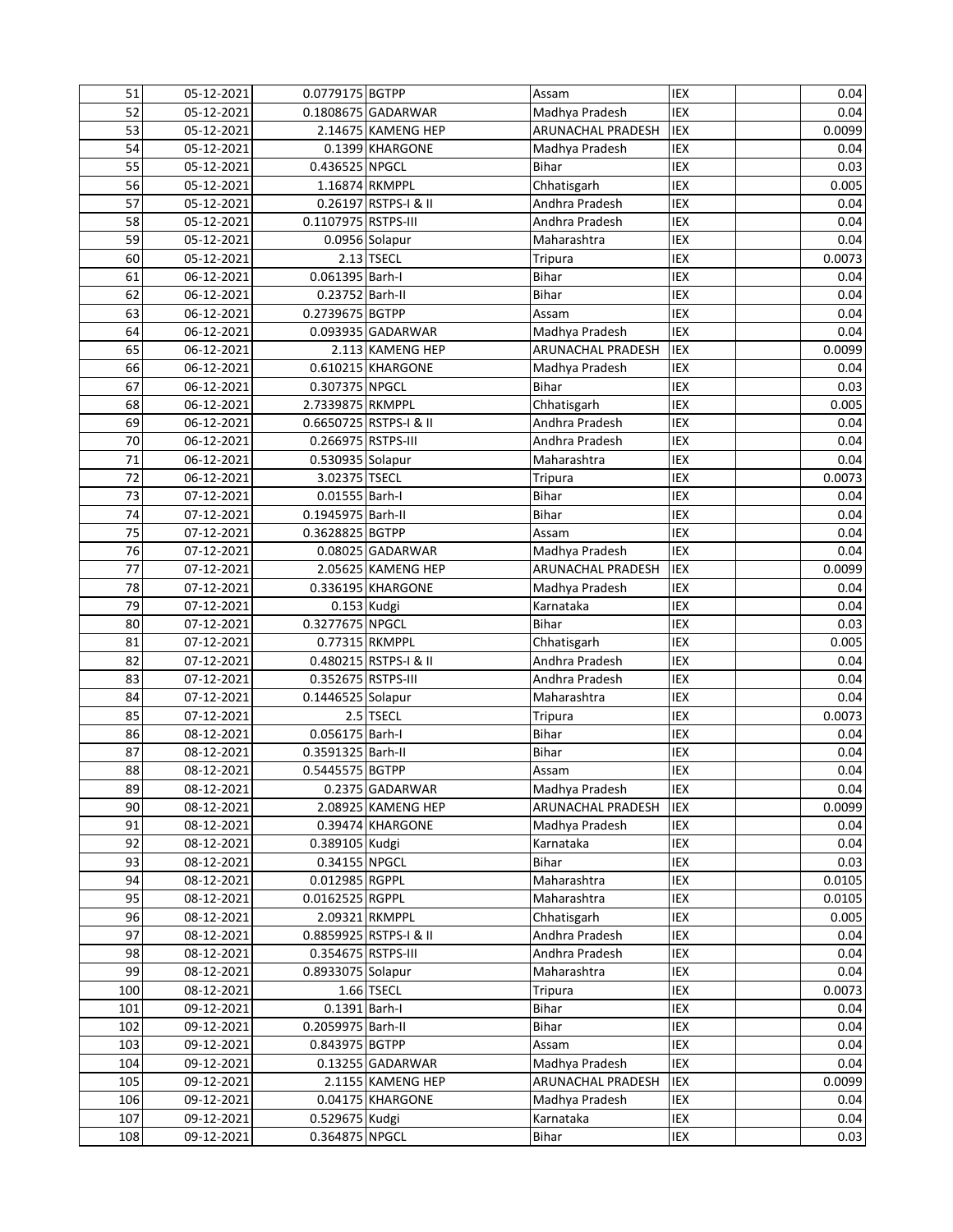| 52<br>IEX<br>Madhya Pradesh<br>05-12-2021<br>0.1808675 GADARWAR<br>IEX<br>53<br>05-12-2021<br>2.14675 KAMENG HEP<br>ARUNACHAL PRADESH<br>IEX<br>54<br>05-12-2021<br>0.1399 KHARGONE<br>Madhya Pradesh<br><b>IEX</b><br>55<br>05-12-2021<br>0.436525 NPGCL<br><b>Bihar</b><br>IEX<br>05-12-2021<br>1.16874 RKMPPL<br>Chhatisgarh<br>56<br>IEX<br>57<br>05-12-2021<br>0.26197 RSTPS-I & II<br>Andhra Pradesh<br>58<br>IEX<br>05-12-2021<br>0.1107975 RSTPS-III<br>Andhra Pradesh<br>IEX<br>59<br>05-12-2021<br>0.0956 Solapur<br>Maharashtra<br>IEX<br>60<br>$2.13$ TSECL<br>05-12-2021<br><b>Tripura</b><br>0.061395 Barh-I<br>IEX<br>61<br>06-12-2021<br><b>Bihar</b><br>IEX<br>0.23752 Barh-II<br><b>Bihar</b><br>62<br>06-12-2021 | 0.04<br>0.0099<br>0.04<br>0.03<br>0.005<br>0.04<br>0.04<br>0.04<br>0.0073<br>0.04<br>0.04<br>0.04<br>0.04<br>0.0099<br>0.04 |
|-------------------------------------------------------------------------------------------------------------------------------------------------------------------------------------------------------------------------------------------------------------------------------------------------------------------------------------------------------------------------------------------------------------------------------------------------------------------------------------------------------------------------------------------------------------------------------------------------------------------------------------------------------------------------------------------------------------------------------------|-----------------------------------------------------------------------------------------------------------------------------|
|                                                                                                                                                                                                                                                                                                                                                                                                                                                                                                                                                                                                                                                                                                                                     |                                                                                                                             |
|                                                                                                                                                                                                                                                                                                                                                                                                                                                                                                                                                                                                                                                                                                                                     |                                                                                                                             |
|                                                                                                                                                                                                                                                                                                                                                                                                                                                                                                                                                                                                                                                                                                                                     |                                                                                                                             |
|                                                                                                                                                                                                                                                                                                                                                                                                                                                                                                                                                                                                                                                                                                                                     |                                                                                                                             |
|                                                                                                                                                                                                                                                                                                                                                                                                                                                                                                                                                                                                                                                                                                                                     |                                                                                                                             |
|                                                                                                                                                                                                                                                                                                                                                                                                                                                                                                                                                                                                                                                                                                                                     |                                                                                                                             |
|                                                                                                                                                                                                                                                                                                                                                                                                                                                                                                                                                                                                                                                                                                                                     |                                                                                                                             |
|                                                                                                                                                                                                                                                                                                                                                                                                                                                                                                                                                                                                                                                                                                                                     |                                                                                                                             |
|                                                                                                                                                                                                                                                                                                                                                                                                                                                                                                                                                                                                                                                                                                                                     |                                                                                                                             |
|                                                                                                                                                                                                                                                                                                                                                                                                                                                                                                                                                                                                                                                                                                                                     |                                                                                                                             |
|                                                                                                                                                                                                                                                                                                                                                                                                                                                                                                                                                                                                                                                                                                                                     |                                                                                                                             |
| IEX<br>63<br>0.2739675 BGTPP<br>06-12-2021<br>Assam                                                                                                                                                                                                                                                                                                                                                                                                                                                                                                                                                                                                                                                                                 |                                                                                                                             |
| <b>IEX</b><br>64<br>0.093935 GADARWAR<br>06-12-2021<br>Madhya Pradesh                                                                                                                                                                                                                                                                                                                                                                                                                                                                                                                                                                                                                                                               |                                                                                                                             |
| 06-12-2021<br>2.113 KAMENG HEP<br>ARUNACHAL PRADESH<br>IEX<br>65                                                                                                                                                                                                                                                                                                                                                                                                                                                                                                                                                                                                                                                                    |                                                                                                                             |
| IEX<br>06-12-2021<br>0.610215 KHARGONE<br>66<br>Madhya Pradesh                                                                                                                                                                                                                                                                                                                                                                                                                                                                                                                                                                                                                                                                      |                                                                                                                             |
| IEX<br>67<br>06-12-2021<br>0.307375 NPGCL<br><b>Bihar</b>                                                                                                                                                                                                                                                                                                                                                                                                                                                                                                                                                                                                                                                                           | 0.03                                                                                                                        |
| IEX<br>06-12-2021<br>2.7339875 RKMPPL<br>68<br>Chhatisgarh                                                                                                                                                                                                                                                                                                                                                                                                                                                                                                                                                                                                                                                                          | 0.005                                                                                                                       |
| 0.6650725 RSTPS-I & II<br>Andhra Pradesh<br>IEX<br>69<br>06-12-2021                                                                                                                                                                                                                                                                                                                                                                                                                                                                                                                                                                                                                                                                 | 0.04                                                                                                                        |
| 70<br>Andhra Pradesh<br>IEX<br>06-12-2021<br>0.266975 RSTPS-III                                                                                                                                                                                                                                                                                                                                                                                                                                                                                                                                                                                                                                                                     | 0.04                                                                                                                        |
| 71<br>IEX<br>06-12-2021<br>0.530935 Solapur<br>Maharashtra                                                                                                                                                                                                                                                                                                                                                                                                                                                                                                                                                                                                                                                                          | 0.04                                                                                                                        |
| 72<br>IEX<br>3.02375 TSECL<br>06-12-2021<br><b>Tripura</b>                                                                                                                                                                                                                                                                                                                                                                                                                                                                                                                                                                                                                                                                          | 0.0073                                                                                                                      |
| 73<br>IEX<br>0.01555 Barh-I<br><b>Bihar</b><br>07-12-2021                                                                                                                                                                                                                                                                                                                                                                                                                                                                                                                                                                                                                                                                           | 0.04                                                                                                                        |
| 74<br>IEX<br>0.1945975 Barh-II<br><b>Bihar</b><br>07-12-2021                                                                                                                                                                                                                                                                                                                                                                                                                                                                                                                                                                                                                                                                        | 0.04                                                                                                                        |
| <b>IEX</b><br>75<br>0.3628825 BGTPP<br>07-12-2021<br>Assam                                                                                                                                                                                                                                                                                                                                                                                                                                                                                                                                                                                                                                                                          | 0.04                                                                                                                        |
| 76<br>IEX<br>07-12-2021<br>0.08025 GADARWAR<br>Madhya Pradesh                                                                                                                                                                                                                                                                                                                                                                                                                                                                                                                                                                                                                                                                       | 0.04                                                                                                                        |
| 77<br>2.05625 KAMENG HEP<br>IEX<br>07-12-2021<br>ARUNACHAL PRADESH                                                                                                                                                                                                                                                                                                                                                                                                                                                                                                                                                                                                                                                                  | 0.0099                                                                                                                      |
| IEX<br>78<br>0.336195 KHARGONE<br>07-12-2021<br>Madhya Pradesh                                                                                                                                                                                                                                                                                                                                                                                                                                                                                                                                                                                                                                                                      | 0.04                                                                                                                        |
| IEX<br>79<br>07-12-2021<br>0.153 Kudgi<br>Karnataka                                                                                                                                                                                                                                                                                                                                                                                                                                                                                                                                                                                                                                                                                 | 0.04                                                                                                                        |
| <b>IEX</b><br>0.3277675 NPGCL<br>80<br>07-12-2021<br><b>Bihar</b>                                                                                                                                                                                                                                                                                                                                                                                                                                                                                                                                                                                                                                                                   | 0.03                                                                                                                        |
| 0.77315 RKMPPL<br>IEX<br>81<br>07-12-2021<br>Chhatisgarh                                                                                                                                                                                                                                                                                                                                                                                                                                                                                                                                                                                                                                                                            | 0.005                                                                                                                       |
| IEX<br>82<br>07-12-2021<br>0.480215 RSTPS-I & II<br>Andhra Pradesh                                                                                                                                                                                                                                                                                                                                                                                                                                                                                                                                                                                                                                                                  | 0.04                                                                                                                        |
| 0.352675 RSTPS-III<br>IEX<br>83<br>07-12-2021<br>Andhra Pradesh                                                                                                                                                                                                                                                                                                                                                                                                                                                                                                                                                                                                                                                                     | 0.04                                                                                                                        |
| 0.1446525 Solapur<br>IEX<br>84<br>07-12-2021<br>Maharashtra                                                                                                                                                                                                                                                                                                                                                                                                                                                                                                                                                                                                                                                                         | 0.04                                                                                                                        |
| 85<br>2.5 TSECL<br>IEX<br>07-12-2021<br><b>Tripura</b>                                                                                                                                                                                                                                                                                                                                                                                                                                                                                                                                                                                                                                                                              | 0.0073                                                                                                                      |
| 0.056175 Barh-I<br>IEX<br>86<br>08-12-2021<br><b>Bihar</b>                                                                                                                                                                                                                                                                                                                                                                                                                                                                                                                                                                                                                                                                          | 0.04                                                                                                                        |
| 0.3591325 Barh-II<br><b>Bihar</b><br>IEX<br>87<br>08-12-2021                                                                                                                                                                                                                                                                                                                                                                                                                                                                                                                                                                                                                                                                        | 0.04                                                                                                                        |
| 0.5445575 BGTPP<br>IEX<br>88<br>08-12-2021<br>Assam                                                                                                                                                                                                                                                                                                                                                                                                                                                                                                                                                                                                                                                                                 | 0.04                                                                                                                        |
| IEX<br>89<br>08-12-2021<br>0.2375 GADARWAR<br>Madhya Pradesh                                                                                                                                                                                                                                                                                                                                                                                                                                                                                                                                                                                                                                                                        | 0.04                                                                                                                        |
| 90<br>IEX<br>08-12-2021<br>2.08925 KAMENG HEP<br><b>ARUNACHAL PRADESH</b>                                                                                                                                                                                                                                                                                                                                                                                                                                                                                                                                                                                                                                                           | 0.0099                                                                                                                      |
| IEX<br>91<br>08-12-2021<br>0.39474 KHARGONE<br>Madhya Pradesh                                                                                                                                                                                                                                                                                                                                                                                                                                                                                                                                                                                                                                                                       | 0.04                                                                                                                        |
| IEX<br>92<br>08-12-2021<br>0.389105 Kudgi<br>Karnataka                                                                                                                                                                                                                                                                                                                                                                                                                                                                                                                                                                                                                                                                              | 0.04                                                                                                                        |
| IEX<br>93<br>08-12-2021<br>0.34155 NPGCL<br><b>Bihar</b>                                                                                                                                                                                                                                                                                                                                                                                                                                                                                                                                                                                                                                                                            | 0.03                                                                                                                        |
| 08-12-2021<br>0.012985 RGPPL<br>Maharashtra<br>IEX<br>94                                                                                                                                                                                                                                                                                                                                                                                                                                                                                                                                                                                                                                                                            | 0.0105                                                                                                                      |
| 95<br>0.0162525 RGPPL<br>Maharashtra<br>IEX<br>08-12-2021                                                                                                                                                                                                                                                                                                                                                                                                                                                                                                                                                                                                                                                                           | 0.0105                                                                                                                      |
| 96<br>2.09321 RKMPPL<br>IEX<br>08-12-2021<br>Chhatisgarh                                                                                                                                                                                                                                                                                                                                                                                                                                                                                                                                                                                                                                                                            | 0.005                                                                                                                       |
| 97<br>0.8859925 RSTPS-I & II<br>Andhra Pradesh<br>IEX<br>08-12-2021                                                                                                                                                                                                                                                                                                                                                                                                                                                                                                                                                                                                                                                                 | 0.04                                                                                                                        |
| 98<br>0.354675 RSTPS-III<br>Andhra Pradesh<br>IEX<br>08-12-2021                                                                                                                                                                                                                                                                                                                                                                                                                                                                                                                                                                                                                                                                     | 0.04                                                                                                                        |
| 99<br>0.8933075 Solapur<br>IEX<br>08-12-2021<br>Maharashtra                                                                                                                                                                                                                                                                                                                                                                                                                                                                                                                                                                                                                                                                         | 0.04                                                                                                                        |
| IEX<br>100<br>1.66 TSECL<br>08-12-2021<br><b>Tripura</b>                                                                                                                                                                                                                                                                                                                                                                                                                                                                                                                                                                                                                                                                            | 0.0073                                                                                                                      |
| IEX<br>101<br>09-12-2021<br>0.1391 Barh-I<br><b>Bihar</b>                                                                                                                                                                                                                                                                                                                                                                                                                                                                                                                                                                                                                                                                           | 0.04                                                                                                                        |
| IEX<br>102<br>09-12-2021<br>0.2059975 Barh-II<br>Bihar                                                                                                                                                                                                                                                                                                                                                                                                                                                                                                                                                                                                                                                                              | 0.04                                                                                                                        |
| IEX<br>103<br>09-12-2021<br>0.843975 BGTPP<br>Assam                                                                                                                                                                                                                                                                                                                                                                                                                                                                                                                                                                                                                                                                                 | 0.04                                                                                                                        |
| IEX<br>104<br>09-12-2021<br>0.13255 GADARWAR<br>Madhya Pradesh                                                                                                                                                                                                                                                                                                                                                                                                                                                                                                                                                                                                                                                                      | 0.04                                                                                                                        |
| IEX<br>105<br>09-12-2021<br>2.1155 KAMENG HEP<br>ARUNACHAL PRADESH                                                                                                                                                                                                                                                                                                                                                                                                                                                                                                                                                                                                                                                                  | 0.0099                                                                                                                      |
| IEX<br>106<br>09-12-2021<br>0.04175 KHARGONE<br>Madhya Pradesh                                                                                                                                                                                                                                                                                                                                                                                                                                                                                                                                                                                                                                                                      | 0.04                                                                                                                        |
| 09-12-2021<br>IEX<br>107<br>0.529675 Kudgi<br>Karnataka                                                                                                                                                                                                                                                                                                                                                                                                                                                                                                                                                                                                                                                                             | 0.04                                                                                                                        |
| 0.364875 NPGCL<br>108<br>09-12-2021<br>Bihar<br>IEX                                                                                                                                                                                                                                                                                                                                                                                                                                                                                                                                                                                                                                                                                 | 0.03                                                                                                                        |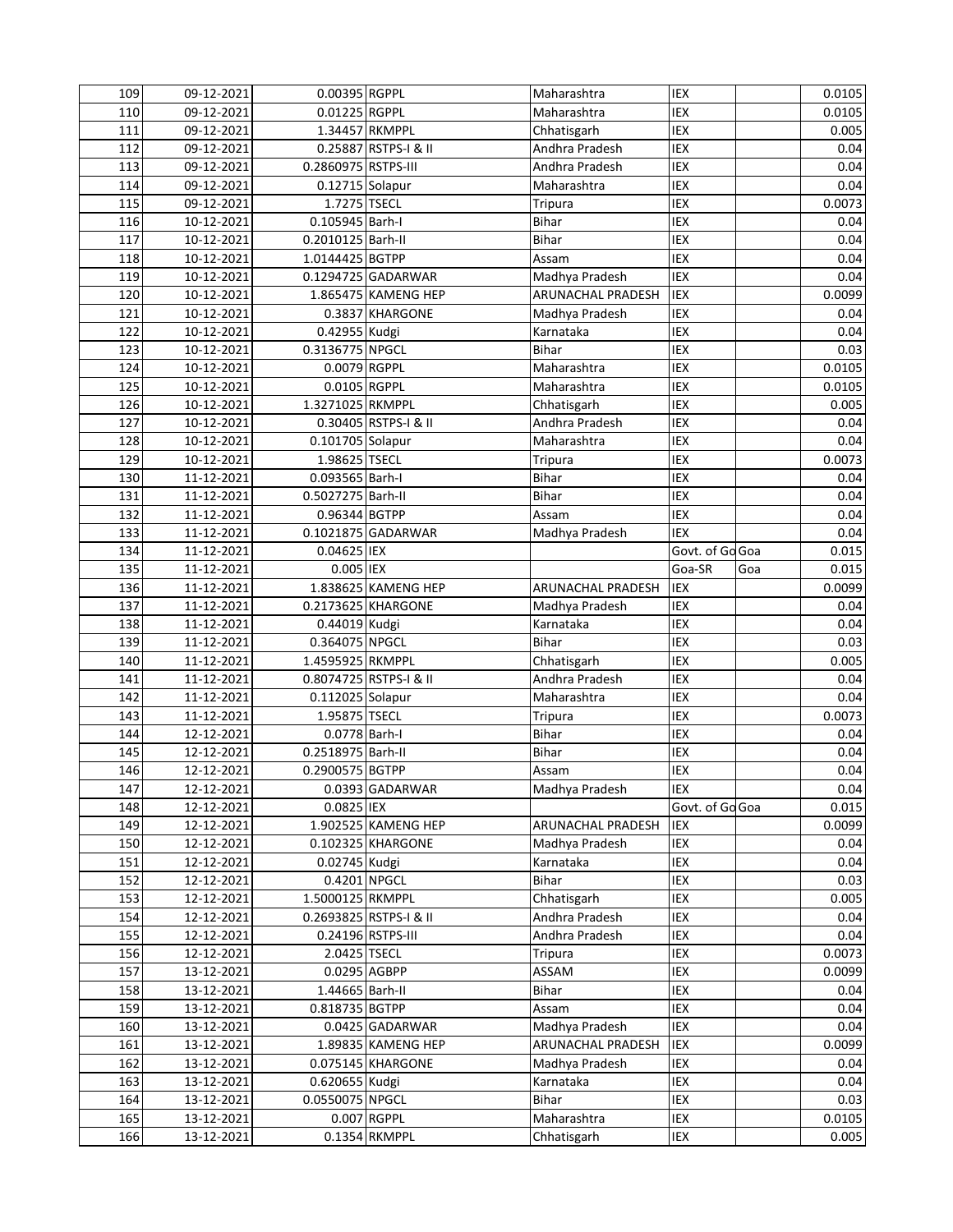| 109        | 09-12-2021               | 0.00395 RGPPL       |                              | Maharashtra       | IEX             |     | 0.0105          |
|------------|--------------------------|---------------------|------------------------------|-------------------|-----------------|-----|-----------------|
| 110        | 09-12-2021               | $0.01225$ RGPPL     |                              | Maharashtra       | IEX             |     | 0.0105          |
| 111        | 09-12-2021               | 1.34457 RKMPPL      |                              | Chhatisgarh       | IEX             |     | 0.005           |
| 112        | 09-12-2021               |                     | 0.25887 RSTPS-I & II         | Andhra Pradesh    | IEX             |     | 0.04            |
| 113        | 09-12-2021               | 0.2860975 RSTPS-III |                              | Andhra Pradesh    | IEX             |     | 0.04            |
| 114        | 09-12-2021               | 0.12715 Solapur     |                              | Maharashtra       | IEX             |     | 0.04            |
| 115        | 09-12-2021               | 1.7275 TSECL        |                              | Tripura           | IEX             |     | 0.0073          |
| 116        | 10-12-2021               | 0.105945 Barh-I     |                              | Bihar             | IEX             |     | 0.04            |
| 117        | 10-12-2021               | 0.2010125 Barh-II   |                              | <b>Bihar</b>      | IEX             |     | 0.04            |
| 118        | 10-12-2021               | 1.0144425 BGTPP     |                              | Assam             | IEX             |     | 0.04            |
| 119        | 10-12-2021               |                     | 0.1294725 GADARWAR           | Madhya Pradesh    | IEX             |     | 0.04            |
| 120        | 10-12-2021               |                     | 1.865475 KAMENG HEP          | ARUNACHAL PRADESH | IEX             |     | 0.0099          |
| 121        | 10-12-2021               |                     | 0.3837 KHARGONE              | Madhya Pradesh    | IEX             |     | 0.04            |
| 122        | 10-12-2021               | 0.42955 Kudgi       |                              | Karnataka         | IEX             |     | 0.04            |
| 123        | 10-12-2021               | 0.3136775 NPGCL     |                              | <b>Bihar</b>      | IEX             |     | 0.03            |
| 124        | 10-12-2021               | 0.0079 RGPPL        |                              | Maharashtra       | <b>IEX</b>      |     | 0.0105          |
| 125        | 10-12-2021               | 0.0105 RGPPL        |                              | Maharashtra       | IEX             |     | 0.0105          |
| 126        | 10-12-2021               | 1.3271025 RKMPPL    |                              | Chhatisgarh       | IEX             |     | 0.005           |
| 127        | 10-12-2021               |                     | 0.30405 RSTPS-I & II         | Andhra Pradesh    | IEX             |     | 0.04            |
| 128        | 10-12-2021               | 0.101705 Solapur    |                              | Maharashtra       | IEX             |     | 0.04            |
| 129        | 10-12-2021               | 1.98625 TSECL       |                              | Tripura           | IEX             |     | 0.0073          |
| 130        | 11-12-2021               | 0.093565 Barh-I     |                              | <b>Bihar</b>      | IEX             |     | 0.04            |
| 131        | 11-12-2021               | 0.5027275 Barh-II   |                              | <b>Bihar</b>      | IEX             |     | 0.04            |
| 132        | 11-12-2021               | 0.96344 BGTPP       |                              | Assam             | IEX             |     | 0.04            |
| 133        | 11-12-2021               |                     | 0.1021875 GADARWAR           | Madhya Pradesh    | IEX             |     | 0.04            |
| 134        | 11-12-2021               | 0.04625 IEX         |                              |                   | Govt. of Go Goa |     | 0.015           |
| 135        | 11-12-2021               | 0.005 IEX           |                              |                   | Goa-SR          | Goa | 0.015           |
| 136        | 11-12-2021               |                     | 1.838625 KAMENG HEP          | ARUNACHAL PRADESH | <b>IEX</b>      |     | 0.0099          |
| 137        | 11-12-2021               |                     | 0.2173625 KHARGONE           | Madhya Pradesh    | IEX             |     | 0.04            |
| 138        | 11-12-2021               | 0.44019 Kudgi       |                              | Karnataka         | IEX             |     | 0.04            |
| 139        | 11-12-2021               | 0.364075 NPGCL      |                              | Bihar             | IEX             |     | 0.03            |
| 140        | 11-12-2021               | 1.4595925 RKMPPL    |                              | Chhatisgarh       | IEX             |     | 0.005           |
| 141        | 11-12-2021               |                     | 0.8074725 RSTPS-I & II       | Andhra Pradesh    | IEX             |     | 0.04            |
| 142        | 11-12-2021               | 0.112025 Solapur    |                              | Maharashtra       | IEX             |     | 0.04            |
| 143        | 11-12-2021               | 1.95875 TSECL       |                              | Tripura           | IEX             |     | 0.0073          |
| 144        | 12-12-2021               | 0.0778 Barh-I       |                              | Bihar             | IEX             |     | 0.04            |
| 145        | 12-12-2021               | 0.2518975 Barh-II   |                              | Bihar             | IEX             |     | 0.04            |
| 146        | 12-12-2021               | 0.2900575 BGTPP     |                              | Assam             | IEX             |     | 0.04            |
| 147        | 12-12-2021               |                     | 0.0393 GADARWAR              | Madhya Pradesh    | IEX             |     | 0.04            |
| 148        | 12-12-2021               | 0.0825 IEX          |                              |                   | Govt. of Go Goa |     | 0.015           |
| 149        | 12-12-2021               |                     | 1.902525 KAMENG HEP          | ARUNACHAL PRADESH | IEX             |     | 0.0099          |
| 150        | 12-12-2021               |                     | 0.102325 KHARGONE            | Madhya Pradesh    | IEX             |     | 0.04            |
| 151        | 12-12-2021               | 0.02745 Kudgi       |                              | Karnataka         | IEX             |     | 0.04            |
| 152        | 12-12-2021               | 0.4201 NPGCL        |                              | <b>Bihar</b>      | IEX             |     | 0.03            |
| 153        | 12-12-2021               | 1.5000125 RKMPPL    |                              | Chhatisgarh       | IEX             |     | 0.005           |
| 154        | 12-12-2021               |                     | 0.2693825 RSTPS-I & II       | Andhra Pradesh    | IEX             |     | 0.04            |
| 155        | 12-12-2021               |                     | 0.24196 RSTPS-III            | Andhra Pradesh    | IEX             |     | 0.04            |
| 156        | 12-12-2021               | 2.0425 TSECL        |                              | <b>Tripura</b>    | IEX             |     | 0.0073          |
| 157        | 13-12-2021               | 0.0295 AGBPP        |                              | ASSAM             | IEX             |     | 0.0099          |
| 158        | 13-12-2021               | 1.44665 Barh-II     |                              | <b>Bihar</b>      | IEX             |     | 0.04            |
| 159        | 13-12-2021               | 0.818735 BGTPP      |                              | Assam             | IEX             |     | 0.04            |
| 160        | 13-12-2021               |                     | 0.0425 GADARWAR              | Madhya Pradesh    | IEX             |     | 0.04            |
| 161        | 13-12-2021               |                     | 1.89835 KAMENG HEP           | ARUNACHAL PRADESH | IEX             |     | 0.0099          |
| 162        | 13-12-2021               |                     | 0.075145 KHARGONE            | Madhya Pradesh    | IEX             |     | 0.04            |
| 163        |                          |                     |                              |                   |                 |     |                 |
|            | 13-12-2021               | 0.620655 Kudgi      |                              | Karnataka         | IEX             |     | 0.04            |
| 164        | 13-12-2021               | 0.0550075 NPGCL     |                              | Bihar             | IEX             |     | 0.03            |
| 165<br>166 | 13-12-2021<br>13-12-2021 |                     | 0.007 RGPPL<br>0.1354 RKMPPL | Maharashtra       | IEX<br>IEX      |     | 0.0105<br>0.005 |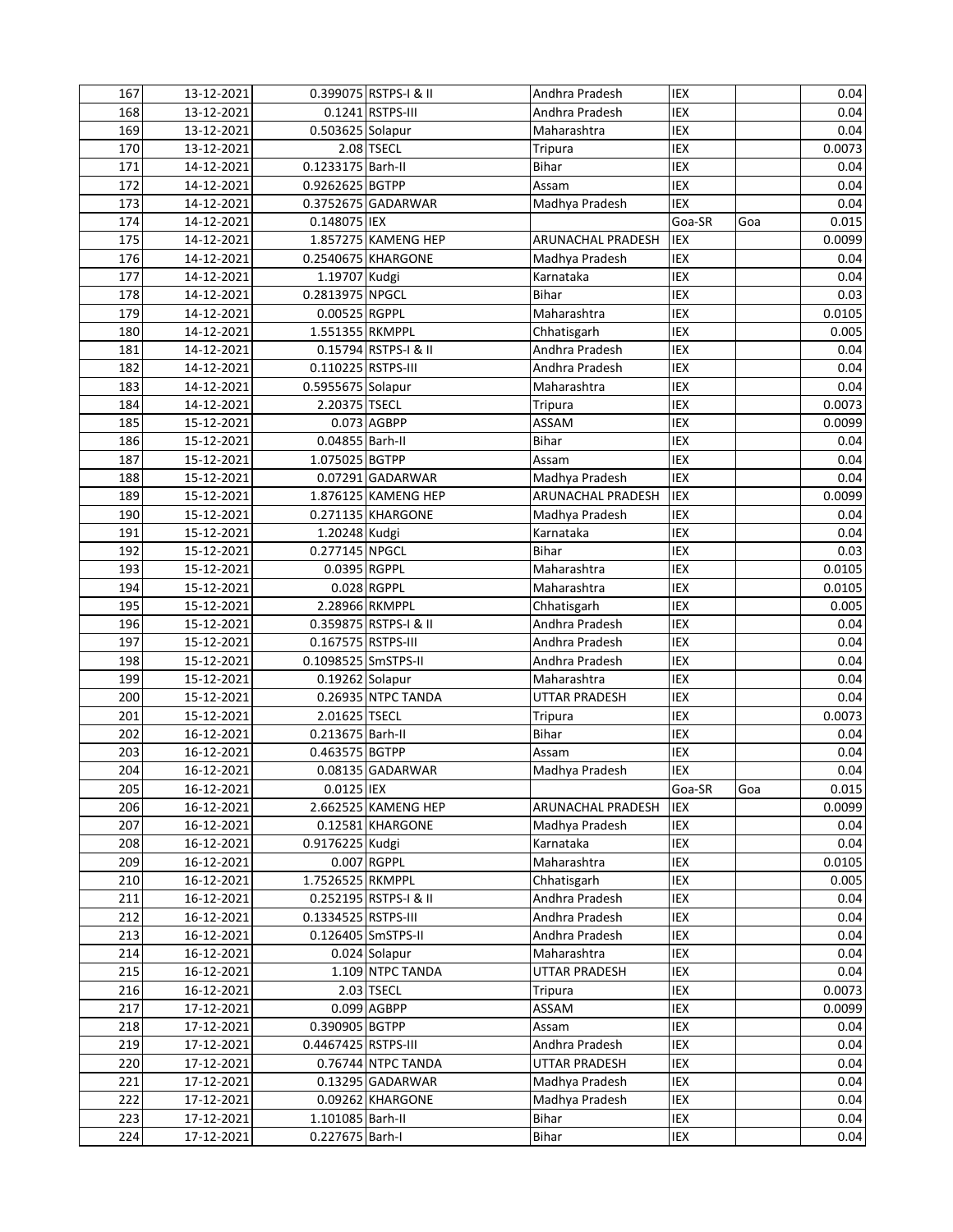| 167 | 13-12-2021 |                     | 0.399075 RSTPS-I & II | Andhra Pradesh           | IEX        |     | 0.04   |
|-----|------------|---------------------|-----------------------|--------------------------|------------|-----|--------|
| 168 | 13-12-2021 |                     | 0.1241 RSTPS-III      | Andhra Pradesh           | IEX        |     | 0.04   |
| 169 | 13-12-2021 | 0.503625 Solapur    |                       | Maharashtra              | IEX        |     | 0.04   |
| 170 | 13-12-2021 |                     | $2.08$ TSECL          | Tripura                  | IEX        |     | 0.0073 |
| 171 | 14-12-2021 | 0.1233175 Barh-II   |                       | <b>Bihar</b>             | IEX        |     | 0.04   |
| 172 | 14-12-2021 | 0.9262625 BGTPP     |                       | Assam                    | IEX        |     | 0.04   |
| 173 | 14-12-2021 |                     | 0.3752675 GADARWAR    | Madhya Pradesh           | <b>IEX</b> |     | 0.04   |
| 174 | 14-12-2021 | 0.148075 IEX        |                       |                          | Goa-SR     | Goa | 0.015  |
| 175 | 14-12-2021 |                     | 1.857275 KAMENG HEP   | <b>ARUNACHAL PRADESH</b> | <b>IEX</b> |     | 0.0099 |
| 176 | 14-12-2021 |                     | 0.2540675 KHARGONE    | Madhya Pradesh           | IEX        |     | 0.04   |
| 177 | 14-12-2021 | 1.19707 Kudgi       |                       | Karnataka                | IEX        |     | 0.04   |
| 178 | 14-12-2021 | 0.2813975 NPGCL     |                       | <b>Bihar</b>             | IEX        |     | 0.03   |
| 179 | 14-12-2021 | 0.00525 RGPPL       |                       | Maharashtra              | IEX        |     | 0.0105 |
| 180 | 14-12-2021 | 1.551355 RKMPPL     |                       | Chhatisgarh              | IEX        |     | 0.005  |
| 181 | 14-12-2021 |                     | 0.15794 RSTPS-I & II  | Andhra Pradesh           | IEX        |     | 0.04   |
| 182 | 14-12-2021 | 0.110225 RSTPS-III  |                       | Andhra Pradesh           | IEX        |     | 0.04   |
| 183 | 14-12-2021 | 0.5955675 Solapur   |                       | Maharashtra              | IEX        |     | 0.04   |
| 184 | 14-12-2021 | 2.20375 TSECL       |                       | Tripura                  | IEX        |     | 0.0073 |
| 185 | 15-12-2021 |                     | 0.073 AGBPP           | ASSAM                    | IEX        |     | 0.0099 |
| 186 | 15-12-2021 | 0.04855 Barh-II     |                       | <b>Bihar</b>             | IEX        |     | 0.04   |
| 187 | 15-12-2021 | 1.075025 BGTPP      |                       | Assam                    | IEX        |     | 0.04   |
| 188 | 15-12-2021 |                     | 0.07291 GADARWAR      | Madhya Pradesh           | IEX        |     | 0.04   |
| 189 | 15-12-2021 |                     | 1.876125 KAMENG HEP   | <b>ARUNACHAL PRADESH</b> | IEX        |     | 0.0099 |
| 190 | 15-12-2021 |                     | 0.271135 KHARGONE     | Madhya Pradesh           | IEX        |     | 0.04   |
| 191 | 15-12-2021 | 1.20248 Kudgi       |                       | Karnataka                | IEX        |     | 0.04   |
| 192 | 15-12-2021 | 0.277145 NPGCL      |                       | <b>Bihar</b>             | IEX        |     | 0.03   |
| 193 | 15-12-2021 | 0.0395 RGPPL        |                       | Maharashtra              | IEX        |     | 0.0105 |
| 194 | 15-12-2021 |                     | 0.028 RGPPL           | Maharashtra              | IEX        |     | 0.0105 |
| 195 | 15-12-2021 |                     | 2.28966 RKMPPL        | Chhatisgarh              | IEX        |     | 0.005  |
| 196 | 15-12-2021 |                     | 0.359875 RSTPS-I & II | Andhra Pradesh           | IEX        |     | 0.04   |
| 197 | 15-12-2021 | 0.167575 RSTPS-III  |                       | Andhra Pradesh           | IEX        |     | 0.04   |
| 198 | 15-12-2021 | 0.1098525 SmSTPS-II |                       | Andhra Pradesh           | IEX        |     | 0.04   |
| 199 | 15-12-2021 | 0.19262 Solapur     |                       | Maharashtra              | IEX        |     | 0.04   |
| 200 | 15-12-2021 |                     | 0.26935 NTPC TANDA    | <b>UTTAR PRADESH</b>     | IEX        |     | 0.04   |
| 201 | 15-12-2021 | 2.01625 TSECL       |                       | <b>Tripura</b>           | IEX        |     | 0.0073 |
| 202 | 16-12-2021 | 0.213675 Barh-II    |                       | <b>Bihar</b>             | IEX        |     | 0.04   |
| 203 | 16-12-2021 | 0.463575 BGTPP      |                       | Assam                    | IEX        |     | 0.04   |
| 204 | 16-12-2021 |                     | 0.08135 GADARWAR      | Madhya Pradesh           | IEX        |     | 0.04   |
| 205 | 16-12-2021 | 0.0125 IEX          |                       |                          | Goa-SR     | Goa | 0.015  |
| 206 | 16-12-2021 |                     | 2.662525 KAMENG HEP   | <b>ARUNACHAL PRADESH</b> | IEX        |     | 0.0099 |
| 207 | 16-12-2021 |                     | 0.12581 KHARGONE      | Madhya Pradesh           | IEX        |     | 0.04   |
| 208 | 16-12-2021 | 0.9176225 Kudgi     |                       | Karnataka                | IEX        |     | 0.04   |
| 209 | 16-12-2021 |                     | 0.007 RGPPL           | Maharashtra              | IEX        |     | 0.0105 |
| 210 | 16-12-2021 | 1.7526525 RKMPPL    |                       | Chhatisgarh              | IEX        |     | 0.005  |
| 211 | 16-12-2021 |                     | 0.252195 RSTPS-I & II | Andhra Pradesh           | IEX        |     | 0.04   |
| 212 | 16-12-2021 | 0.1334525 RSTPS-III |                       | Andhra Pradesh           | IEX        |     | 0.04   |
| 213 | 16-12-2021 |                     | 0.126405 SmSTPS-II    | Andhra Pradesh           | IEX        |     | 0.04   |
| 214 | 16-12-2021 |                     | 0.024 Solapur         | Maharashtra              | IEX        |     | 0.04   |
| 215 | 16-12-2021 |                     | 1.109 NTPC TANDA      | <b>UTTAR PRADESH</b>     | IEX        |     | 0.04   |
| 216 | 16-12-2021 |                     | 2.03 TSECL            | <b>Tripura</b>           | IEX        |     | 0.0073 |
| 217 | 17-12-2021 |                     | $0.099$ $AGBPP$       | ASSAM                    | IEX        |     | 0.0099 |
| 218 | 17-12-2021 | 0.390905 BGTPP      |                       | Assam                    | IEX        |     | 0.04   |
| 219 | 17-12-2021 | 0.4467425 RSTPS-III |                       | Andhra Pradesh           | IEX        |     | 0.04   |
| 220 | 17-12-2021 |                     | 0.76744 NTPC TANDA    | UTTAR PRADESH            | IEX        |     | 0.04   |
| 221 | 17-12-2021 |                     | 0.13295 GADARWAR      | Madhya Pradesh           | IEX        |     | 0.04   |
| 222 | 17-12-2021 |                     | 0.09262 KHARGONE      | Madhya Pradesh           | IEX        |     | 0.04   |
| 223 | 17-12-2021 | 1.101085 Barh-II    |                       | Bihar                    | IEX        |     | 0.04   |
| 224 | 17-12-2021 | 0.227675 Barh-I     |                       | Bihar                    | IEX        |     | 0.04   |
|     |            |                     |                       |                          |            |     |        |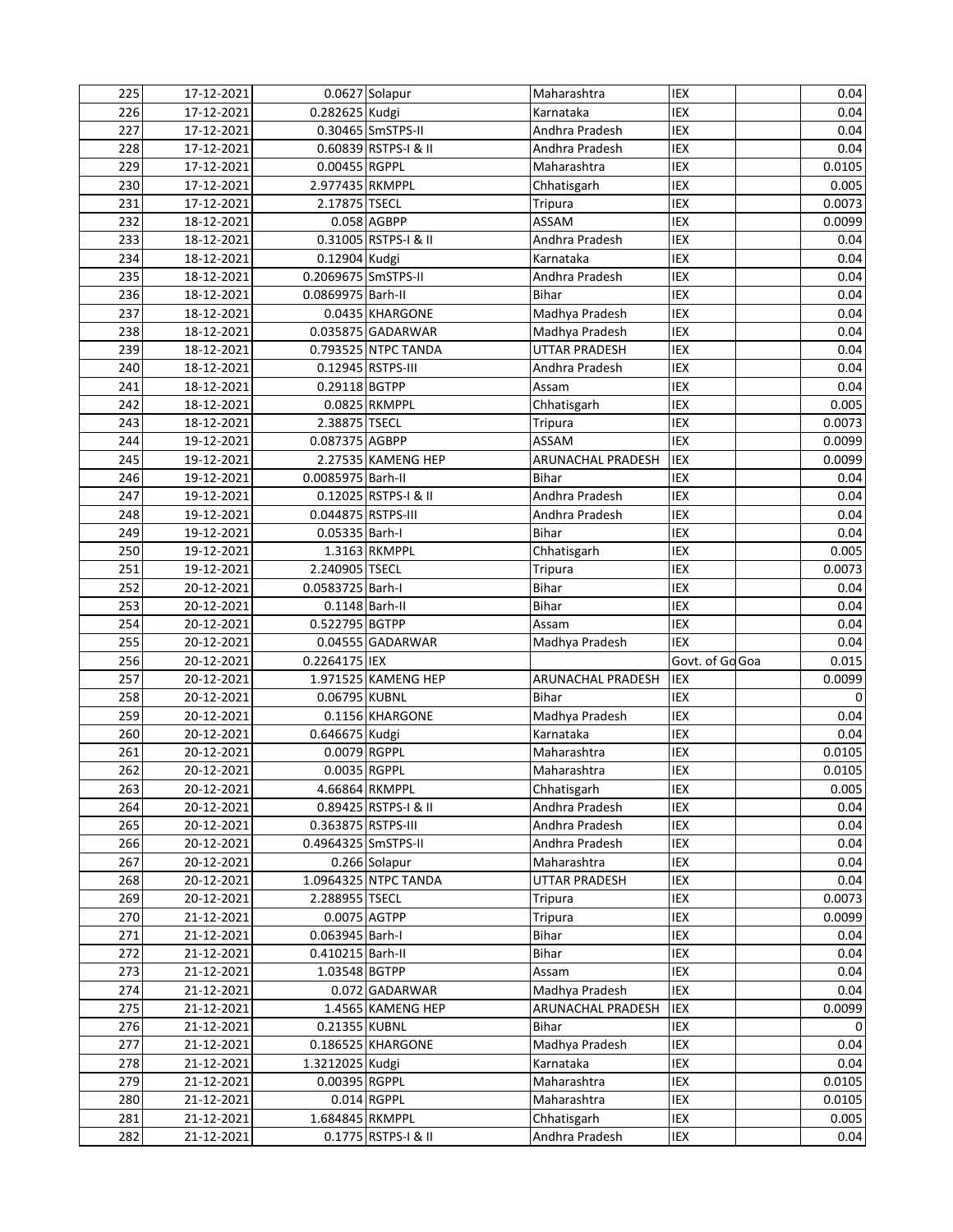| 225        | 17-12-2021               |                     | 0.0627 Solapur       | Maharashtra                   | IEX             | 0.04          |
|------------|--------------------------|---------------------|----------------------|-------------------------------|-----------------|---------------|
| 226        | 17-12-2021               | 0.282625 Kudgi      |                      | Karnataka                     | IEX             | 0.04          |
| 227        | 17-12-2021               |                     | 0.30465 SmSTPS-II    | Andhra Pradesh                | IEX             | 0.04          |
| 228        | 17-12-2021               |                     | 0.60839 RSTPS-I & II | Andhra Pradesh                | IEX             | 0.04          |
| 229        | 17-12-2021               | 0.00455 RGPPL       |                      | Maharashtra                   | <b>IEX</b>      | 0.0105        |
| 230        | 17-12-2021               | 2.977435 RKMPPL     |                      | Chhatisgarh                   | IEX             | 0.005         |
| 231        | 17-12-2021               | 2.17875 TSECL       |                      | <b>Tripura</b>                | IEX             | 0.0073        |
| 232        | 18-12-2021               |                     | 0.058 AGBPP          | ASSAM                         | IEX             | 0.0099        |
| 233        | 18-12-2021               |                     | 0.31005 RSTPS-I & II | Andhra Pradesh                | IEX             | 0.04          |
| 234        | 18-12-2021               | 0.12904 Kudgi       |                      | Karnataka                     | IEX             | 0.04          |
| 235        | 18-12-2021               | 0.2069675 SmSTPS-II |                      | Andhra Pradesh                | IEX             | 0.04          |
| 236        | 18-12-2021               | 0.0869975 Barh-II   |                      | <b>Bihar</b>                  | IEX             | 0.04          |
| 237        | 18-12-2021               |                     | 0.0435 KHARGONE      | Madhya Pradesh                | IEX             | 0.04          |
| 238        | 18-12-2021               |                     | 0.035875 GADARWAR    | Madhya Pradesh                | IEX             | 0.04          |
| 239        | 18-12-2021               |                     | 0.793525 NTPC TANDA  | <b>UTTAR PRADESH</b>          | IEX             | 0.04          |
| 240        | 18-12-2021               |                     | 0.12945 RSTPS-III    | Andhra Pradesh                | IEX             | 0.04          |
| 241        | 18-12-2021               | 0.29118 BGTPP       |                      | Assam                         | IEX             | 0.04          |
| 242        | 18-12-2021               |                     | 0.0825 RKMPPL        | Chhatisgarh                   | IEX             | 0.005         |
| 243        | 18-12-2021               | 2.38875 TSECL       |                      | <b>Tripura</b>                | IEX             | 0.0073        |
| 244        | 19-12-2021               | 0.087375 AGBPP      |                      | ASSAM                         | IEX             | 0.0099        |
| 245        | 19-12-2021               |                     | 2.27535 KAMENG HEP   | ARUNACHAL PRADESH             | IEX             | 0.0099        |
| 246        | 19-12-2021               | 0.0085975 Barh-II   |                      | <b>Bihar</b>                  | IEX             | 0.04          |
| 247        | 19-12-2021               |                     | 0.12025 RSTPS-I & II | Andhra Pradesh                | IEX             | 0.04          |
| 248        | 19-12-2021               | 0.044875 RSTPS-III  |                      | Andhra Pradesh                | IEX             | 0.04          |
| 249        | 19-12-2021               | 0.05335 Barh-I      |                      | Bihar                         | IEX             | 0.04          |
| 250        | 19-12-2021               |                     | 1.3163 RKMPPL        | Chhatisgarh                   | IEX             | 0.005         |
| 251        | 19-12-2021               | 2.240905 TSECL      |                      | Tripura                       | IEX             | 0.0073        |
| 252        | 20-12-2021               | 0.0583725 Barh-I    |                      | <b>Bihar</b>                  | IEX             | 0.04          |
| 253        |                          |                     | 0.1148 Barh-II       | Bihar                         | IEX             | 0.04          |
|            | 20-12-2021               |                     |                      |                               |                 |               |
| 254        | 20-12-2021               | 0.522795 BGTPP      |                      | Assam                         | IEX             | 0.04          |
| 255        | 20-12-2021               |                     | 0.04555 GADARWAR     | Madhya Pradesh                | IEX             | 0.04          |
| 256        | 20-12-2021               | 0.2264175 IEX       |                      |                               | Govt. of Go Goa | 0.015         |
| 257        | 20-12-2021               |                     | 1.971525 KAMENG HEP  | ARUNACHAL PRADESH             | IEX             | 0.0099        |
| 258        | 20-12-2021               | 0.06795 KUBNL       |                      | Bihar                         | IEX             | 0             |
| 259        | 20-12-2021               |                     | 0.1156 KHARGONE      | Madhya Pradesh                | IEX             | 0.04          |
| 260        | 20-12-2021               | 0.646675 Kudgi      |                      | Karnataka                     | IEX             | 0.04          |
| 261        | 20-12-2021               | 0.0079 RGPPL        |                      | Maharashtra                   | IEX             | 0.0105        |
| 262        | 20-12-2021               | 0.0035 RGPPL        |                      | Maharashtra                   | IEX             | 0.0105        |
| 263        | 20-12-2021               | 4.66864 RKMPPL      |                      | Chhatisgarh                   | IEX             | 0.005         |
| 264        | 20-12-2021               |                     | 0.89425 RSTPS-I & II | Andhra Pradesh                | IEX             | 0.04          |
| 265        | 20-12-2021               | 0.363875 RSTPS-III  |                      | Andhra Pradesh                | IEX             | 0.04          |
| 266        | 20-12-2021               | 0.4964325 SmSTPS-II |                      | Andhra Pradesh                | IEX             | 0.04          |
| 267        | 20-12-2021               |                     | 0.266 Solapur        | Maharashtra                   | IEX             | 0.04          |
| 268        | 20-12-2021               |                     | 1.0964325 NTPC TANDA | UTTAR PRADESH                 | IEX             | 0.04          |
| 269        | 20-12-2021               | 2.288955 TSECL      |                      | Tripura                       | IEX             | 0.0073        |
| 270        | 21-12-2021               | 0.0075 AGTPP        |                      | Tripura                       | IEX             | 0.0099        |
| 271        | 21-12-2021               | 0.063945 Barh-I     |                      | Bihar                         | IEX             | 0.04          |
| 272        | 21-12-2021               | 0.410215 Barh-II    |                      | Bihar                         | IEX             | 0.04          |
| 273        | 21-12-2021               | 1.03548 BGTPP       |                      | Assam                         | IEX             | 0.04          |
| 274        | 21-12-2021               |                     | 0.072 GADARWAR       | Madhya Pradesh                | IEX             | 0.04          |
| 275        | 21-12-2021               |                     | 1.4565 KAMENG HEP    | ARUNACHAL PRADESH             | IEX             | 0.0099        |
| 276        | 21-12-2021               | 0.21355 KUBNL       |                      | <b>Bihar</b>                  | IEX             | 0             |
| 277        | 21-12-2021               |                     | 0.186525 KHARGONE    | Madhya Pradesh                | IEX             | 0.04          |
| 278        | 21-12-2021               | 1.3212025 Kudgi     |                      | Karnataka                     | IEX             | 0.04          |
| 279        | 21-12-2021               | 0.00395 RGPPL       |                      | Maharashtra                   | IEX             | 0.0105        |
| 280        | 21-12-2021               |                     | 0.014 RGPPL          | Maharashtra                   | IEX             | 0.0105        |
| 281<br>282 | 21-12-2021<br>21-12-2021 | 1.684845 RKMPPL     | 0.1775 RSTPS-I & II  | Chhatisgarh<br>Andhra Pradesh | IEX<br>IEX      | 0.005<br>0.04 |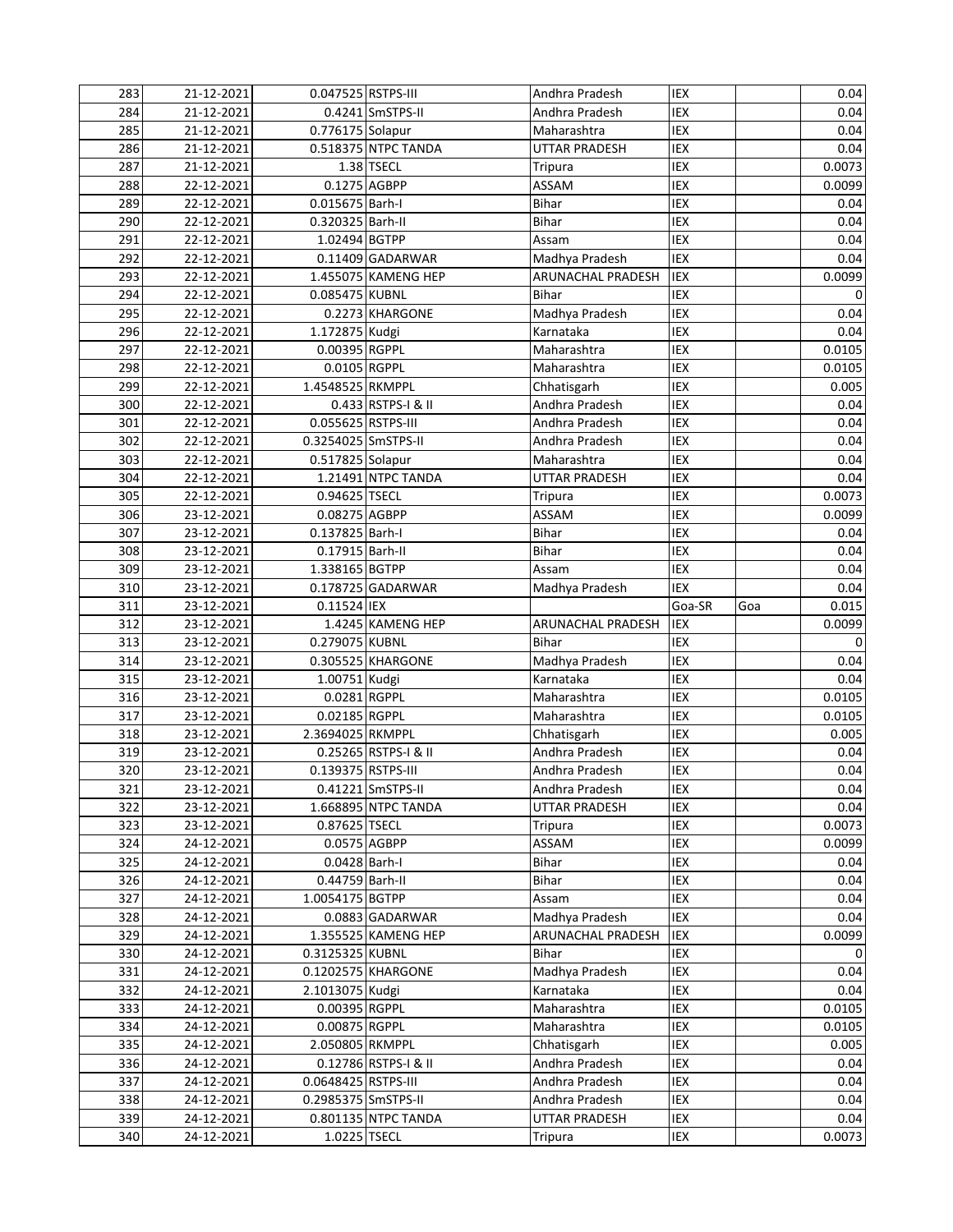| 283        | 21-12-2021               | 0.047525 RSTPS-III  |                      | Andhra Pradesh           | <b>IEX</b> |     | 0.04           |
|------------|--------------------------|---------------------|----------------------|--------------------------|------------|-----|----------------|
| 284        | 21-12-2021               |                     | 0.4241 SmSTPS-II     | Andhra Pradesh           | IEX        |     | 0.04           |
| 285        | 21-12-2021               | 0.776175 Solapur    |                      | Maharashtra              | IEX        |     | 0.04           |
| 286        | 21-12-2021               |                     | 0.518375 NTPC TANDA  | <b>UTTAR PRADESH</b>     | IEX        |     | 0.04           |
| 287        | 21-12-2021               |                     | 1.38 TSECL           | Tripura                  | IEX        |     | 0.0073         |
| 288        | 22-12-2021               | 0.1275 AGBPP        |                      | <b>ASSAM</b>             | IEX        |     | 0.0099         |
| 289        | 22-12-2021               | 0.015675 Barh-I     |                      | Bihar                    | IEX        |     | 0.04           |
| 290        | 22-12-2021               | 0.320325 Barh-II    |                      | <b>Bihar</b>             | <b>IEX</b> |     | 0.04           |
| 291        | 22-12-2021               | 1.02494 BGTPP       |                      | Assam                    | IEX        |     | 0.04           |
| 292        | 22-12-2021               |                     | 0.11409 GADARWAR     | Madhya Pradesh           | IEX        |     | 0.04           |
| 293        | 22-12-2021               |                     | 1.455075 KAMENG HEP  | <b>ARUNACHAL PRADESH</b> | IEX        |     | 0.0099         |
| 294        | 22-12-2021               | 0.085475 KUBNL      |                      | <b>Bihar</b>             | IEX        |     | 0              |
| 295        | 22-12-2021               |                     | 0.2273 KHARGONE      | Madhya Pradesh           | IEX        |     | 0.04           |
| 296        | 22-12-2021               | 1.172875 Kudgi      |                      | Karnataka                | <b>IEX</b> |     | 0.04           |
| 297        | 22-12-2021               | 0.00395 RGPPL       |                      | Maharashtra              | <b>IEX</b> |     | 0.0105         |
| 298        | 22-12-2021               | 0.0105 RGPPL        |                      | Maharashtra              | IEX        |     | 0.0105         |
| 299        | 22-12-2021               | 1.4548525 RKMPPL    |                      | Chhatisgarh              | IEX        |     | 0.005          |
| 300        | 22-12-2021               |                     | 0.433 RSTPS-I & II   | Andhra Pradesh           | IEX        |     | 0.04           |
| 301        | 22-12-2021               | 0.055625 RSTPS-III  |                      | Andhra Pradesh           | IEX        |     | 0.04           |
| 302        | 22-12-2021               | 0.3254025 SmSTPS-II |                      | Andhra Pradesh           | IEX        |     | 0.04           |
| 303        | 22-12-2021               | 0.517825 Solapur    |                      | Maharashtra              | IEX        |     | 0.04           |
| 304        | 22-12-2021               |                     | 1.21491 NTPC TANDA   | UTTAR PRADESH            | IEX        |     | 0.04           |
| 305        | 22-12-2021               | 0.94625 TSECL       |                      | <b>Tripura</b>           | IEX        |     | 0.0073         |
| 306        | 23-12-2021               | 0.08275 AGBPP       |                      | <b>ASSAM</b>             | IEX        |     | 0.0099         |
| 307        | 23-12-2021               | 0.137825 Barh-I     |                      | Bihar                    | IEX        |     | 0.04           |
| 308        | 23-12-2021               | 0.17915 Barh-II     |                      | <b>Bihar</b>             | IEX        |     | 0.04           |
| 309        | 23-12-2021               | 1.338165 BGTPP      |                      | Assam                    | IEX        |     | 0.04           |
| 310        | 23-12-2021               |                     | 0.178725 GADARWAR    | Madhya Pradesh           | <b>IEX</b> |     | 0.04           |
| 311        | 23-12-2021               | 0.11524 IEX         |                      |                          | Goa-SR     | Goa | 0.015          |
| 312        | 23-12-2021               |                     | 1.4245 KAMENG HEP    | ARUNACHAL PRADESH        | IEX        |     | 0.0099         |
| 313        | 23-12-2021               | 0.279075 KUBNL      |                      | <b>Bihar</b>             | IEX        |     | 0              |
| 314        | 23-12-2021               |                     | 0.305525 KHARGONE    | Madhya Pradesh           | IEX        |     | 0.04           |
| 315        | 23-12-2021               | 1.00751 Kudgi       |                      | Karnataka                | IEX        |     | 0.04           |
| 316        | 23-12-2021               | 0.0281 RGPPL        |                      | Maharashtra              | IEX        |     | 0.0105         |
| 317        | 23-12-2021               | 0.02185 RGPPL       |                      | Maharashtra              | IEX        |     | 0.0105         |
| 318        | 23-12-2021               | 2.3694025 RKMPPL    |                      | Chhatisgarh              | IEX        |     | 0.005          |
| 319        | 23-12-2021               |                     | 0.25265 RSTPS-I & II | Andhra Pradesh           | IEX        |     | 0.04           |
| 320        | 23-12-2021               | 0.139375 RSTPS-III  |                      | Andhra Pradesh           | IEX        |     | 0.04           |
| 321        | 23-12-2021               |                     | 0.41221 SmSTPS-II    | Andhra Pradesh           | IEX        |     | 0.04           |
| 322        | 23-12-2021               |                     | 1.668895 NTPC TANDA  | <b>UTTAR PRADESH</b>     | <b>IEX</b> |     | 0.04           |
| 323        | 23-12-2021               | 0.87625 TSECL       |                      | Tripura                  | IEX        |     | 0.0073         |
| 324        | 24-12-2021               | 0.0575 AGBPP        |                      | <b>ASSAM</b>             | IEX        |     | 0.0099         |
| 325        | 24-12-2021               | 0.0428 Barh-I       |                      | Bihar                    | IEX        |     | 0.04           |
| 326        | 24-12-2021               | 0.44759 Barh-II     |                      | <b>Bihar</b>             | IEX        |     | 0.04           |
| 327        | 24-12-2021               | 1.0054175 BGTPP     |                      | Assam                    | IEX        |     | 0.04           |
| 328        | 24-12-2021               |                     | 0.0883 GADARWAR      | Madhya Pradesh           | IEX        |     | 0.04           |
| 329        | 24-12-2021               |                     | 1.355525 KAMENG HEP  | ARUNACHAL PRADESH        | IEX        |     | 0.0099         |
| 330        | 24-12-2021               | 0.3125325 KUBNL     |                      | Bihar                    | IEX        |     | 0              |
| 331        | 24-12-2021               |                     | 0.1202575 KHARGONE   | Madhya Pradesh           | IEX        |     | 0.04           |
| 332        | 24-12-2021               | 2.1013075 Kudgi     |                      | Karnataka                | IEX        |     | 0.04           |
| 333        | 24-12-2021               | 0.00395 RGPPL       |                      | Maharashtra              | IEX        |     | 0.0105         |
| 334        | 24-12-2021               | 0.00875 RGPPL       |                      | Maharashtra              | IEX        |     | 0.0105         |
| 335        | 24-12-2021               | 2.050805 RKMPPL     |                      | Chhatisgarh              | IEX        |     | 0.005          |
| 336        | 24-12-2021               |                     | 0.12786 RSTPS-I & II | Andhra Pradesh           | IEX        |     | 0.04           |
| 337        | 24-12-2021               | 0.0648425 RSTPS-III |                      | Andhra Pradesh           | IEX        |     | 0.04           |
| 338        |                          |                     |                      |                          |            |     |                |
|            | 24-12-2021               | 0.2985375 SmSTPS-II |                      | Andhra Pradesh           | IEX        |     | 0.04           |
| 339<br>340 | 24-12-2021<br>24-12-2021 | 1.0225 TSECL        | 0.801135 NTPC TANDA  | UTTAR PRADESH            | IEX<br>IEX |     | 0.04<br>0.0073 |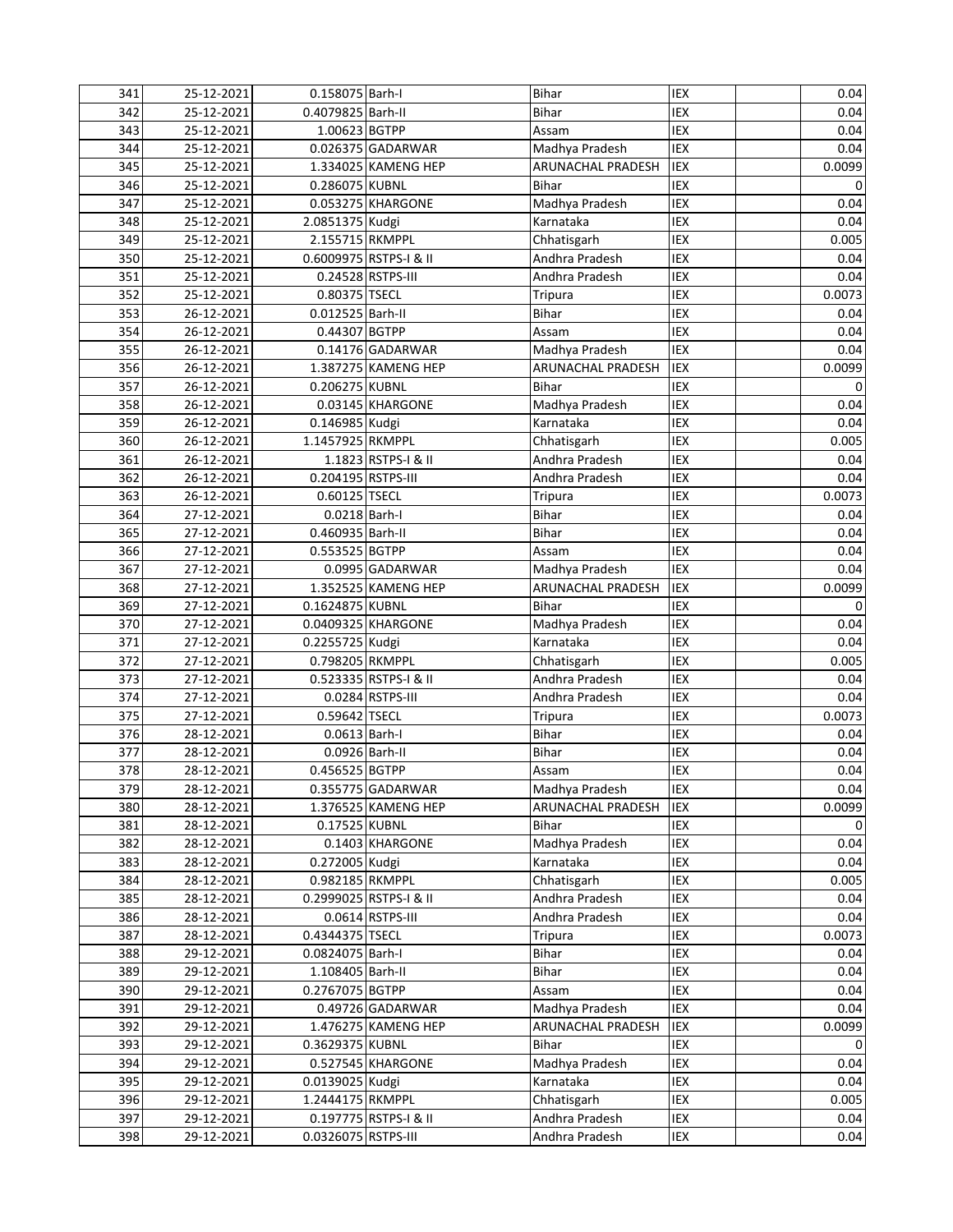| 341 | 25-12-2021 | 0.158075 Barh-I     |                        | Bihar                    | IEX        | 0.04   |
|-----|------------|---------------------|------------------------|--------------------------|------------|--------|
| 342 | 25-12-2021 | 0.4079825 Barh-II   |                        | <b>Bihar</b>             | IEX        | 0.04   |
| 343 | 25-12-2021 | 1.00623 BGTPP       |                        | Assam                    | IEX        | 0.04   |
| 344 | 25-12-2021 |                     | 0.026375 GADARWAR      | Madhya Pradesh           | IEX        | 0.04   |
| 345 | 25-12-2021 |                     | 1.334025 KAMENG HEP    | ARUNACHAL PRADESH        | IEX        | 0.0099 |
| 346 | 25-12-2021 | 0.286075 KUBNL      |                        | <b>Bihar</b>             | IEX        | 0      |
| 347 | 25-12-2021 |                     | 0.053275 KHARGONE      | Madhya Pradesh           | IEX        | 0.04   |
| 348 | 25-12-2021 | 2.0851375 Kudgi     |                        | Karnataka                | <b>IEX</b> | 0.04   |
| 349 | 25-12-2021 | 2.155715 RKMPPL     |                        | Chhatisgarh              | IEX        | 0.005  |
| 350 | 25-12-2021 |                     | 0.6009975 RSTPS-I & II | Andhra Pradesh           | IEX        | 0.04   |
| 351 | 25-12-2021 |                     | 0.24528 RSTPS-III      | Andhra Pradesh           | IEX        | 0.04   |
| 352 | 25-12-2021 | 0.80375 TSECL       |                        |                          | IEX        | 0.0073 |
|     |            |                     |                        | Tripura<br><b>Bihar</b>  | IEX        |        |
| 353 | 26-12-2021 | 0.012525 Barh-II    |                        |                          | <b>IEX</b> | 0.04   |
| 354 | 26-12-2021 | 0.44307 BGTPP       |                        | Assam                    |            | 0.04   |
| 355 | 26-12-2021 |                     | 0.14176 GADARWAR       | Madhya Pradesh           | <b>IEX</b> | 0.04   |
| 356 | 26-12-2021 |                     | 1.387275 KAMENG HEP    | <b>ARUNACHAL PRADESH</b> | IEX        | 0.0099 |
| 357 | 26-12-2021 | 0.206275 KUBNL      |                        | <b>Bihar</b>             | IEX        | 0      |
| 358 | 26-12-2021 |                     | 0.03145 KHARGONE       | Madhya Pradesh           | IEX        | 0.04   |
| 359 | 26-12-2021 | 0.146985 Kudgi      |                        | Karnataka                | IEX        | 0.04   |
| 360 | 26-12-2021 | 1.1457925 RKMPPL    |                        | Chhatisgarh              | IEX        | 0.005  |
| 361 | 26-12-2021 |                     | 1.1823 RSTPS-I & II    | Andhra Pradesh           | IEX        | 0.04   |
| 362 | 26-12-2021 | 0.204195 RSTPS-III  |                        | Andhra Pradesh           | IEX        | 0.04   |
| 363 | 26-12-2021 | 0.60125 TSECL       |                        | Tripura                  | IEX        | 0.0073 |
| 364 | 27-12-2021 | 0.0218 Barh-I       |                        | Bihar                    | IEX        | 0.04   |
| 365 | 27-12-2021 | 0.460935 Barh-II    |                        | Bihar                    | IEX        | 0.04   |
| 366 | 27-12-2021 | 0.553525 BGTPP      |                        | Assam                    | IEX        | 0.04   |
| 367 | 27-12-2021 |                     | 0.0995 GADARWAR        | Madhya Pradesh           | IEX        | 0.04   |
| 368 | 27-12-2021 |                     | 1.352525 KAMENG HEP    | ARUNACHAL PRADESH        | IEX        | 0.0099 |
| 369 | 27-12-2021 | 0.1624875 KUBNL     |                        | <b>Bihar</b>             | IEX        | 0      |
| 370 | 27-12-2021 |                     | 0.0409325 KHARGONE     | Madhya Pradesh           | IEX        | 0.04   |
| 371 | 27-12-2021 | 0.2255725 Kudgi     |                        | Karnataka                | IEX        | 0.04   |
| 372 | 27-12-2021 | 0.798205 RKMPPL     |                        | Chhatisgarh              | IEX        | 0.005  |
| 373 | 27-12-2021 |                     | 0.523335 RSTPS-I & II  | Andhra Pradesh           | IEX        | 0.04   |
| 374 | 27-12-2021 |                     | 0.0284 RSTPS-III       | Andhra Pradesh           | IEX        | 0.04   |
| 375 | 27-12-2021 | 0.59642 TSECL       |                        | Tripura                  | IEX        | 0.0073 |
| 376 | 28-12-2021 | 0.0613 Barh-I       |                        | Bihar                    | IEX        | 0.04   |
|     |            |                     |                        |                          |            |        |
| 377 | 28-12-2021 | 0.0926 Barh-II      |                        | Bihar                    | IEX        | 0.04   |
| 378 | 28-12-2021 | 0.456525 BGTPP      |                        | Assam                    | IEX        | 0.04   |
| 379 | 28-12-2021 |                     | 0.355775 GADARWAR      | Madhya Pradesh           | IEX        | 0.04   |
| 380 | 28-12-2021 |                     | 1.376525 KAMENG HEP    | <b>ARUNACHAL PRADESH</b> | IEX        | 0.0099 |
| 381 | 28-12-2021 | 0.17525 KUBNL       |                        | <b>Bihar</b>             | IEX        | 0      |
| 382 | 28-12-2021 |                     | 0.1403 KHARGONE        | Madhya Pradesh           | IEX        | 0.04   |
| 383 | 28-12-2021 | 0.272005 Kudgi      |                        | Karnataka                | IEX        | 0.04   |
| 384 | 28-12-2021 | 0.982185 RKMPPL     |                        | Chhatisgarh              | IEX        | 0.005  |
| 385 | 28-12-2021 |                     | 0.2999025 RSTPS-I & II | Andhra Pradesh           | IEX        | 0.04   |
| 386 | 28-12-2021 |                     | 0.0614 RSTPS-III       | Andhra Pradesh           | IEX        | 0.04   |
| 387 | 28-12-2021 | 0.4344375 TSECL     |                        | <b>Tripura</b>           | IEX        | 0.0073 |
| 388 | 29-12-2021 | 0.0824075 Barh-I    |                        | Bihar                    | IEX        | 0.04   |
| 389 | 29-12-2021 | 1.108405 Barh-II    |                        | Bihar                    | IEX        | 0.04   |
| 390 | 29-12-2021 | 0.2767075 BGTPP     |                        | Assam                    | IEX        | 0.04   |
| 391 | 29-12-2021 |                     | 0.49726 GADARWAR       | Madhya Pradesh           | IEX        | 0.04   |
| 392 | 29-12-2021 |                     | 1.476275 KAMENG HEP    | ARUNACHAL PRADESH        | IEX        | 0.0099 |
| 393 | 29-12-2021 | 0.3629375 KUBNL     |                        | Bihar                    | IEX        | 0      |
| 394 | 29-12-2021 |                     | 0.527545 KHARGONE      | Madhya Pradesh           | IEX        | 0.04   |
| 395 | 29-12-2021 | 0.0139025 Kudgi     |                        | Karnataka                | IEX        | 0.04   |
| 396 | 29-12-2021 | 1.2444175 RKMPPL    |                        | Chhatisgarh              | IEX        | 0.005  |
| 397 | 29-12-2021 |                     | 0.197775 RSTPS-I & II  | Andhra Pradesh           | IEX        | 0.04   |
| 398 | 29-12-2021 | 0.0326075 RSTPS-III |                        | Andhra Pradesh           | IEX        | 0.04   |
|     |            |                     |                        |                          |            |        |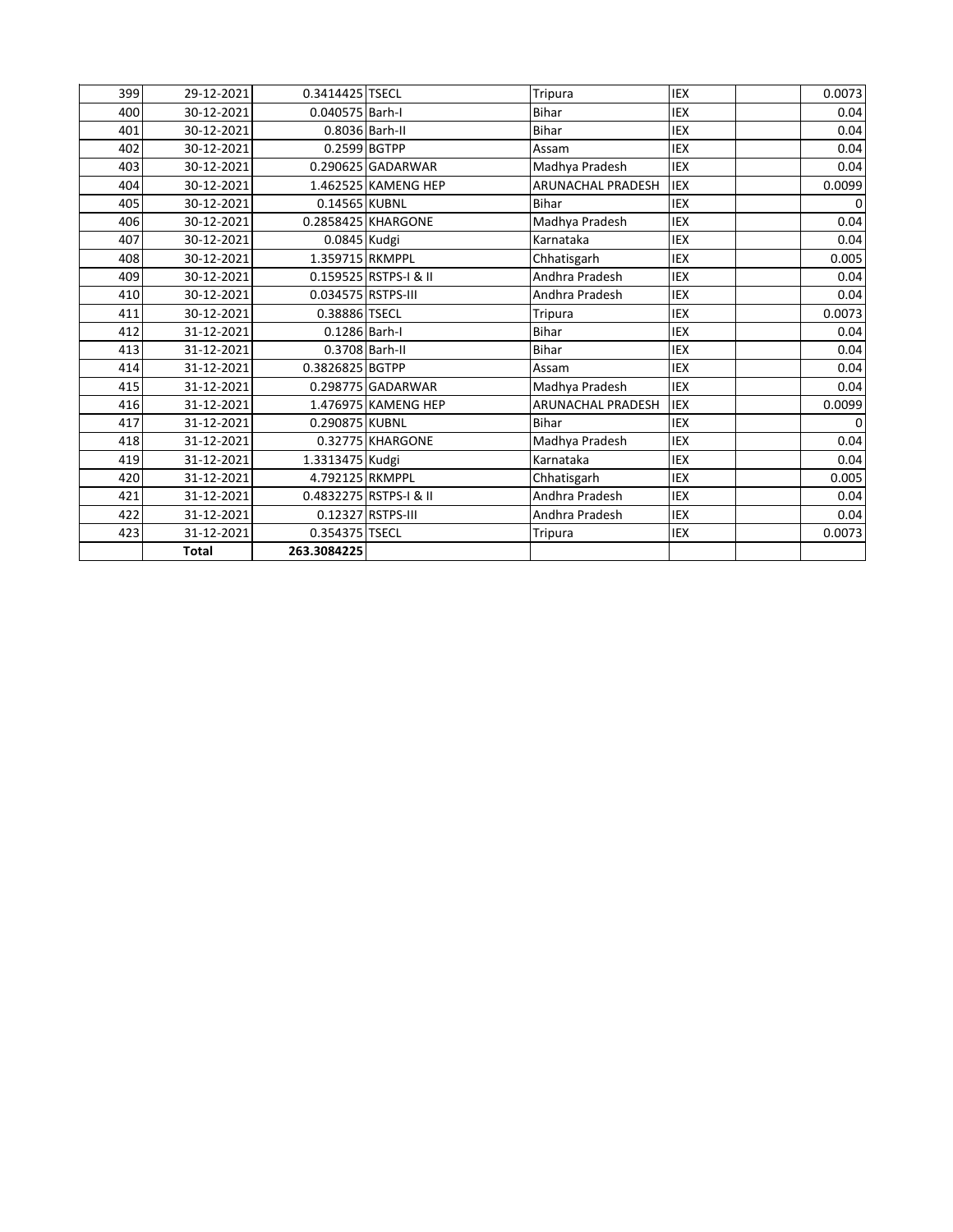|     | <b>Total</b> | 263.3084225        |                        |                          |            |          |
|-----|--------------|--------------------|------------------------|--------------------------|------------|----------|
| 423 | 31-12-2021   | 0.354375 TSECL     |                        | Tripura                  | IEX        | 0.0073   |
| 422 | 31-12-2021   |                    | 0.12327 RSTPS-III      | Andhra Pradesh           | <b>IEX</b> | 0.04     |
| 421 | 31-12-2021   |                    | 0.4832275 RSTPS-I & II | Andhra Pradesh           | <b>IEX</b> | 0.04     |
| 420 | 31-12-2021   | 4.792125 RKMPPL    |                        | Chhatisgarh              | <b>IEX</b> | 0.005    |
| 419 | 31-12-2021   | 1.3313475 Kudgi    |                        | Karnataka                | <b>IEX</b> | 0.04     |
| 418 | 31-12-2021   |                    | 0.32775 KHARGONE       | Madhya Pradesh           | <b>IEX</b> | 0.04     |
| 417 | 31-12-2021   | 0.290875 KUBNL     |                        | <b>Bihar</b>             | <b>IEX</b> | 0        |
| 416 | 31-12-2021   |                    | 1.476975 KAMENG HEP    | <b>ARUNACHAL PRADESH</b> | <b>IEX</b> | 0.0099   |
| 415 | 31-12-2021   |                    | 0.298775 GADARWAR      | Madhya Pradesh           | <b>IEX</b> | 0.04     |
| 414 | 31-12-2021   | 0.3826825 BGTPP    |                        | Assam                    | <b>IEX</b> | 0.04     |
| 413 | 31-12-2021   | 0.3708 Barh-II     |                        | <b>Bihar</b>             | <b>IEX</b> | 0.04     |
| 412 | 31-12-2021   | 0.1286 Barh-I      |                        | <b>Bihar</b>             | <b>IEX</b> | 0.04     |
| 411 | 30-12-2021   | 0.38886 TSECL      |                        | <b>Tripura</b>           | <b>IEX</b> | 0.0073   |
| 410 | 30-12-2021   | 0.034575 RSTPS-III |                        | Andhra Pradesh           | <b>IEX</b> | 0.04     |
| 409 | 30-12-2021   |                    | 0.159525 RSTPS-I & II  | Andhra Pradesh           | <b>IEX</b> | 0.04     |
| 408 | 30-12-2021   | 1.359715 RKMPPL    |                        | Chhatisgarh              | <b>IEX</b> | 0.005    |
| 407 | 30-12-2021   | 0.0845 Kudgi       |                        | Karnataka                | <b>IEX</b> | 0.04     |
| 406 | 30-12-2021   |                    | 0.2858425 KHARGONE     | Madhya Pradesh           | <b>IEX</b> | 0.04     |
| 405 | 30-12-2021   | 0.14565 KUBNL      |                        | <b>Bihar</b>             | <b>IEX</b> | $\Omega$ |
| 404 | 30-12-2021   |                    | 1.462525 KAMENG HEP    | <b>ARUNACHAL PRADESH</b> | <b>IEX</b> | 0.0099   |
| 403 | 30-12-2021   |                    | 0.290625 GADARWAR      | Madhya Pradesh           | <b>IEX</b> | 0.04     |
| 402 | 30-12-2021   | $0.2599$ BGTPP     |                        | Assam                    | <b>IEX</b> | 0.04     |
| 401 | 30-12-2021   |                    | 0.8036 Barh-II         | <b>Bihar</b>             | <b>IEX</b> | 0.04     |
| 400 | 30-12-2021   | 0.040575 Barh-I    |                        | <b>Bihar</b>             | <b>IEX</b> | 0.04     |
| 399 | 29-12-2021   | 0.3414425 TSECL    |                        | Tripura                  | IEX        | 0.0073   |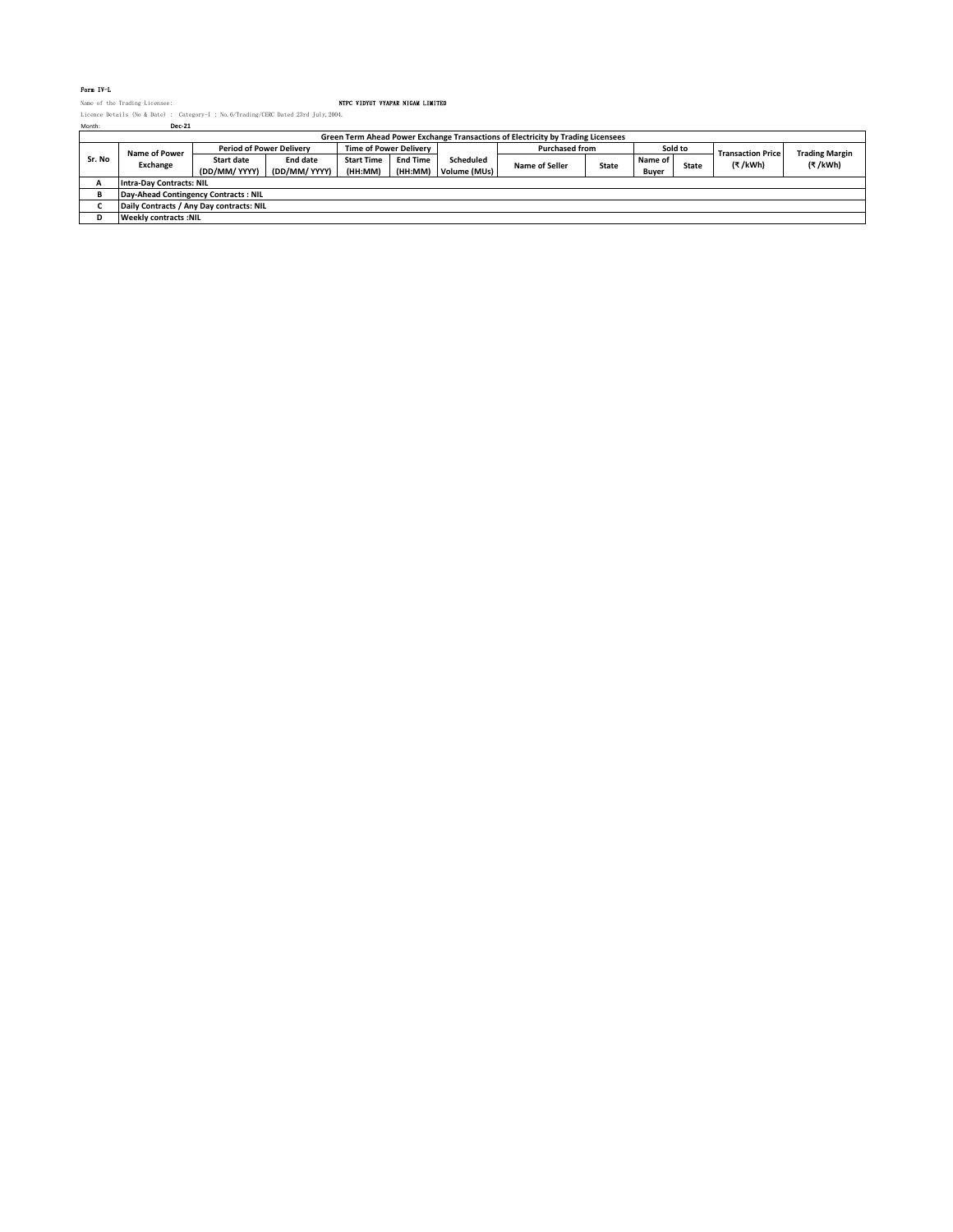## Form IV-L

Name of the Trading Licensee: NTPC VIDYUT VYAPAR NIGAM LIMITED Licence Details (No & Date) : Category-I ; No.6/Trading/CERC Dated 23rd July,2004. Month: **Dec-21**

| Month: | <b>Dec-21</b>                                                                    |                                 |               |                               |                 |              |                       |              |         |              |                          |                       |
|--------|----------------------------------------------------------------------------------|---------------------------------|---------------|-------------------------------|-----------------|--------------|-----------------------|--------------|---------|--------------|--------------------------|-----------------------|
|        | Green Term Ahead Power Exchange Transactions of Electricity by Trading Licensees |                                 |               |                               |                 |              |                       |              |         |              |                          |                       |
|        | Name of Power                                                                    | <b>Period of Power Delivery</b> |               | <b>Time of Power Delivery</b> |                 |              | <b>Purchased from</b> |              | Sold to |              | <b>Transaction Price</b> | <b>Trading Margin</b> |
| Sr. No |                                                                                  | <b>Start date</b>               | End date      | <b>Start Time</b>             | <b>End Time</b> | Scheduled    |                       | <b>State</b> | Name of | <b>State</b> | (₹/kWh)                  | (₹/kWh)               |
|        | Exchange                                                                         | (DD/MM/ YYYY)                   | (DD/MM/ YYYY) | (HH:MM)                       | (HH:MM)         | Volume (MUs) | <b>Name of Seller</b> |              | Buver   |              |                          |                       |
|        | <b>Intra-Day Contracts: NIL</b>                                                  |                                 |               |                               |                 |              |                       |              |         |              |                          |                       |
|        | Day-Ahead Contingency Contracts: NIL                                             |                                 |               |                               |                 |              |                       |              |         |              |                          |                       |
|        | Daily Contracts / Any Day contracts: NIL                                         |                                 |               |                               |                 |              |                       |              |         |              |                          |                       |
|        | <b>Weekly contracts: NIL</b>                                                     |                                 |               |                               |                 |              |                       |              |         |              |                          |                       |